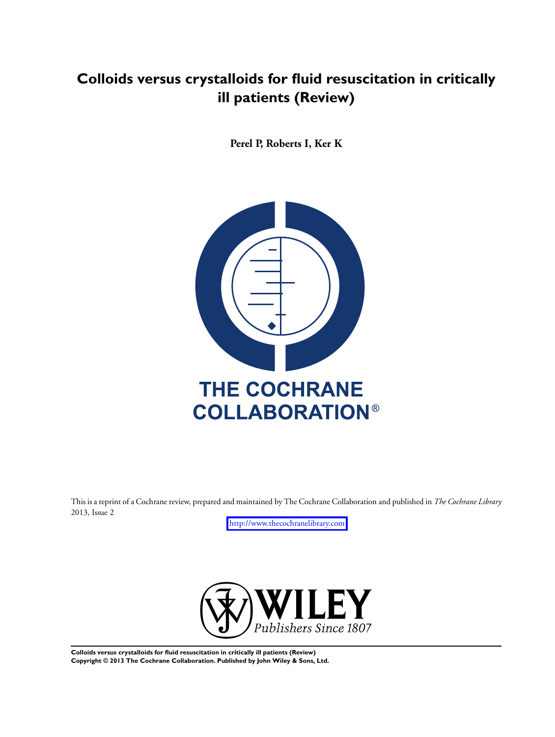# **Colloids versus crystalloids for fluid resuscitation in critically ill patients (Review)**

**Perel P, Roberts I, Ker K**



This is a reprint of a Cochrane review, prepared and maintained by The Cochrane Collaboration and published in *The Cochrane Library* 2013, Issue 2

<http://www.thecochranelibrary.com>



**Colloids versus crystalloids for fluid resuscitation in critically ill patients (Review) Copyright © 2013 The Cochrane Collaboration. Published by John Wiley & Sons, Ltd.**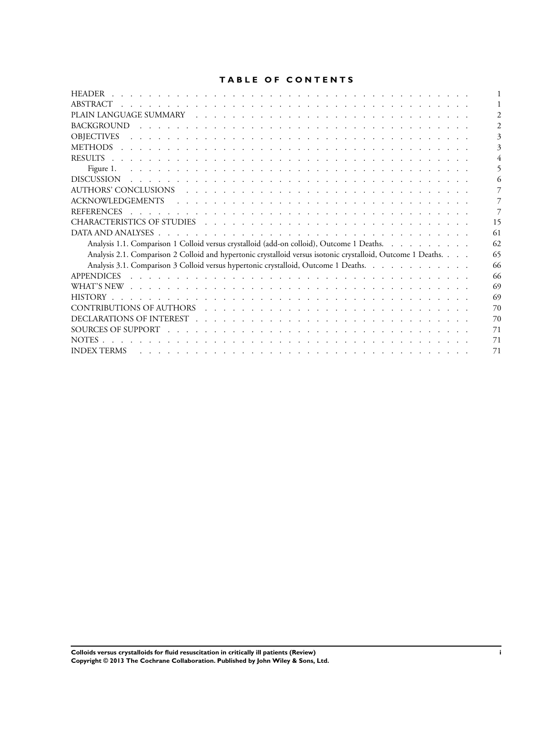## **TABLE OF CONTENTS**

| <b>HEADER</b>                                                                                                                                                                                                                        |
|--------------------------------------------------------------------------------------------------------------------------------------------------------------------------------------------------------------------------------------|
| ABSTRACT                                                                                                                                                                                                                             |
|                                                                                                                                                                                                                                      |
| <b>BACKGROUND</b>                                                                                                                                                                                                                    |
| <b>OBJECTIVES</b><br><u>. A serie de la caractería de la caractería de la caractería de la caractería de la caractería de la caracterí</u>                                                                                           |
| <b>METHODS</b>                                                                                                                                                                                                                       |
| <b>RESULTS</b>                                                                                                                                                                                                                       |
| Figure 1.                                                                                                                                                                                                                            |
| <b>DISCUSSION</b>                                                                                                                                                                                                                    |
|                                                                                                                                                                                                                                      |
| <b>ACKNOWLEDGEMENTS</b><br><u>. In the second terms of the second terms of the second terms of the second terms</u>                                                                                                                  |
| <b>REFERENCES</b>                                                                                                                                                                                                                    |
| 15                                                                                                                                                                                                                                   |
| 61                                                                                                                                                                                                                                   |
| Analysis 1.1. Comparison 1 Colloid versus crystalloid (add-on colloid), Outcome 1 Deaths.<br>62                                                                                                                                      |
| Analysis 2.1. Comparison 2 Colloid and hypertonic crystalloid versus isotonic crystalloid, Outcome 1 Deaths.<br>65                                                                                                                   |
| Analysis 3.1. Comparison 3 Colloid versus hypertonic crystalloid, Outcome 1 Deaths.<br>66                                                                                                                                            |
| <b>APPENDICES</b><br>66                                                                                                                                                                                                              |
| WHAT'S NEW research and contain the contract of the contract of the contract of the contract of the contract of the contract of the contract of the contract of the contract of the contract of the contract of the contract o<br>69 |
| 69                                                                                                                                                                                                                                   |
| 70                                                                                                                                                                                                                                   |
| 70                                                                                                                                                                                                                                   |
| SOURCES OF SUPPORT<br>71                                                                                                                                                                                                             |
| <b>NOTES</b><br>71                                                                                                                                                                                                                   |
| <b>INDEX TERMS</b><br>71                                                                                                                                                                                                             |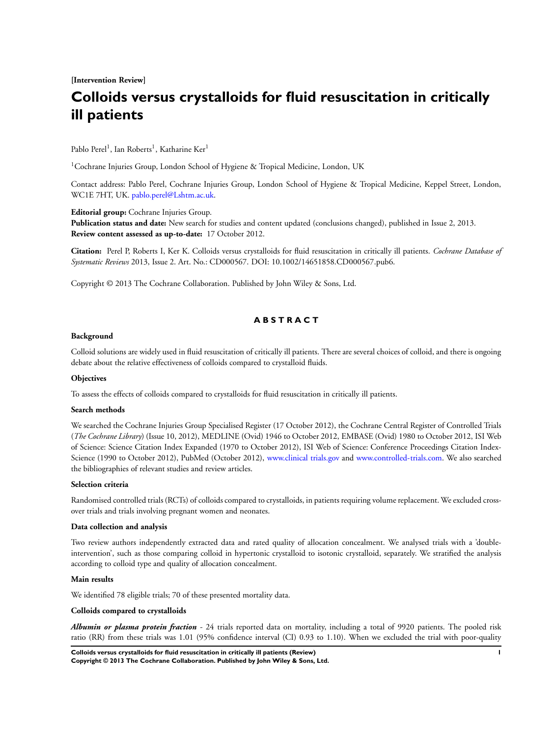**[Intervention Review]**

# **Colloids versus crystalloids for fluid resuscitation in critically ill patients**

Pablo Perel<sup>1</sup>, Ian Roberts<sup>1</sup>, Katharine Ker<sup>1</sup>

<sup>1</sup>Cochrane Injuries Group, London School of Hygiene & Tropical Medicine, London, UK

Contact address: Pablo Perel, Cochrane Injuries Group, London School of Hygiene & Tropical Medicine, Keppel Street, London, WC1E 7HT, UK. [pablo.perel@Lshtm.ac.uk.](mailto:pablo.perel@Lshtm.ac.uk)

**Editorial group:** Cochrane Injuries Group.

**Publication status and date:** New search for studies and content updated (conclusions changed), published in Issue 2, 2013. **Review content assessed as up-to-date:** 17 October 2012.

**Citation:** Perel P, Roberts I, Ker K. Colloids versus crystalloids for fluid resuscitation in critically ill patients. *Cochrane Database of Systematic Reviews* 2013, Issue 2. Art. No.: CD000567. DOI: 10.1002/14651858.CD000567.pub6.

Copyright © 2013 The Cochrane Collaboration. Published by John Wiley & Sons, Ltd.

## **A B S T R A C T**

#### **Background**

Colloid solutions are widely used in fluid resuscitation of critically ill patients. There are several choices of colloid, and there is ongoing debate about the relative effectiveness of colloids compared to crystalloid fluids.

#### **Objectives**

To assess the effects of colloids compared to crystalloids for fluid resuscitation in critically ill patients.

#### **Search methods**

We searched the Cochrane Injuries Group Specialised Register (17 October 2012), the Cochrane Central Register of Controlled Trials (*The Cochrane Library*) (Issue 10, 2012), MEDLINE (Ovid) 1946 to October 2012, EMBASE (Ovid) 1980 to October 2012, ISI Web of Science: Science Citation Index Expanded (1970 to October 2012), ISI Web of Science: Conference Proceedings Citation Index-Science (1990 to October 2012), PubMed (October 2012), [www.clinical trials.gov](http://www.clinical trials.gov) and [www.controlled-trials.com.](http://www.controlled-trials.com) We also searched the bibliographies of relevant studies and review articles.

#### **Selection criteria**

Randomised controlled trials (RCTs) of colloids compared to crystalloids, in patients requiring volume replacement. We excluded crossover trials and trials involving pregnant women and neonates.

#### **Data collection and analysis**

Two review authors independently extracted data and rated quality of allocation concealment. We analysed trials with a 'doubleintervention', such as those comparing colloid in hypertonic crystalloid to isotonic crystalloid, separately. We stratified the analysis according to colloid type and quality of allocation concealment.

#### **Main results**

We identified 78 eligible trials; 70 of these presented mortality data.

#### **Colloids compared to crystalloids**

*Albumin or plasma protein fraction -* 24 trials reported data on mortality, including a total of 9920 patients. The pooled risk ratio (RR) from these trials was 1.01 (95% confidence interval (CI) 0.93 to 1.10). When we excluded the trial with poor-quality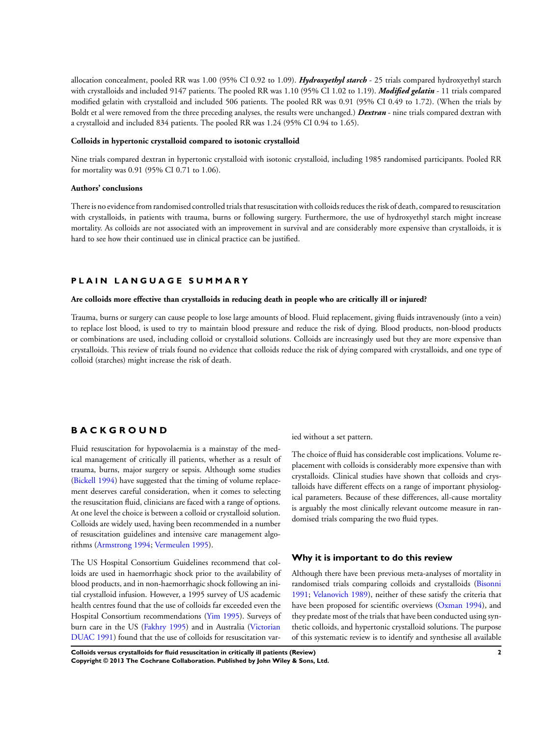allocation concealment, pooled RR was 1.00 (95% CI 0.92 to 1.09). *Hydroxyethyl starch* - 25 trials compared hydroxyethyl starch with crystalloids and included 9147 patients. The pooled RR was 1.10 (95% CI 1.02 to 1.19). *Modified gelatin* - 11 trials compared modified gelatin with crystalloid and included 506 patients. The pooled RR was 0.91 (95% CI 0.49 to 1.72). (When the trials by Boldt et al were removed from the three preceding analyses, the results were unchanged.) *Dextran* - nine trials compared dextran with a crystalloid and included 834 patients. The pooled RR was 1.24 (95% CI 0.94 to 1.65).

#### **Colloids in hypertonic crystalloid compared to isotonic crystalloid**

Nine trials compared dextran in hypertonic crystalloid with isotonic crystalloid, including 1985 randomised participants. Pooled RR for mortality was 0.91 (95% CI 0.71 to 1.06).

#### **Authors' conclusions**

There is no evidence from randomised controlled trials that resuscitation with colloids reduces the risk of death, compared to resuscitation with crystalloids, in patients with trauma, burns or following surgery. Furthermore, the use of hydroxyethyl starch might increase mortality. As colloids are not associated with an improvement in survival and are considerably more expensive than crystalloids, it is hard to see how their continued use in clinical practice can be justified.

## **P L A I N L A N G U A G E S U M M A R Y**

#### **Are colloids more effective than crystalloids in reducing death in people who are critically ill or injured?**

Trauma, burns or surgery can cause people to lose large amounts of blood. Fluid replacement, giving fluids intravenously (into a vein) to replace lost blood, is used to try to maintain blood pressure and reduce the risk of dying. Blood products, non-blood products or combinations are used, including colloid or crystalloid solutions. Colloids are increasingly used but they are more expensive than crystalloids. This review of trials found no evidence that colloids reduce the risk of dying compared with crystalloids, and one type of colloid (starches) might increase the risk of death.

## **B A C K G R O U N D**

Fluid resuscitation for hypovolaemia is a mainstay of the medical management of critically ill patients, whether as a result of trauma, burns, major surgery or sepsis. Although some studies [\(Bickell 1994](#page-8-0)) have suggested that the timing of volume replacement deserves careful consideration, when it comes to selecting the resuscitation fluid, clinicians are faced with a range of options. At one level the choice is between a colloid or crystalloid solution. Colloids are widely used, having been recommended in a number of resuscitation guidelines and intensive care management algorithms [\(Armstrong 1994;](#page-8-0) [Vermeulen 1995\)](#page-8-0).

The US Hospital Consortium Guidelines recommend that colloids are used in haemorrhagic shock prior to the availability of blood products, and in non-haemorrhagic shock following an initial crystalloid infusion. However, a 1995 survey of US academic health centres found that the use of colloids far exceeded even the Hospital Consortium recommendations [\(Yim 1995](#page-8-0)). Surveys of burn care in the US [\(Fakhry 1995\)](#page-8-0) and in Australia [\(Victorian](#page-8-0) [DUAC 1991\)](#page-8-0) found that the use of colloids for resuscitation varied without a set pattern.

The choice of fluid has considerable cost implications. Volume replacement with colloids is considerably more expensive than with crystalloids. Clinical studies have shown that colloids and crystalloids have different effects on a range of important physiological parameters. Because of these differences, all-cause mortality is arguably the most clinically relevant outcome measure in randomised trials comparing the two fluid types.

#### **Why it is important to do this review**

Although there have been previous meta-analyses of mortality in randomised trials comparing colloids and crystalloids ([Bisonni](#page-8-0) [1991](#page-8-0); [Velanovich 1989\)](#page-8-0), neither of these satisfy the criteria that have been proposed for scientific overviews [\(Oxman 1994](#page-8-0)), and they predate most of the trials that have been conducted using synthetic colloids, and hypertonic crystalloid solutions. The purpose of this systematic review is to identify and synthesise all available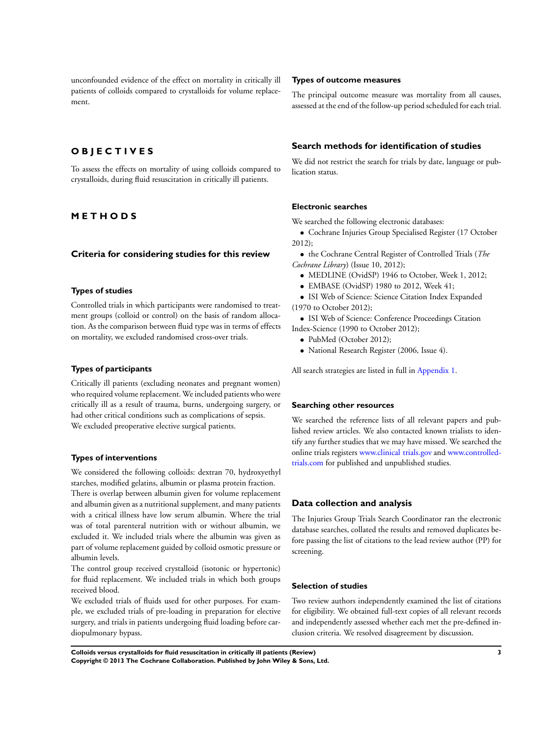unconfounded evidence of the effect on mortality in critically ill patients of colloids compared to crystalloids for volume replacement.

## **O B J E C T I V E S**

To assess the effects on mortality of using colloids compared to crystalloids, during fluid resuscitation in critically ill patients.

## **M E T H O D S**

#### **Criteria for considering studies for this review**

## **Types of studies**

Controlled trials in which participants were randomised to treatment groups (colloid or control) on the basis of random allocation. As the comparison between fluid type was in terms of effects on mortality, we excluded randomised cross-over trials.

#### **Types of participants**

Critically ill patients (excluding neonates and pregnant women) who required volume replacement. We included patients who were critically ill as a result of trauma, burns, undergoing surgery, or had other critical conditions such as complications of sepsis. We excluded preoperative elective surgical patients.

#### **Types of interventions**

We considered the following colloids: dextran 70, hydroxyethyl starches, modified gelatins, albumin or plasma protein fraction. There is overlap between albumin given for volume replacement and albumin given as a nutritional supplement, and many patients with a critical illness have low serum albumin. Where the trial was of total parenteral nutrition with or without albumin, we excluded it. We included trials where the albumin was given as part of volume replacement guided by colloid osmotic pressure or albumin levels.

The control group received crystalloid (isotonic or hypertonic) for fluid replacement. We included trials in which both groups received blood.

We excluded trials of fluids used for other purposes. For example, we excluded trials of pre-loading in preparation for elective surgery, and trials in patients undergoing fluid loading before cardiopulmonary bypass.

#### **Types of outcome measures**

The principal outcome measure was mortality from all causes, assessed at the end of the follow-up period scheduled for each trial.

#### **Search methods for identification of studies**

We did not restrict the search for trials by date, language or publication status.

#### **Electronic searches**

We searched the following electronic databases:

• Cochrane Injuries Group Specialised Register (17 October 2012);

- the Cochrane Central Register of Controlled Trials (*The Cochrane Library*) (Issue 10, 2012);
	- MEDLINE (OvidSP) 1946 to October, Week 1, 2012;
	- EMBASE (OvidSP) 1980 to 2012, Week 41;
- ISI Web of Science: Science Citation Index Expanded (1970 to October 2012);
- ISI Web of Science: Conference Proceedings Citation Index-Science (1990 to October 2012);
	- PubMed (October 2012);
	- National Research Register (2006, Issue 4).

All search strategies are listed in full in [Appendix 1.](#page-67-0)

#### **Searching other resources**

We searched the reference lists of all relevant papers and published review articles. We also contacted known trialists to identify any further studies that we may have missed. We searched the online trials registers [www.clinical trials.gov](http://www.clinical trials.gov) and [www.controlled](http://www.controlled-trials.com)[trials.com](http://www.controlled-trials.com) for published and unpublished studies.

## **Data collection and analysis**

The Injuries Group Trials Search Coordinator ran the electronic database searches, collated the results and removed duplicates before passing the list of citations to the lead review author (PP) for screening.

## **Selection of studies**

Two review authors independently examined the list of citations for eligibility. We obtained full-text copies of all relevant records and independently assessed whether each met the pre-defined inclusion criteria. We resolved disagreement by discussion.

**Colloids versus crystalloids for fluid resuscitation in critically ill patients (Review) 3 Copyright © 2013 The Cochrane Collaboration. Published by John Wiley & Sons, Ltd.**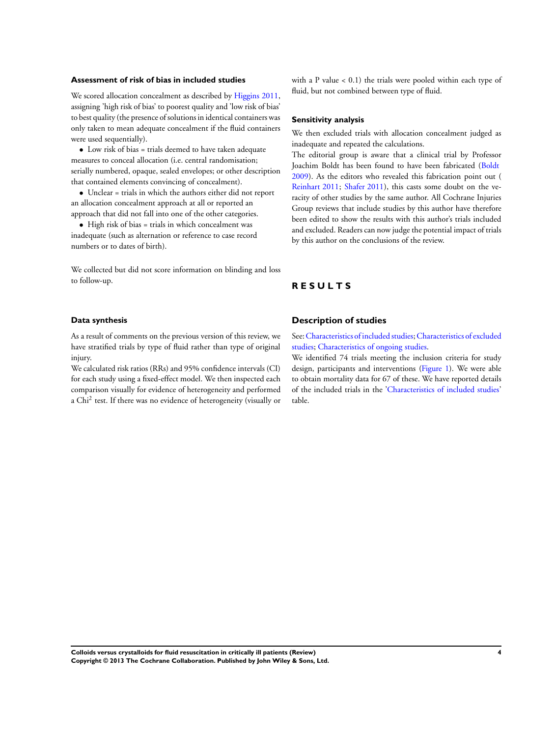#### **Assessment of risk of bias in included studies**

We scored allocation concealment as described by [Higgins 2011,](#page-8-0) assigning 'high risk of bias' to poorest quality and 'low risk of bias' to best quality (the presence of solutions in identical containers was only taken to mean adequate concealment if the fluid containers were used sequentially).

• Low risk of bias = trials deemed to have taken adequate measures to conceal allocation (i.e. central randomisation; serially numbered, opaque, sealed envelopes; or other description that contained elements convincing of concealment).

• Unclear = trials in which the authors either did not report an allocation concealment approach at all or reported an approach that did not fall into one of the other categories.

• High risk of bias = trials in which concealment was inadequate (such as alternation or reference to case record numbers or to dates of birth).

We collected but did not score information on blinding and loss to follow-up.

with a P value < 0.1) the trials were pooled within each type of fluid, but not combined between type of fluid.

#### **Sensitivity analysis**

We then excluded trials with allocation concealment judged as inadequate and repeated the calculations.

The editorial group is aware that a clinical trial by Professor Joachim Boldt has been found to have been fabricated ([Boldt](http://archie.cochrane.org/sections/documents/view?document=540099072011521412%26format=REVMAN#REF-Boldt-2009) [2009](http://archie.cochrane.org/sections/documents/view?document=540099072011521412%26format=REVMAN#REF-Boldt-2009)). As the editors who revealed this fabrication point out ( [Reinhart 2011](http://archie.cochrane.org/sections/documents/view?document=540099072011521412%26format=REVMAN#REF-Reinhart-2011); [Shafer 2011](http://archie.cochrane.org/sections/documents/view?document=540099072011521412%26format=REVMAN#REF-Shafer-2011)), this casts some doubt on the veracity of other studies by the same author. All Cochrane Injuries Group reviews that include studies by this author have therefore been edited to show the results with this author's trials included and excluded. Readers can now judge the potential impact of trials by this author on the conclusions of the review.

## **R E S U L T S**

### **Data synthesis**

As a result of comments on the previous version of this review, we have stratified trials by type of fluid rather than type of original injury.

We calculated risk ratios (RRs) and 95% confidence intervals (CI) for each study using a fixed-effect model. We then inspected each comparison visually for evidence of heterogeneity and performed a Chi<sup>2</sup> test. If there was no evidence of heterogeneity (visually or

## **Description of studies**

See:[Characteristics of included studies;](#page-16-0)[Characteristics of excluded](#page-59-0) [studies;](#page-59-0) [Characteristics of ongoing studies](#page-61-0).

We identified 74 trials meeting the inclusion criteria for study design, participants and interventions ([Figure 1](#page-6-0)). We were able to obtain mortality data for 67 of these. We have reported details of the included trials in the '[Characteristics of included studies](#page-16-0)' table.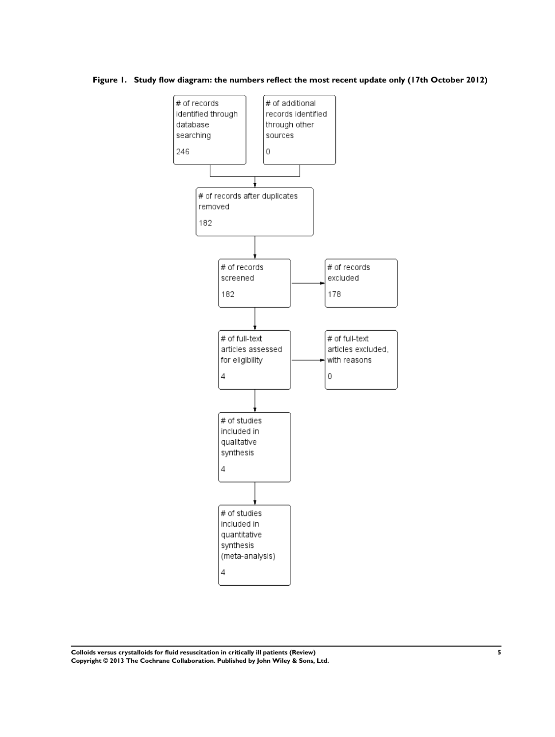<span id="page-6-0"></span>**Figure 1. Study flow diagram: the numbers reflect the most recent update only (17th October 2012)**



**Colloids versus crystalloids for fluid resuscitation in critically ill patients (Review) 5 Copyright © 2013 The Cochrane Collaboration. Published by John Wiley & Sons, Ltd.**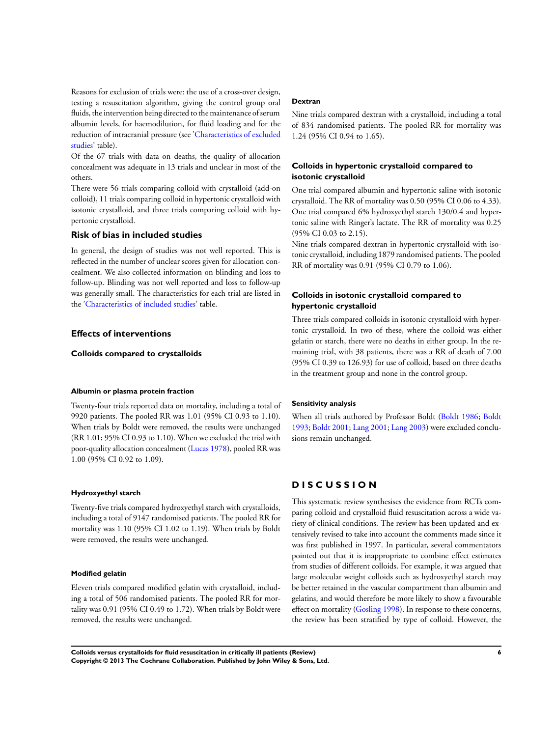Reasons for exclusion of trials were: the use of a cross-over design, testing a resuscitation algorithm, giving the control group oral fluids, the intervention being directed to the maintenance of serum albumin levels, for haemodilution, for fluid loading and for the reduction of intracranial pressure (see'[Characteristics of excluded](#page-59-0) [studies'](#page-59-0) table).

Of the 67 trials with data on deaths, the quality of allocation concealment was adequate in 13 trials and unclear in most of the others.

There were 56 trials comparing colloid with crystalloid (add-on colloid), 11 trials comparing colloid in hypertonic crystalloid with isotonic crystalloid, and three trials comparing colloid with hypertonic crystalloid.

## **Risk of bias in included studies**

In general, the design of studies was not well reported. This is reflected in the number of unclear scores given for allocation concealment. We also collected information on blinding and loss to follow-up. Blinding was not well reported and loss to follow-up was generally small. The characteristics for each trial are listed in the '[Characteristics of included studies](#page-16-0)' table.

#### **Effects of interventions**

**Colloids compared to crystalloids**

#### **Albumin or plasma protein fraction**

Twenty-four trials reported data on mortality, including a total of 9920 patients. The pooled RR was 1.01 (95% CI 0.93 to 1.10). When trials by Boldt were removed, the results were unchanged (RR 1.01; 95% CI 0.93 to 1.10). When we excluded the trial with poor-quality allocation concealment [\(Lucas 1978\)](#page-8-0), pooled RR was 1.00 (95% CI 0.92 to 1.09).

#### **Hydroxyethyl starch**

Twenty-five trials compared hydroxyethyl starch with crystalloids, including a total of 9147 randomised patients. The pooled RR for mortality was 1.10 (95% CI 1.02 to 1.19). When trials by Boldt were removed, the results were unchanged.

#### **Modified gelatin**

Eleven trials compared modified gelatin with crystalloid, including a total of 506 randomised patients. The pooled RR for mortality was 0.91 (95% CI 0.49 to 1.72). When trials by Boldt were removed, the results were unchanged.

#### **Dextran**

Nine trials compared dextran with a crystalloid, including a total of 834 randomised patients. The pooled RR for mortality was 1.24 (95% CI 0.94 to 1.65).

#### **Colloids in hypertonic crystalloid compared to isotonic crystalloid**

One trial compared albumin and hypertonic saline with isotonic crystalloid. The RR of mortality was 0.50 (95% CI 0.06 to 4.33). One trial compared 6% hydroxyethyl starch 130/0.4 and hypertonic saline with Ringer's lactate. The RR of mortality was 0.25 (95% CI 0.03 to 2.15).

Nine trials compared dextran in hypertonic crystalloid with isotonic crystalloid, including 1879 randomised patients. The pooled RR of mortality was 0.91 (95% CI 0.79 to 1.06).

## **Colloids in isotonic crystalloid compared to hypertonic crystalloid**

Three trials compared colloids in isotonic crystalloid with hypertonic crystalloid. In two of these, where the colloid was either gelatin or starch, there were no deaths in either group. In the remaining trial, with 38 patients, there was a RR of death of 7.00 (95% CI 0.39 to 126.93) for use of colloid, based on three deaths in the treatment group and none in the control group.

#### **Sensitivity analysis**

When all trials authored by Professor Boldt [\(Boldt 1986;](#page-8-0) [Boldt](#page-8-0) [1993](#page-8-0); [Boldt 2001;](#page-8-0) [Lang 2001;](#page-8-0) [Lang 2003](#page-8-0)) were excluded conclusions remain unchanged.

## **D I S C U S S I O N**

This systematic review synthesises the evidence from RCTs comparing colloid and crystalloid fluid resuscitation across a wide variety of clinical conditions. The review has been updated and extensively revised to take into account the comments made since it was first published in 1997. In particular, several commentators pointed out that it is inappropriate to combine effect estimates from studies of different colloids. For example, it was argued that large molecular weight colloids such as hydroxyethyl starch may be better retained in the vascular compartment than albumin and gelatins, and would therefore be more likely to show a favourable effect on mortality ([Gosling 1998](#page-8-0)). In response to these concerns, the review has been stratified by type of colloid. However, the

**Colloids versus crystalloids for fluid resuscitation in critically ill patients (Review) 6 Copyright © 2013 The Cochrane Collaboration. Published by John Wiley & Sons, Ltd.**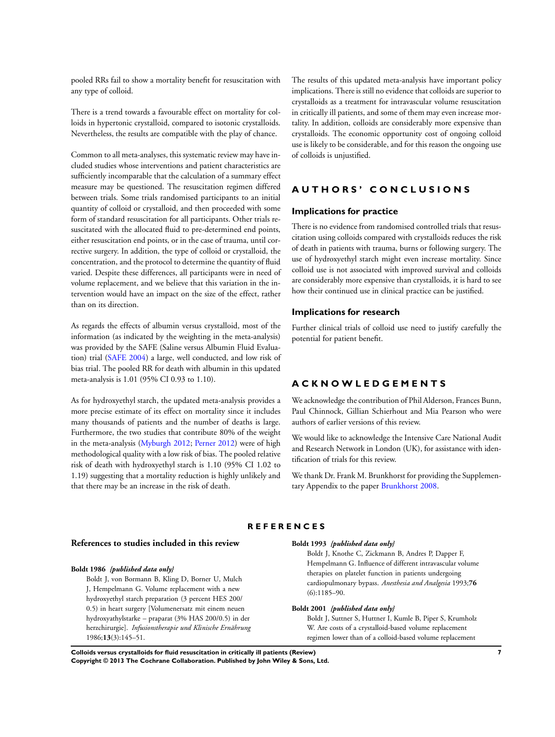<span id="page-8-0"></span>pooled RRs fail to show a mortality benefit for resuscitation with any type of colloid.

There is a trend towards a favourable effect on mortality for colloids in hypertonic crystalloid, compared to isotonic crystalloids. Nevertheless, the results are compatible with the play of chance.

Common to all meta-analyses, this systematic review may have included studies whose interventions and patient characteristics are sufficiently incomparable that the calculation of a summary effect measure may be questioned. The resuscitation regimen differed between trials. Some trials randomised participants to an initial quantity of colloid or crystalloid, and then proceeded with some form of standard resuscitation for all participants. Other trials resuscitated with the allocated fluid to pre-determined end points, either resuscitation end points, or in the case of trauma, until corrective surgery. In addition, the type of colloid or crystalloid, the concentration, and the protocol to determine the quantity of fluid varied. Despite these differences, all participants were in need of volume replacement, and we believe that this variation in the intervention would have an impact on the size of the effect, rather than on its direction.

As regards the effects of albumin versus crystalloid, most of the information (as indicated by the weighting in the meta-analysis) was provided by the SAFE (Saline versus Albumin Fluid Evaluation) trial (SAFE 2004) a large, well conducted, and low risk of bias trial. The pooled RR for death with albumin in this updated meta-analysis is 1.01 (95% CI 0.93 to 1.10).

As for hydroxyethyl starch, the updated meta-analysis provides a more precise estimate of its effect on mortality since it includes many thousands of patients and the number of deaths is large. Furthermore, the two studies that contribute 80% of the weight in the meta-analysis (Myburgh 2012; Perner 2012) were of high methodological quality with a low risk of bias. The pooled relative risk of death with hydroxyethyl starch is 1.10 (95% CI 1.02 to 1.19) suggesting that a mortality reduction is highly unlikely and that there may be an increase in the risk of death.

The results of this updated meta-analysis have important policy implications. There is still no evidence that colloids are superior to crystalloids as a treatment for intravascular volume resuscitation in critically ill patients, and some of them may even increase mortality. In addition, colloids are considerably more expensive than crystalloids. The economic opportunity cost of ongoing colloid use is likely to be considerable, and for this reason the ongoing use of colloids is unjustified.

## **A U T H O R S ' C O N C L U S I O N S**

#### **Implications for practice**

There is no evidence from randomised controlled trials that resuscitation using colloids compared with crystalloids reduces the risk of death in patients with trauma, burns or following surgery. The use of hydroxyethyl starch might even increase mortality. Since colloid use is not associated with improved survival and colloids are considerably more expensive than crystalloids, it is hard to see how their continued use in clinical practice can be justified.

#### **Implications for research**

Further clinical trials of colloid use need to justify carefully the potential for patient benefit.

## **A C K N O W L E D G E M E N T S**

We acknowledge the contribution of Phil Alderson, Frances Bunn, Paul Chinnock, Gillian Schierhout and Mia Pearson who were authors of earlier versions of this review.

We would like to acknowledge the Intensive Care National Audit and Research Network in London (UK), for assistance with identification of trials for this review.

We thank Dr. Frank M. Brunkhorst for providing the Supplementary Appendix to the paper Brunkhorst 2008.

#### **R E F E R E N C E S**

## **References to studies included in this review**

#### **Boldt 1986** *{published data only}*

Boldt J, von Bormann B, Kling D, Borner U, Mulch J, Hempelmann G. Volume replacement with a new hydroxyethyl starch preparation (3 percent HES 200/ 0.5) in heart surgery [Volumenersatz mit einem neuen hydroxyathylstarke – praparat (3% HAS 200/0.5) in der herzchirurgie]. *Infusionstherapie und Klinische Ernährung* 1986;**13**(3):145–51.

#### **Boldt 1993** *{published data only}*

Boldt J, Knothe C, Zickmann B, Andres P, Dapper F, Hempelmann G. Influence of different intravascular volume therapies on platelet function in patients undergoing cardiopulmonary bypass. *Anesthesia and Analgesia* 1993;**76** (6):1185–90.

#### **Boldt 2001** *{published data only}*

Boldt J, Suttner S, Huttner I, Kumle B, Piper S, Krumholz W. Are costs of a crystalloid-based volume replacement regimen lower than of a colloid-based volume replacement

**Colloids versus crystalloids for fluid resuscitation in critically ill patients (Review) 7 Copyright © 2013 The Cochrane Collaboration. Published by John Wiley & Sons, Ltd.**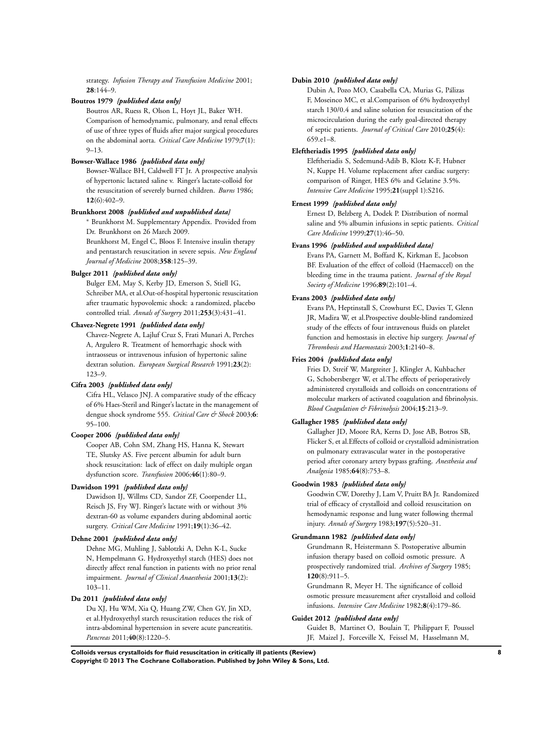strategy. *Infusion Therapy and Transfusion Medicine* 2001; **28**:144–9.

#### **Boutros 1979** *{published data only}*

Boutros AR, Ruess R, Olson L, Hoyt JL, Baker WH. Comparison of hemodynamic, pulmonary, and renal effects of use of three types of fluids after major surgical procedures on the abdominal aorta. *Critical Care Medicine* 1979;**7**(1):  $9 - 13$ .

#### **Bowser-Wallace 1986** *{published data only}*

Bowser-Wallace BH, Caldwell FT Jr. A prospective analysis of hypertonic lactated saline v. Ringer's lactate-colloid for the resuscitation of severely burned children. *Burns* 1986; **12**(6):402–9.

#### **Brunkhorst 2008** *{published and unpublished data}*

<sup>∗</sup> Brunkhorst M. Supplementary Appendix. Provided from Dr. Brunkhorst on 26 March 2009.

Brunkhorst M, Engel C, Bloos F. Intensive insulin therapy and pentastarch resuscitation in severe sepsis. *New England Journal of Medicine* 2008;**358**:125–39.

#### **Bulger 2011** *{published data only}*

Bulger EM, May S, Kerby JD, Emerson S, Stiell IG, Schreiber MA, et al.Out-of-hospital hypertonic resuscitation after traumatic hypovolemic shock: a randomized, placebo controlled trial. *Annals of Surgery* 2011;**253**(3):431–41.

#### **Chavez-Negrete 1991** *{published data only}*

Chavez-Negrete A, Lajluf Cruz S, Frati Munari A, Perches A, Argulero R. Treatment of hemorrhagic shock with intraosseus or intravenous infusion of hypertonic saline dextran solution. *European Surgical Research* 1991;**23**(2): 123–9.

#### **Cifra 2003** *{published data only}*

Cifra HL, Velasco JNJ. A comparative study of the efficacy of 6% Haes-Steril and Ringer's lactate in the management of dengue shock syndrome 555. *Critical Care & Shock* 2003;**6**: 95–100.

#### **Cooper 2006** *{published data only}*

Cooper AB, Cohn SM, Zhang HS, Hanna K, Stewart TE, Slutsky AS. Five percent albumin for adult burn shock resuscitation: lack of effect on daily multiple organ dysfunction score. *Transfusion* 2006;**46**(1):80–9.

### **Dawidson 1991** *{published data only}*

Dawidson IJ, Willms CD, Sandor ZF, Coorpender LL, Reisch JS, Fry WJ. Ringer's lactate with or without 3% dextran-60 as volume expanders during abdominal aortic surgery. *Critical Care Medicine* 1991;**19**(1):36–42.

#### **Dehne 2001** *{published data only}*

Dehne MG, Muhling J, Sablotzki A, Dehn K-L, Sucke N, Hempelmann G. Hydroxyethyl starch (HES) does not directly affect renal function in patients with no prior renal impairment. *Journal of Clinical Anaesthesia* 2001;**13**(2): 103–11.

#### **Du 2011** *{published data only}*

Du XJ, Hu WM, Xia Q, Huang ZW, Chen GY, Jin XD, et al.Hydroxyethyl starch resuscitation reduces the risk of intra-abdominal hypertension in severe acute pancreatitis. *Pancreas* 2011;**40**(8):1220–5.

#### **Dubin 2010** *{published data only}*

Dubin A, Pozo MO, Casabella CA, Murias G, Pálizas F, Moseinco MC, et al.Comparison of 6% hydroxyethyl starch 130/0.4 and saline solution for resuscitation of the microcirculation during the early goal-directed therapy of septic patients. *Journal of Critical Care* 2010;**25**(4): 659.e1–8.

#### **Eleftheriadis 1995** *{published data only}*

Eleftheriadis S, Sedemund-Adib B, Klotz K-F, Hubner N, Kuppe H. Volume replacement after cardiac surgery: comparison of Ringer, HES 6% and Gelatine 3.5%. *Intensive Care Medicine* 1995;**21**(suppl 1):S216.

#### **Ernest 1999** *{published data only}*

Ernest D, Belzberg A, Dodek P. Distribution of normal saline and 5% albumin infusions in septic patients. *Critical Care Medicine* 1999;**27**(1):46–50.

#### **Evans 1996** *{published and unpublished data}*

Evans PA, Garnett M, Boffard K, Kirkman E, Jacobson BF. Evaluation of the effect of colloid (Haemaccel) on the bleeding time in the trauma patient. *Journal of the Royal Society of Medicine* 1996;**89**(2):101–4.

#### **Evans 2003** *{published data only}*

Evans PA, Heptinstall S, Crowhurst EC, Davies T, Glenn JR, Madira W, et al.Prospective double-blind randomized study of the effects of four intravenous fluids on platelet function and hemostasis in elective hip surgery. *Journal of Thrombosis and Haemostasis* 2003;**1**:2140–8.

#### **Fries 2004** *{published data only}*

Fries D, Streif W, Margreiter J, Klingler A, Kuhbacher G, Schobersberger W, et al.The effects of perioperatively administered crystalloids and colloids on concentrations of molecular markers of activated coagulation and fibrinolysis. *Blood Coagulation & Fibrinolysis* 2004;**15**:213–9.

#### **Gallagher 1985** *{published data only}*

Gallagher JD, Moore RA, Kerns D, Jose AB, Botros SB, Flicker S, et al.Effects of colloid or crystalloid administration on pulmonary extravascular water in the postoperative period after coronary artery bypass grafting. *Anesthesia and Analgesia* 1985;**64**(8):753–8.

#### **Goodwin 1983** *{published data only}*

Goodwin CW, Dorethy J, Lam V, Pruitt BA Jr. Randomized trial of efficacy of crystalloid and colloid resuscitation on hemodynamic response and lung water following thermal injury. *Annals of Surgery* 1983;**197**(5):520–31.

## **Grundmann 1982** *{published data only}*

Grundmann R, Heistermann S. Postoperative albumin infusion therapy based on colloid osmotic pressure. A prospectively randomized trial. *Archives of Surgery* 1985; **120**(8):911–5.

Grundmann R, Meyer H. The significance of colloid osmotic pressure measurement after crystalloid and colloid infusions. *Intensive Care Medicine* 1982;**8**(4):179–86.

#### **Guidet 2012** *{published data only}*

Guidet B, Martinet O, Boulain T, Philippart F, Poussel JF, Maizel J, Forceville X, Feissel M, Hasselmann M,

**Colloids versus crystalloids for fluid resuscitation in critically ill patients (Review) 8 Copyright © 2013 The Cochrane Collaboration. Published by John Wiley & Sons, Ltd.**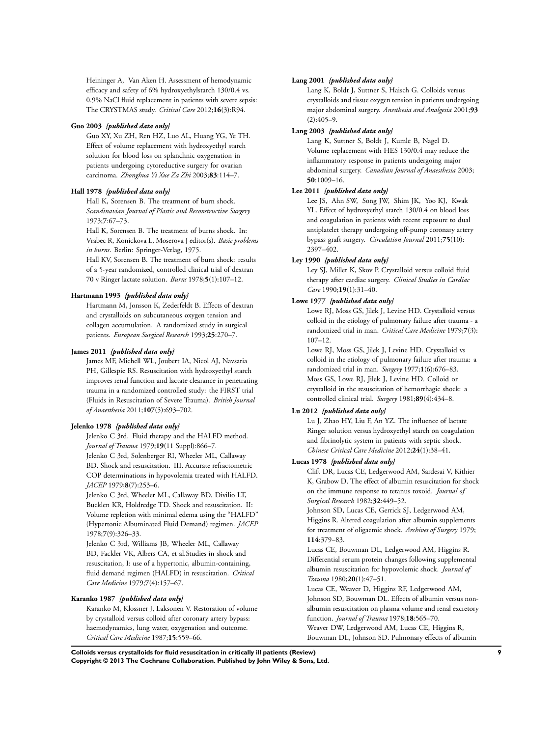Heininger A, Van Aken H. Assessment of hemodynamic efficacy and safety of 6% hydroxyethylstarch 130/0.4 vs. 0.9% NaCl fluid replacement in patients with severe sepsis: The CRYSTMAS study. *Critical Care* 2012;**16**(3):R94.

#### **Guo 2003** *{published data only}*

Guo XY, Xu ZH, Ren HZ, Luo AL, Huang YG, Ye TH. Effect of volume replacement with hydroxyethyl starch solution for blood loss on splanchnic oxygenation in patients undergoing cytoreductive surgery for ovarian carcinoma. *Zhonghua Yi Xue Za Zhi* 2003;**83**:114–7.

#### **Hall 1978** *{published data only}*

Hall K, Sorensen B. The treatment of burn shock. *Scandinavian Journal of Plastic and Reconstructive Surgery* 1973;**7**:67–73.

Hall K, Sorensen B. The treatment of burns shock. In: Vrabec R, Konickova L, Moserova J editor(s). *Basic problems in burns*. Berlin: Springer-Verlag, 1975.

Hall KV, Sorensen B. The treatment of burn shock: results of a 5-year randomized, controlled clinical trial of dextran 70 v Ringer lactate solution. *Burns* 1978;**5**(1):107–12.

## **Hartmann 1993** *{published data only}*

Hartmann M, Jonsson K, Zederfeldt B. Effects of dextran and crystalloids on subcutaneous oxygen tension and collagen accumulation. A randomized study in surgical patients. *European Surgical Research* 1993;**25**:270–7.

#### **James 2011** *{published data only}*

James MF, Michell WL, Joubert IA, Nicol AJ, Navsaria PH, Gillespie RS. Resuscitation with hydroxyethyl starch improves renal function and lactate clearance in penetrating trauma in a randomized controlled study: the FIRST trial (Fluids in Resuscitation of Severe Trauma). *British Journal of Anaesthesia* 2011;**107**(5):693–702.

#### **Jelenko 1978** *{published data only}*

Jelenko C 3rd. Fluid therapy and the HALFD method. *Journal of Trauma* 1979;**19**(11 Suppl):866–7. Jelenko C 3rd, Solenberger RI, Wheeler ML, Callaway BD. Shock and resuscitation. III. Accurate refractometric COP determinations in hypovolemia treated with HALFD. *JACEP* 1979;**8**(7):253–6.

Jelenko C 3rd, Wheeler ML, Callaway BD, Divilio LT, Bucklen KR, Holdredge TD. Shock and resuscitation. II: Volume repletion with minimal edema using the "HALFD" (Hypertonic Albuminated Fluid Demand) regimen. *JACEP* 1978;**7**(9):326–33.

Jelenko C 3rd, Williams JB, Wheeler ML, Callaway BD, Fackler VK, Albers CA, et al.Studies in shock and resuscitation, I: use of a hypertonic, albumin-containing, fluid demand regimen (HALFD) in resuscitation. *Critical Care Medicine* 1979;**7**(4):157–67.

#### **Karanko 1987** *{published data only}*

Karanko M, Klossner J, Laksonen V. Restoration of volume by crystalloid versus colloid after coronary artery bypass: haemodynamics, lung water, oxygenation and outcome. *Critical Care Medicine* 1987;**15**:559–66.

#### **Lang 2001** *{published data only}*

Lang K, Boldt J, Suttner S, Haisch G. Colloids versus crystalloids and tissue oxygen tension in patients undergoing major abdominal surgery. *Anesthesia and Analgesia* 2001;**93**  $(2):405-9.$ 

#### **Lang 2003** *{published data only}*

Lang K, Suttner S, Boldt J, Kumle B, Nagel D. Volume replacement with HES 130/0.4 may reduce the inflammatory response in patients undergoing major abdominal surgery. *Canadian Journal of Anaesthesia* 2003; **50**:1009–16.

#### **Lee 2011** *{published data only}*

Lee JS, Ahn SW, Song JW, Shim JK, Yoo KJ, Kwak YL. Effect of hydroxyethyl starch 130/0.4 on blood loss and coagulation in patients with recent exposure to dual antiplatelet therapy undergoing off-pump coronary artery bypass graft surgery. *Circulation Journal* 2011;**75**(10):  $2397 - 402$ .

#### **Ley 1990** *{published data only}*

Ley SJ, Miller K, Skov P. Crystalloid versus colloid fluid therapy after cardiac surgery. *Clinical Studies in Cardiac Care* 1990;**19**(1):31–40.

#### **Lowe 1977** *{published data only}*

Lowe RJ, Moss GS, Jilek J, Levine HD. Crystalloid versus colloid in the etiology of pulmonary failure after trauma - a randomized trial in man. *Critical Care Medicine* 1979;**7**(3): 107–12.

Lowe RJ, Moss GS, Jilek J, Levine HD. Crystalloid vs colloid in the etiology of pulmonary failure after trauma: a randomized trial in man. *Surgery* 1977;**1**(6):676–83. Moss GS, Lowe RJ, Jilek J, Levine HD. Colloid or crystalloid in the resuscitation of hemorrhagic shock: a controlled clinical trial. *Surgery* 1981;**89**(4):434–8.

#### **Lu 2012** *{published data only}*

Lu J, Zhao HY, Liu F, An YZ. The influence of lactate Ringer solution versus hydroxyethyl starch on coagulation and fibrinolytic system in patients with septic shock. *Chinese Critical Care Medicine* 2012;**24**(1):38–41.

#### **Lucas 1978** *{published data only}*

Clift DR, Lucas CE, Ledgerwood AM, Sardesai V, Kithier K, Grabow D. The effect of albumin resuscitation for shock on the immune response to tetanus toxoid. *Journal of Surgical Research* 1982;**32**:449–52.

Johnson SD, Lucas CE, Gerrick SJ, Ledgerwood AM, Higgins R. Altered coagulation after albumin supplements for treatment of oligaemic shock. *Archives of Surgery* 1979; **114**:379–83.

Lucas CE, Bouwman DL, Ledgerwood AM, Higgins R. Differential serum protein changes following supplemental albumin resuscitation for hypovolemic shock. *Journal of Trauma* 1980;**20**(1):47–51.

Lucas CE, Weaver D, Higgins RF, Ledgerwood AM, Johnson SD, Bouwman DL. Effects of albumin versus nonalbumin resuscitation on plasma volume and renal excretory function. *Journal of Trauma* 1978;**18**:565–70.

Weaver DW, Ledgerwood AM, Lucas CE, Higgins R, Bouwman DL, Johnson SD. Pulmonary effects of albumin

**Colloids versus crystalloids for fluid resuscitation in critically ill patients (Review) 9 Copyright © 2013 The Cochrane Collaboration. Published by John Wiley & Sons, Ltd.**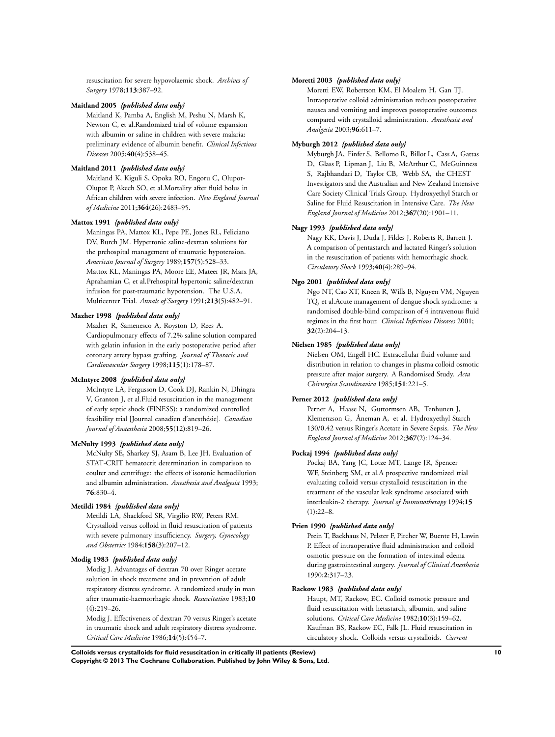resuscitation for severe hypovolaemic shock. *Archives of Surgery* 1978;**113**:387–92.

#### **Maitland 2005** *{published data only}*

Maitland K, Pamba A, English M, Peshu N, Marsh K, Newton C, et al.Randomized trial of volume expansion with albumin or saline in children with severe malaria: preliminary evidence of albumin benefit. *Clinical Infectious Diseases* 2005;**40**(4):538–45.

#### **Maitland 2011** *{published data only}*

Maitland K, Kiguli S, Opoka RO, Engoru C, Olupot-Olupot P, Akech SO, et al.Mortality after fluid bolus in African children with severe infection. *New England Journal of Medicine* 2011;**364**(26):2483–95.

#### **Mattox 1991** *{published data only}*

Maningas PA, Mattox KL, Pepe PE, Jones RL, Feliciano DV, Burch JM. Hypertonic saline-dextran solutions for the prehospital management of traumatic hypotension. *American Journal of Surgery* 1989;**157**(5):528–33. Mattox KL, Maningas PA, Moore EE, Mateer JR, Marx JA, Aprahamian C, et al.Prehospital hypertonic saline/dextran infusion for post-traumatic hypotension. The U.S.A. Multicenter Trial. *Annals of Surgery* 1991;**213**(5):482–91.

#### **Mazher 1998** *{published data only}*

Mazher R, Samenesco A, Royston D, Rees A. Cardiopulmonary effects of 7.2% saline solution compared with gelatin infusion in the early postoperative period after coronary artery bypass grafting. *Journal of Thoracic and Cardiovascular Surgery* 1998;**115**(1):178–87.

#### **McIntyre 2008** *{published data only}*

McIntyre LA, Fergusson D, Cook DJ, Rankin N, Dhingra V, Granton J, et al.Fluid resuscitation in the management of early septic shock (FINESS): a randomized controlled feasibility trial [Journal canadien d'anesthésie]. *Canadian Journal of Anaesthesia* 2008;**55**(12):819–26.

#### **McNulty 1993** *{published data only}*

McNulty SE, Sharkey SJ, Asam B, Lee JH. Evaluation of STAT-CRIT hematocrit determination in comparison to coulter and centrifuge: the effects of isotonic hemodilution and albumin administration. *Anesthesia and Analgesia* 1993; **76**:830–4.

#### **Metildi 1984** *{published data only}*

Metildi LA, Shackford SR, Virgilio RW, Peters RM. Crystalloid versus colloid in fluid resuscitation of patients with severe pulmonary insufficiency. *Surgery, Gynecology and Obstetrics* 1984;**158**(3):207–12.

#### **Modig 1983** *{published data only}*

Modig J. Advantages of dextran 70 over Ringer acetate solution in shock treatment and in prevention of adult respiratory distress syndrome. A randomized study in man after traumatic-haemorrhagic shock. *Resuscitation* 1983;**10** (4):219–26.

Modig J. Effectiveness of dextran 70 versus Ringer's acetate in traumatic shock and adult respiratory distress syndrome. *Critical Care Medicine* 1986;**14**(5):454–7.

#### **Moretti 2003** *{published data only}*

Moretti EW, Robertson KM, El Moalem H, Gan TJ. Intraoperative colloid administration reduces postoperative nausea and vomiting and improves postoperative outcomes compared with crystalloid administration. *Anesthesia and Analgesia* 2003;**96**:611–7.

#### **Myburgh 2012** *{published data only}*

Myburgh JA, Finfer S, Bellomo R, Billot L, Cass A, Gattas D, Glass P, Lipman J, Liu B, McArthur C, McGuinness S, Rajbhandari D, Taylor CB, Webb SA, the CHEST Investigators and the Australian and New Zealand Intensive Care Society Clinical Trials Group. Hydroxyethyl Starch or Saline for Fluid Resuscitation in Intensive Care. *The New England Journal of Medicine* 2012;**367**(20):1901–11.

#### **Nagy 1993** *{published data only}*

Nagy KK, Davis J, Duda J, Fildes J, Roberts R, Barrett J. A comparison of pentastarch and lactated Ringer's solution in the resuscitation of patients with hemorrhagic shock. *Circulatory Shock* 1993;**40**(4):289–94.

#### **Ngo 2001** *{published data only}*

Ngo NT, Cao XT, Kneen R, Wills B, Nguyen VM, Nguyen TQ, et al.Acute management of dengue shock syndrome: a randomised double-blind comparison of 4 intravenous fluid regimes in the first hour. *Clinical Infectious Diseases* 2001; **32**(2):204–13.

#### **Nielsen 1985** *{published data only}*

Nielsen OM, Engell HC. Extracellular fluid volume and distribution in relation to changes in plasma colloid osmotic pressure after major surgery. A Randomised Study. *Acta Chirurgica Scandinavica* 1985;**151**:221–5.

#### **Perner 2012** *{published data only}*

Perner A, Haase N, Guttormsen AB, Tenhunen J, Klemenzson G, Åneman A, et al. Hydroxyethyl Starch 130/0.42 versus Ringer's Acetate in Severe Sepsis. *The New England Journal of Medicine* 2012;**367**(2):124–34.

#### **Pockaj 1994** *{published data only}*

Pockaj BA, Yang JC, Lotze MT, Lange JR, Spencer WF, Steinberg SM, et al.A prospective randomized trial evaluating colloid versus crystalloid resuscitation in the treatment of the vascular leak syndrome associated with interleukin-2 therapy. *Journal of Immunotherapy* 1994;**15**  $(1) \cdot 22 - 8$ 

#### **Prien 1990** *{published data only}*

Prein T, Backhaus N, Pelster F, Pircher W, Buente H, Lawin P. Effect of intraoperative fluid administration and colloid osmotic pressure on the formation of intestinal edema during gastrointestinal surgery. *Journal of Clinical Anesthesia* 1990;**2**:317–23.

#### **Rackow 1983** *{published data only}*

Haupt, MT, Rackow, EC. Colloid osmotic pressure and fluid resuscitation with hetastarch, albumin, and saline solutions. *Critical Care Medicine* 1982;**10**(3):159–62. Kaufman BS, Rackow EC, Falk JL. Fluid resuscitation in circulatory shock. Colloids versus crystalloids. *Current*

**Colloids versus crystalloids for fluid resuscitation in critically ill patients (Review) 10 Copyright © 2013 The Cochrane Collaboration. Published by John Wiley & Sons, Ltd.**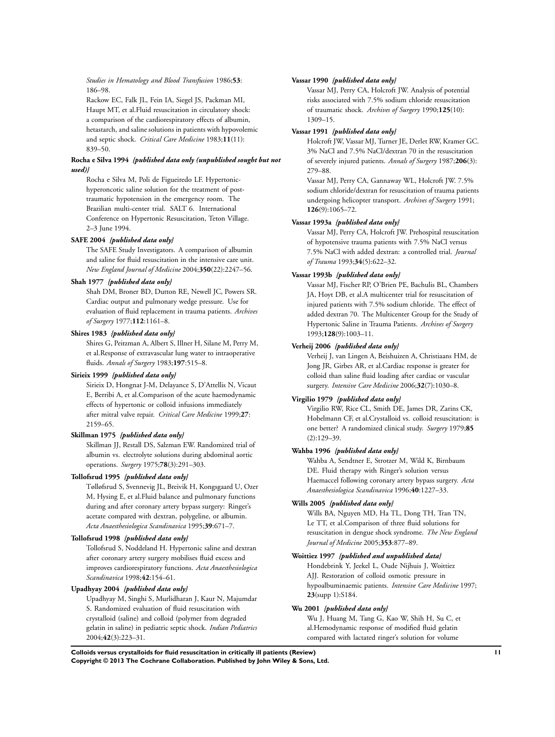*Studies in Hematology and Blood Transfusion* 1986;**53**: 186–98.

Rackow EC, Falk JL, Fein IA, Siegel JS, Packman MI, Haupt MT, et al.Fluid resuscitation in circulatory shock: a comparison of the cardiorespiratory effects of albumin, hetastarch, and saline solutions in patients with hypovolemic and septic shock. *Critical Care Medicine* 1983;**11**(11): 839–50.

#### **Rocha e Silva 1994** *{published data only (unpublished sought but not used)}*

Rocha e Silva M, Poli de Figueiredo LF. Hypertonichyperoncotic saline solution for the treatment of posttraumatic hypotension in the emergency room. The Brazilian multi-center trial. SALT 6. International Conference on Hypertonic Resuscitation, Teton Village. 2–3 June 1994.

#### **SAFE 2004** *{published data only}*

The SAFE Study Investigators. A comparison of albumin and saline for fluid resuscitation in the intensive care unit. *New England Journal of Medicine* 2004;**350**(22):2247–56.

#### **Shah 1977** *{published data only}*

Shah DM, Broner BD, Dutton RE, Newell JC, Powers SR. Cardiac output and pulmonary wedge pressure. Use for evaluation of fluid replacement in trauma patients. *Archives of Surgery* 1977;**112**:1161–8.

#### **Shires 1983** *{published data only}*

Shires G, Peitzman A, Albert S, Illner H, Silane M, Perry M, et al.Response of extravascular lung water to intraoperative fluids. *Annals of Surgery* 1983;**197**:515–8.

#### **Sirieix 1999** *{published data only}*

Sirieix D, Hongnat J-M, Delayance S, D'Attellis N, Vicaut E, Berribi A, et al.Comparison of the acute haemodynamic effects of hypertonic or colloid infusions immediately after mitral valve repair. *Critical Care Medicine* 1999;**27**: 2159–65.

#### **Skillman 1975** *{published data only}*

Skillman JJ, Restall DS, Salzman EW. Randomized trial of albumin vs. electrolyte solutions during abdominal aortic operations. *Surgery* 1975;**78**(3):291–303.

#### **Tollofsrud 1995** *{published data only}*

Tølløfsrud S, Svennevig JL, Breivik H, Kongsgaard U, Ozer M, Hysing E, et al.Fluid balance and pulmonary functions during and after coronary artery bypass surgery: Ringer's acetate compared with dextran, polygeline, or albumin. *Acta Anaesthesiologica Scandinavica* 1995;**39**:671–7.

#### **Tollofsrud 1998** *{published data only}*

Tollofsrud S, Noddeland H. Hypertonic saline and dextran after coronary artery surgery mobilises fluid excess and improves cardiorespiratory functions. *Acta Anaesthesiologica Scandinavica* 1998;**42**:154–61.

#### **Upadhyay 2004** *{published data only}*

Upadhyay M, Singhi S, Murlidharan J, Kaur N, Majumdar S. Randomized evaluation of fluid resuscitation with crystalloid (saline) and colloid (polymer from degraded gelatin in saline) in pediatric septic shock. *Indian Pediatrics* 2004;**42**(3):223–31.

#### **Vassar 1990** *{published data only}*

Vassar MJ, Perry CA, Holcroft JW. Analysis of potential risks associated with 7.5% sodium chloride resuscitation of traumatic shock. *Archives of Surgery* 1990;**125**(10): 1309–15.

#### **Vassar 1991** *{published data only}*

Holcroft JW, Vassar MJ, Turner JE, Derlet RW, Kramer GC. 3% NaCl and 7.5% NaCl/dextran 70 in the resuscitation of severely injured patients. *Annals of Surgery* 1987;**206**(3): 279–88.

Vassar MJ, Perry CA, Gannaway WL, Holcroft JW. 7.5% sodium chloride/dextran for resuscitation of trauma patients undergoing helicopter transport. *Archives of Surgery* 1991; **126**(9):1065–72.

#### **Vassar 1993a** *{published data only}*

Vassar MJ, Perry CA, Holcroft JW. Prehospital resuscitation of hypotensive trauma patients with 7.5% NaCl versus 7.5% NaCl with added dextran: a controlled trial. *Journal of Trauma* 1993;**34**(5):622–32.

#### **Vassar 1993b** *{published data only}*

Vassar MJ, Fischer RP, O'Brien PE, Bachulis BL, Chambers JA, Hoyt DB, et al.A multicenter trial for resuscitation of injured patients with 7.5% sodium chloride. The effect of added dextran 70. The Multicenter Group for the Study of Hypertonic Saline in Trauma Patients. *Archives of Surgery* 1993;**128**(9):1003–11.

#### **Verheij 2006** *{published data only}*

Verheij J, van Lingen A, Beishuizen A, Christiaans HM, de Jong JR, Girbes AR, et al.Cardiac response is greater for colloid than saline fluid loading after cardiac or vascular surgery. *Intensive Care Medicine* 2006;**32**(7):1030–8.

#### **Virgilio 1979** *{published data only}*

Virgilio RW, Rice CL, Smith DE, James DR, Zarins CK, Hobelmann CF, et al.Crystalloid vs. colloid resuscitation: is one better? A randomized clinical study. *Surgery* 1979;**85** (2):129–39.

#### **Wahba 1996** *{published data only}*

Wahba A, Sendtner E, Strotzer M, Wild K, Birnbaum DE. Fluid therapy with Ringer's solution versus Haemaccel following coronary artery bypass surgery. *Acta Anaesthesiologica Scandinavica* 1996;**40**:1227–33.

#### **Wills 2005** *{published data only}*

Wills BA, Nguyen MD, Ha TL, Dong TH, Tran TN, Le TT, et al.Comparison of three fluid solutions for resuscitation in dengue shock syndrome. *The New England Journal of Medicine* 2005;**353**:877–89.

#### **Woittiez 1997** *{published and unpublished data}*

Hondebrink Y, Jeekel L, Oude Nijhuis J, Woittiez AJJ. Restoration of colloid osmotic pressure in hypoalbuminaemic patients. *Intensive Care Medicine* 1997; **23**(supp 1):S184.

#### **Wu 2001** *{published data only}*

Wu J, Huang M, Tang G, Kao W, Shih H, Su C, et al.Hemodynamic response of modified fluid gelatin compared with lactated ringer's solution for volume

**Colloids versus crystalloids for fluid resuscitation in critically ill patients (Review) 11 Copyright © 2013 The Cochrane Collaboration. Published by John Wiley & Sons, Ltd.**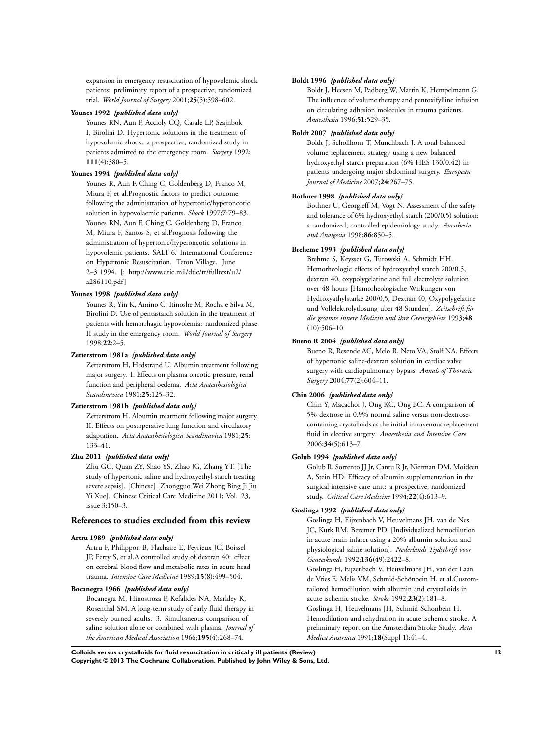expansion in emergency resuscitation of hypovolemic shock patients: preliminary report of a prospective, randomized trial. *World Journal of Surgery* 2001;**25**(5):598–602.

#### **Younes 1992** *{published data only}*

Younes RN, Aun F, Accioly CQ, Casale LP, Szajnbok I, Birolini D. Hypertonic solutions in the treatment of hypovolemic shock: a prospective, randomized study in patients admitted to the emergency room. *Surgery* 1992; **111**(4):380–5.

#### **Younes 1994** *{published data only}*

Younes R, Aun F, Ching C, Goldenberg D, Franco M, Miura F, et al.Prognostic factors to predict outcome following the administration of hypertonic/hyperoncotic solution in hypovolaemic patients. *Shock* 1997;**7**:79–83. Younes RN, Aun F, Ching C, Goldenberg D, Franco M, Miura F, Santos S, et al.Prognosis following the administration of hypertonic/hyperoncotic solutions in hypovolemic patients. SALT 6. International Conference on Hypertonic Resuscitation. Teton Village. June 2–3 1994. [: http://www.dtic.mil/dtic/tr/fulltext/u2/ a286110.pdf]

#### **Younes 1998** *{published data only}*

Younes R, Yin K, Amino C, Itinoshe M, Rocha e Silva M, Birolini D. Use of pentastarch solution in the treatment of patients with hemorrhagic hypovolemia: randomized phase II study in the emergency room. *World Journal of Surgery* 1998;**22**:2–5.

#### **Zetterstrom 1981a** *{published data only}*

Zetterstrom H, Hedstrand U. Albumin treatment following major surgery. I. Effects on plasma oncotic pressure, renal function and peripheral oedema. *Acta Anaesthesiologica Scandinavica* 1981;**25**:125–32.

#### **Zetterstrom 1981b** *{published data only}*

Zetterstrom H. Albumin treatment following major surgery. II. Effects on postoperative lung function and circulatory adaptation. *Acta Anaesthesiologica Scandinavica* 1981;**25**: 133–41.

#### **Zhu 2011** *{published data only}*

Zhu GC, Quan ZY, Shao YS, Zhao JG, Zhang YT. [The study of hypertonic saline and hydroxyethyl starch treating severe sepsis]. [Chinese] [Zhongguo Wei Zhong Bing Ji Jiu Yi Xue]. Chinese Critical Care Medicine 2011; Vol. 23, issue 3:150–3.

#### **References to studies excluded from this review**

#### **Artru 1989** *{published data only}*

Artru F, Philippon B, Flachaire E, Peyrieux JC, Boissel JP, Ferry S, et al.A controlled study of dextran 40: effect on cerebral blood flow and metabolic rates in acute head trauma. *Intensive Care Medicine* 1989;**15**(8):499–504.

#### **Bocanegra 1966** *{published data only}*

Bocanegra M, Hinostroza F, Kefalides NA, Markley K, Rosenthal SM. A long-term study of early fluid therapy in severely burned adults. 3. Simultaneous comparison of saline solution alone or combined with plasma. *Journal of the American Medical Association* 1966;**195**(4):268–74.

#### **Boldt 1996** *{published data only}*

Boldt J, Heesen M, Padberg W, Martin K, Hempelmann G. The influence of volume therapy and pentoxifylline infusion on circulating adhesion molecules in trauma patients. *Anaesthesia* 1996;**51**:529–35.

#### **Boldt 2007** *{published data only}*

Boldt J, Schollhorn T, Munchbach J. A total balanced volume replacement strategy using a new balanced hydroxyethyl starch preparation (6% HES 130/0.42) in patients undergoing major abdominal surgery. *European Journal of Medicine* 2007;**24**:267–75.

#### **Bothner 1998** *{published data only}*

Bothner U, Georgieff M, Vogt N. Assessment of the safety and tolerance of 6% hydroxyethyl starch (200/0.5) solution: a randomized, controlled epidemiology study. *Anesthesia and Analgesia* 1998;**86**:850–5.

#### **Breheme 1993** *{published data only}*

Brehme S, Keysser G, Turowski A, Schmidt HH. Hemorheologic effects of hydroxyethyl starch 200/0.5, dextran 40, oxypolygelatine and full electrolyte solution over 48 hours [Hamorheologische Wirkungen von Hydroxyathylstarke 200/0,5, Dextran 40, Oxypolygelatine und Vollelektrolytlosung uber 48 Stunden]. *Zeitschrift für die gesamte innere Medizin und ihre Grenzgebiete* 1993;**48**  $(10):506-10.$ 

#### **Bueno R 2004** *{published data only}*

Bueno R, Resende AC, Melo R, Neto VA, Stolf NA. Effects of hypertonic saline-dextran solution in cardiac valve surgery with cardiopulmonary bypass. *Annals of Thoracic Surgery* 2004;**77**(2):604–11.

#### **Chin 2006** *{published data only}*

Chin Y, Macachor J, Ong KC, Ong BC. A comparison of 5% dextrose in 0.9% normal saline versus non-dextrosecontaining crystalloids as the initial intravenous replacement fluid in elective surgery. *Anaesthesia and Intensive Care* 2006;**34**(5):613–7.

#### **Golub 1994** *{published data only}*

Golub R, Sorrento JJ Jr, Cantu R Jr, Nierman DM, Moideen A, Stein HD. Efficacy of albumin supplementation in the surgical intensive care unit: a prospective, randomized study. *Critical Care Medicine* 1994;**22**(4):613–9.

#### **Goslinga 1992** *{published data only}*

Goslinga H, Eijzenbach V, Heuvelmans JH, van de Nes JC, Kurk RM, Bezemer PD. [Individualized hemodilution in acute brain infarct using a 20% albumin solution and physiological saline solution]. *Nederlands Tijdschrift voor Geneeskunde* 1992;**136**(49):2422–8.

Goslinga H, Eijzenbach V, Heuvelmans JH, van der Laan de Vries E, Melis VM, Schmid-Schönbein H, et al.Customtailored hemodilution with albumin and crystalloids in acute ischemic stroke. *Stroke* 1992;**23**(2):181–8. Goslinga H, Heuvelmans JH, Schmid Schonbein H. Hemodilution and rehydration in acute ischemic stroke. A preliminary report on the Amsterdam Stroke Study. *Acta Medica Austriaca* 1991;**18**(Suppl 1):41–4.

**Colloids versus crystalloids for fluid resuscitation in critically ill patients (Review) 12 Copyright © 2013 The Cochrane Collaboration. Published by John Wiley & Sons, Ltd.**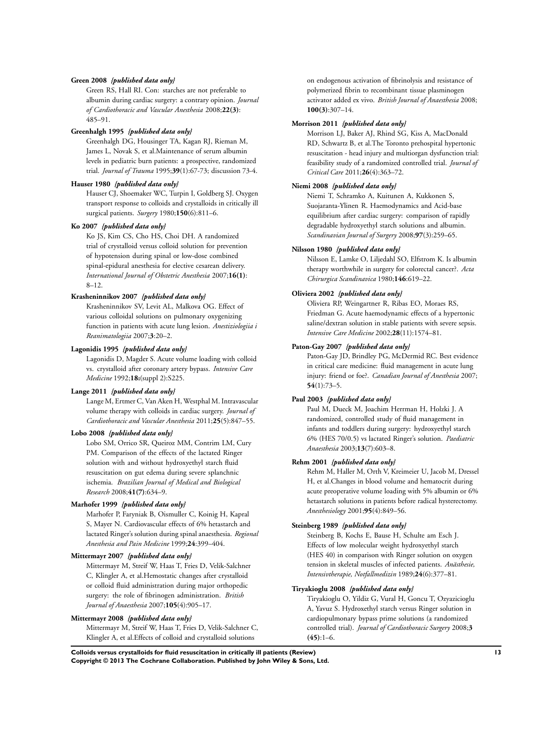#### **Green 2008** *{published data only}*

Green RS, Hall RI. Con: starches are not preferable to albumin during cardiac surgery: a contrary opinion. *Journal of Cardiothoracic and Vascular Anesthesia* 2008;**22(3)**: 485–91.

#### **Greenhalgh 1995** *{published data only}*

Greenhalgh DG, Housinger TA, Kagan RJ, Rieman M, James L, Novak S, et al.Maintenance of serum albumin levels in pediatric burn patients: a prospective, randomized trial. *Journal of Trauma* 1995;**39**(1):67-73; discussion 73-4.

#### **Hauser 1980** *{published data only}*

Hauser CJ, Shoemaker WC, Turpin I, Goldberg SJ. Oxygen transport response to colloids and crystalloids in critically ill surgical patients. *Surgery* 1980;**150**(6):811–6.

#### **Ko 2007** *{published data only}*

Ko JS, Kim CS, Cho HS, Choi DH. A randomized trial of crystalloid versus colloid solution for prevention of hypotension during spinal or low-dose combined spinal-epidural anesthesia for elective cesarean delivery. *International Journal of Obstetric Anesthesia* 2007;**16(1)**: 8–12.

#### **Krasheninnikov 2007** *{published data only}*

Krasheninnikov SV, Levit AL, Malkova OG. Effect of various colloidal solutions on pulmonary oxygenizing function in patients with acute lung lesion. *Anestiziologiia i Reanimatologiia* 2007;**3**:20–2.

#### **Lagonidis 1995** *{published data only}*

Lagonidis D, Magder S. Acute volume loading with colloid vs. crystalloid after coronary artery bypass. *Intensive Care Medicine* 1992;**18:**(suppl 2):S225.

#### **Lange 2011** *{published data only}*

Lange M, Ertmer C, Van Aken H, Westphal M. Intravascular volume therapy with colloids in cardiac surgery. *Journal of Cardiothoracic and Vascular Anesthesia* 2011;**25**(5):847–55.

#### **Lobo 2008** *{published data only}*

Lobo SM, Orrico SR, Queiroz MM, Contrim LM, Cury PM. Comparison of the effects of the lactated Ringer solution with and without hydroxyethyl starch fluid resuscitation on gut edema during severe splanchnic ischemia. *Brazilian Journal of Medical and Biological Research* 2008;**41(7)**:634–9.

#### **Marhofer 1999** *{published data only}*

Marhofer P, Faryniak B, Oismuller C, Koinig H, Kapral S, Mayer N. Cardiovascular effects of 6% hetastarch and lactated Ringer's solution during spinal anaesthesia. *Regional Anesthesia and Pain Medicine* 1999;**24**:399–404.

#### **Mittermayr 2007** *{published data only}*

Mittermayr M, Streif W, Haas T, Fries D, Velik-Salchner C, Klingler A, et al.Hemostatic changes after crystalloid or colloid fluid administration during major orthopedic surgery: the role of fibrinogen administration. *British Journal of Anaesthesia* 2007;**105**(4):905–17.

#### **Mittermayr 2008** *{published data only}*

Mittermayr M, Streif W, Haas T, Fries D, Velik-Salchner C, Klingler A, et al.Effects of colloid and crystalloid solutions

on endogenous activation of fibrinolysis and resistance of polymerized fibrin to recombinant tissue plasminogen activator added ex vivo. *British Journal of Anaesthesia* 2008; **100(3)**:307–14.

#### **Morrison 2011** *{published data only}*

Morrison LJ, Baker AJ, Rhind SG, Kiss A, MacDonald RD, Schwartz B, et al.The Toronto prehospital hypertonic resuscitation - head injury and multiorgan dysfunction trial: feasibility study of a randomized controlled trial. *Journal of Critical Care* 2011;**26**(4):363–72.

#### **Niemi 2008** *{published data only}*

Niemi T, Schramko A, Kuitunen A, Kukkonen S, Suojaranta-Ylinen R. Haemodynamics and Acid-base equilibrium after cardiac surgery: comparison of rapidly degradable hydroxyethyl starch solutions and albumin. *Scandinavian Journal of Surgery* 2008;**97**(3):259–65.

#### **Nilsson 1980** *{published data only}*

Nilsson E, Lamke O, Liljedahl SO, Elfstrom K. Is albumin therapy worthwhile in surgery for colorectal cancer?. *Acta Chirurgica Scandinavica* 1980;**146**:619–22.

#### **Oliviera 2002** *{published data only}*

Oliviera RP, Weingartner R, Ribas EO, Moraes RS, Friedman G. Acute haemodynamic effects of a hypertonic saline/dextran solution in stable patients with severe sepsis. *Intensive Care Medicine* 2002;**28**(11):1574–81.

#### **Paton-Gay 2007** *{published data only}*

Paton-Gay JD, Brindley PG, McDermid RC. Best evidence in critical care medicine: fluid management in acute lung injury: friend or foe?. *Canadian Journal of Anesthesia* 2007; **54**(1):73–5.

#### **Paul 2003** *{published data only}*

Paul M, Dueck M, Joachim Herrman H, Holzki J. A randomized, controlled study of fluid management in infants and toddlers during surgery: hydroxyethyl starch 6% (HES 70/0.5) vs lactated Ringer's solution. *Paediatric Anaesthesia* 2003;**13**(7):603–8.

#### **Rehm 2001** *{published data only}*

Rehm M, Haller M, Orth V, Kreimeier U, Jacob M, Dressel H, et al.Changes in blood volume and hematocrit during acute preoperative volume loading with 5% albumin or 6% hetastarch solutions in patients before radical hysterectomy. *Anesthesiology* 2001;**95**(4):849–56.

#### **Steinberg 1989** *{published data only}*

Steinberg B, Kochs E, Bause H, Schulte am Esch J. Effects of low molecular weight hydroxyethyl starch (HES 40) in comparison with Ringer solution on oxygen tension in skeletal muscles of infected patients. *Anästhesie, Intensivtherapie, Notfallmedizin* 1989;**24**(6):377–81.

#### **Tiryakioglu 2008** *{published data only}*

Tiryakioglu O, Yildiz G, Vural H, Goncu T, Ozyazicioglu A, Yavuz S. Hydroxethyl starch versus Ringer solution in cardiopulmonary bypass prime solutions (a randomized controlled trial). *Journal of Cardiothoracic Surgery* 2008;**3 (45)**:1–6.

**Colloids versus crystalloids for fluid resuscitation in critically ill patients (Review) 13 Copyright © 2013 The Cochrane Collaboration. Published by John Wiley & Sons, Ltd.**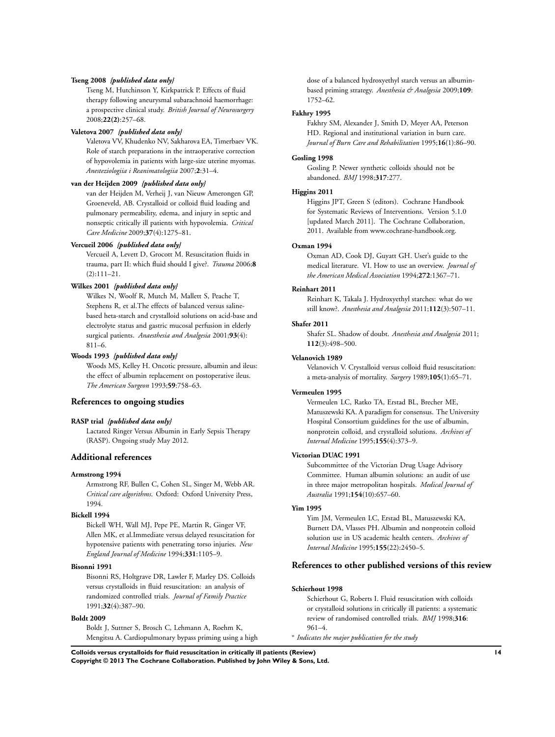#### **Tseng 2008** *{published data only}*

Tseng M, Hutchinson Y, Kirkpatrick P. Effects of fluid therapy following aneurysmal subarachnoid haemorrhage: a prospective clinical study. *British Journal of Neurosurgery* 2008;**22(2)**:257–68.

#### **Valetova 2007** *{published data only}*

Valetova VV, Khudenko NV, Sakharova EA, Timerbaev VK. Role of starch preparations in the intraoperative correction of hypovolemia in patients with large-size uterine myomas. *Anesteziologiia i Reanimatologiia* 2007;**2**:31–4.

#### **van der Heijden 2009** *{published data only}*

van der Heijden M, Verheij J, van Nieuw Amerongen GP, Groeneveld, AB. Crystalloid or colloid fluid loading and pulmonary permeability, edema, and injury in septic and nonseptic critically ill patients with hypovolemia. *Critical Care Medicine* 2009;**37**(4):1275–81.

#### **Vercueil 2006** *{published data only}*

Vercueil A, Levett D, Grocott M. Resuscitation fluids in trauma, part II: which fluid should I give?. *Trauma* 2006;**8** (2):111–21.

#### **Wilkes 2001** *{published data only}*

Wilkes N, Woolf R, Mutch M, Mallett S, Peache T, Stephens R, et al.The effects of balanced versus salinebased heta-starch and crystalloid solutions on acid-base and electrolyte status and gastric mucosal perfusion in elderly surgical patients. *Anaesthesia and Analgesia* 2001;**93**(4): 811–6.

#### **Woods 1993** *{published data only}*

Woods MS, Kelley H. Oncotic pressure, albumin and ileus: the effect of albumin replacement on postoperative ileus. *The American Surgeon* 1993;**59**:758–63.

#### **References to ongoing studies**

#### **RASP trial** *{published data only}*

Lactated Ringer Versus Albumin in Early Sepsis Therapy (RASP). Ongoing study May 2012.

## **Additional references**

#### **Armstrong 1994**

Armstrong RF, Bullen C, Cohen SL, Singer M, Webb AR. *Critical care algorithms*. Oxford: Oxford University Press, 1994.

#### **Bickell 1994**

Bickell WH, Wall MJ, Pepe PE, Martin R, Ginger VF, Allen MK, et al.Immediate versus delayed resuscitation for hypotensive patients with penetrating torso injuries. *New England Journal of Medicine* 1994;**331**:1105–9.

#### **Bisonni 1991**

Bisonni RS, Holtgrave DR, Lawler F, Marley DS. Colloids versus crystalloids in fluid resuscitation: an analysis of randomized controlled trials. *Journal of Family Practice* 1991;**32**(4):387–90.

#### **Boldt 2009**

Boldt J, Suttner S, Brosch C, Lehmann A, Roehm K, Mengitsu A. Cardiopulmonary bypass priming using a high dose of a balanced hydroxyethyl starch versus an albuminbased priming strategy. *Anesthesia & Analgesia* 2009;**109**: 1752–62.

#### **Fakhry 1995**

Fakhry SM, Alexander J, Smith D, Meyer AA, Peterson HD. Regional and institutional variation in burn care. *Journal of Burn Care and Rehabilitation* 1995;**16**(1):86–90.

#### **Gosling 1998**

Gosling P. Newer synthetic colloids should not be abandoned. *BMJ* 1998;**317**:277.

#### **Higgins 2011**

Higgins JPT, Green S (editors). Cochrane Handbook for Systematic Reviews of Interventions. Version 5.1.0 [updated March 2011]. The Cochrane Collaboration, 2011. Available from www.cochrane-handbook.org.

#### **Oxman 1994**

Oxman AD, Cook DJ, Guyatt GH. User's guide to the medical literature. VI. How to use an overview. *Journal of the American Medical Association* 1994;**272**:1367–71.

#### **Reinhart 2011**

Reinhart K, Takala J. Hydroxyethyl starches: what do we still know?. *Anesthesia and Analgesia* 2011;**112**(3):507–11.

#### **Shafer 2011**

Shafer SL. Shadow of doubt. *Anesthesia and Analgesia* 2011; **112**(3):498–500.

#### **Velanovich 1989**

Velanovich V. Crystalloid versus colloid fluid resuscitation: a meta-analysis of mortality. *Surgery* 1989;**105**(1):65–71.

#### **Vermeulen 1995**

Vermeulen LC, Ratko TA, Erstad BL, Brecher ME, Matuszewski KA. A paradigm for consensus. The University Hospital Consortium guidelines for the use of albumin, nonprotein colloid, and crystalloid solutions. *Archives of Internal Medicine* 1995;**155**(4):373–9.

#### **Victorian DUAC 1991**

Subcommittee of the Victorian Drug Usage Advisory Committee. Human albumin solutions: an audit of use in three major metropolitan hospitals. *Medical Journal of Australia* 1991;**154**(10):657–60.

#### **Yim 1995**

Yim JM, Vermeulen LC, Erstad BL, Matuszewski KA, Burnett DA, Vlasses PH. Albumin and nonprotein colloid solution use in US academic health centers. *Archives of Internal Medicine* 1995;**155**(22):2450–5.

#### **References to other published versions of this review**

#### **Schierhout 1998**

Schierhout G, Roberts I. Fluid resuscitation with colloids or crystalloid solutions in critically ill patients: a systematic review of randomised controlled trials. *BMJ* 1998;**316**: 961–4.

∗ *Indicates the major publication for the study*

**Colloids versus crystalloids for fluid resuscitation in critically ill patients (Review) 14 Copyright © 2013 The Cochrane Collaboration. Published by John Wiley & Sons, Ltd.**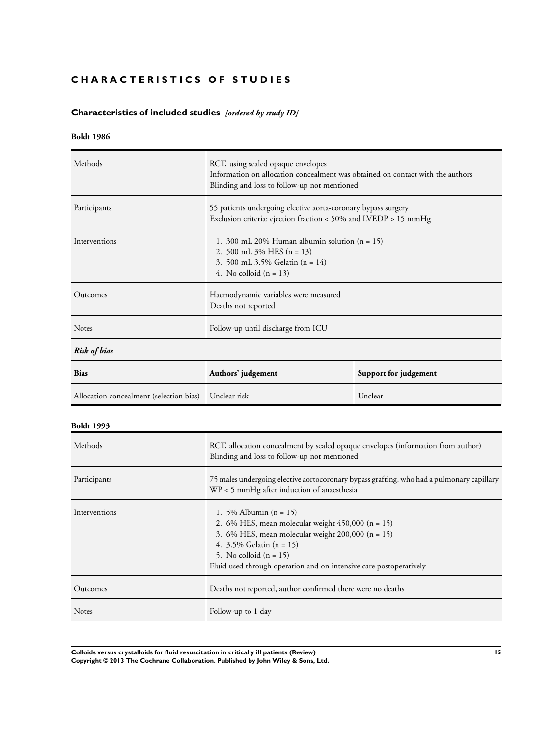## <span id="page-16-0"></span>**CHARACTERISTICS OF STUDIES**

## **Characteristics of included studies** *[ordered by study ID]*

## **Boldt 1986**

| Methods       | RCT, using sealed opaque envelopes<br>Information on allocation concealment was obtained on contact with the authors<br>Blinding and loss to follow-up not mentioned |  |
|---------------|----------------------------------------------------------------------------------------------------------------------------------------------------------------------|--|
| Participants  | 55 patients undergoing elective aorta-coronary bypass surgery<br>Exclusion criteria: ejection fraction < 50% and LVEDP > 15 mmHg                                     |  |
| Interventions | 1. 300 mL 20% Human albumin solution $(n = 15)$<br>2. 500 mL $3\%$ HES (n = 13)<br>3. 500 mL 3.5% Gelatin (n = 14)<br>4. No colloid $(n = 13)$                       |  |
| Outcomes      | Haemodynamic variables were measured<br>Deaths not reported                                                                                                          |  |
| <b>Notes</b>  | Follow-up until discharge from ICU                                                                                                                                   |  |
| Risk of bias  |                                                                                                                                                                      |  |
| <b>Bias</b>   | Authors' judgement<br>Support for judgement                                                                                                                          |  |

| <b>Bias</b>                                          | Authors' judgement | Support for judgement |
|------------------------------------------------------|--------------------|-----------------------|
| Allocation concealment (selection bias) Unclear risk |                    | Unclear               |

## **Boldt 1993**

| Methods       | RCT, allocation concealment by sealed opaque envelopes (information from author)<br>Blinding and loss to follow-up not mentioned                                                                                                                                        |
|---------------|-------------------------------------------------------------------------------------------------------------------------------------------------------------------------------------------------------------------------------------------------------------------------|
| Participants  | 75 males undergoing elective aortocoronary bypass grafting, who had a pulmonary capillary<br>WP < 5 mmHg after induction of anaesthesia                                                                                                                                 |
| Interventions | 1. 5% Albumin $(n = 15)$<br>2. 6% HES, mean molecular weight $450,000$ (n = 15)<br>3. 6% HES, mean molecular weight 200,000 $(n = 15)$<br>4. $3.5\%$ Gelatin (n = 15)<br>5. No colloid $(n = 15)$<br>Fluid used through operation and on intensive care postoperatively |
| Outcomes      | Deaths not reported, author confirmed there were no deaths                                                                                                                                                                                                              |
| <b>Notes</b>  | Follow-up to 1 day                                                                                                                                                                                                                                                      |

**Colloids versus crystalloids for fluid resuscitation in critically ill patients (Review) 15 Copyright © 2013 The Cochrane Collaboration. Published by John Wiley & Sons, Ltd.**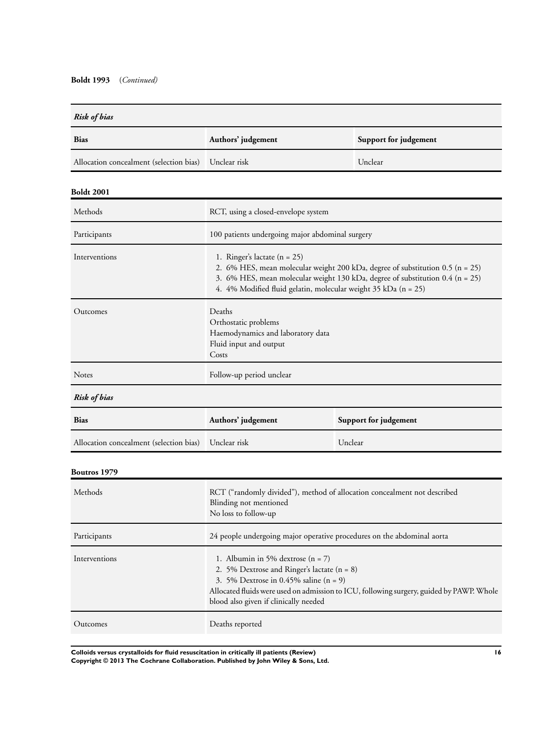| <b>Risk of bias</b>                     |                                                                                                                                                                                                                                                                       |                       |
|-----------------------------------------|-----------------------------------------------------------------------------------------------------------------------------------------------------------------------------------------------------------------------------------------------------------------------|-----------------------|
| Bias                                    | Authors' judgement                                                                                                                                                                                                                                                    | Support for judgement |
| Allocation concealment (selection bias) | Unclear risk                                                                                                                                                                                                                                                          | Unclear               |
| <b>Boldt 2001</b>                       |                                                                                                                                                                                                                                                                       |                       |
| Methods                                 | RCT, using a closed-envelope system                                                                                                                                                                                                                                   |                       |
| Participants                            | 100 patients undergoing major abdominal surgery                                                                                                                                                                                                                       |                       |
| Interventions                           | 1. Ringer's lactate $(n = 25)$<br>2. 6% HES, mean molecular weight 200 kDa, degree of substitution 0.5 (n = 25)<br>3. 6% HES, mean molecular weight 130 kDa, degree of substitution 0.4 (n = 25)<br>4. 4% Modified fluid gelatin, molecular weight 35 kDa (n = 25)    |                       |
| Outcomes                                | Deaths<br>Orthostatic problems<br>Haemodynamics and laboratory data<br>Fluid input and output<br>Costs                                                                                                                                                                |                       |
| Notes                                   | Follow-up period unclear                                                                                                                                                                                                                                              |                       |
| <b>Risk of bias</b>                     |                                                                                                                                                                                                                                                                       |                       |
| <b>Bias</b>                             | Authors' judgement<br>Support for judgement                                                                                                                                                                                                                           |                       |
| Allocation concealment (selection bias) | Unclear risk<br>Unclear                                                                                                                                                                                                                                               |                       |
| <b>Boutros 1979</b>                     |                                                                                                                                                                                                                                                                       |                       |
| Methods                                 | RCT ("randomly divided"), method of allocation concealment not described<br>Blinding not mentioned<br>No loss to follow-up                                                                                                                                            |                       |
| Participants                            | 24 people undergoing major operative procedures on the abdominal aorta                                                                                                                                                                                                |                       |
| Interventions                           | 1. Albumin in 5% dextrose $(n = 7)$<br>2. 5% Dextrose and Ringer's lactate $(n = 8)$<br>3. 5% Dextrose in 0.45% saline $(n = 9)$<br>Allocated fluids were used on admission to ICU, following surgery, guided by PAWP. Whole<br>blood also given if clinically needed |                       |
| Outcomes                                | Deaths reported                                                                                                                                                                                                                                                       |                       |

**Colloids versus crystalloids for fluid resuscitation in critically ill patients (Review) 16 Copyright © 2013 The Cochrane Collaboration. Published by John Wiley & Sons, Ltd.**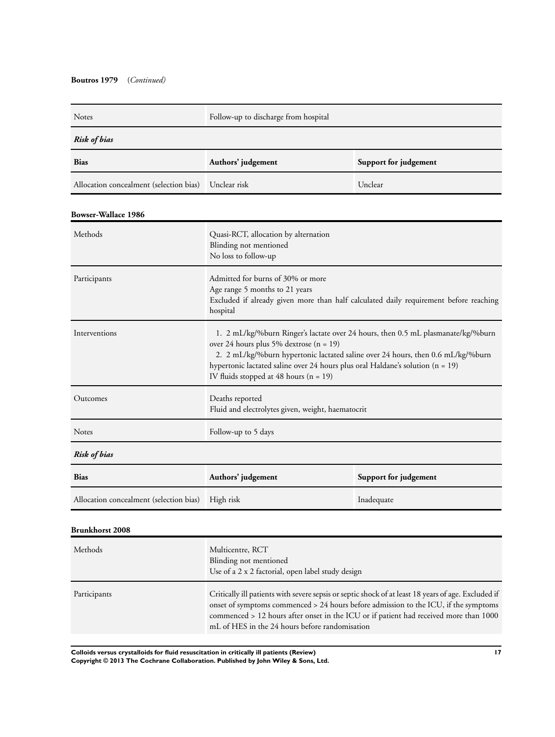| Notes                                   | Follow-up to discharge from hospital                                                                                                                                                                                                                                                                                                         |            |  |
|-----------------------------------------|----------------------------------------------------------------------------------------------------------------------------------------------------------------------------------------------------------------------------------------------------------------------------------------------------------------------------------------------|------------|--|
| Risk of bias                            |                                                                                                                                                                                                                                                                                                                                              |            |  |
| <b>Bias</b>                             | Support for judgement<br>Authors' judgement                                                                                                                                                                                                                                                                                                  |            |  |
| Allocation concealment (selection bias) | Unclear risk                                                                                                                                                                                                                                                                                                                                 | Unclear    |  |
| <b>Bowser-Wallace 1986</b>              |                                                                                                                                                                                                                                                                                                                                              |            |  |
| Methods                                 | Quasi-RCT, allocation by alternation<br>Blinding not mentioned<br>No loss to follow-up                                                                                                                                                                                                                                                       |            |  |
| Participants                            | Admitted for burns of 30% or more<br>Age range 5 months to 21 years<br>Excluded if already given more than half calculated daily requirement before reaching<br>hospital                                                                                                                                                                     |            |  |
| Interventions                           | 1. 2 mL/kg/%burn Ringer's lactate over 24 hours, then 0.5 mL plasmanate/kg/%burn<br>over 24 hours plus 5% dextrose (n = 19)<br>2. 2 mL/kg/%burn hypertonic lactated saline over 24 hours, then 0.6 mL/kg/%burn<br>hypertonic lactated saline over 24 hours plus oral Haldane's solution (n = 19)<br>IV fluids stopped at 48 hours $(n = 19)$ |            |  |
| Outcomes                                | Deaths reported<br>Fluid and electrolytes given, weight, haematocrit                                                                                                                                                                                                                                                                         |            |  |
| Notes                                   | Follow-up to 5 days                                                                                                                                                                                                                                                                                                                          |            |  |
| <b>Risk of bias</b>                     |                                                                                                                                                                                                                                                                                                                                              |            |  |
| <b>Bias</b>                             | Authors' judgement<br>Support for judgement                                                                                                                                                                                                                                                                                                  |            |  |
| Allocation concealment (selection bias) | High risk                                                                                                                                                                                                                                                                                                                                    | Inadequate |  |
| Brunkhorst 2008                         |                                                                                                                                                                                                                                                                                                                                              |            |  |
| Methods                                 | Multicentre, RCT<br>Blinding not mentioned<br>Use of a 2 x 2 factorial, open label study design                                                                                                                                                                                                                                              |            |  |

Participants Critically ill patients with severe sepsis or septic shock of at least 18 years of age. Excluded if onset of symptoms commenced > 24 hours before admission to the ICU, if the symptoms commenced > 12 hours after onset in the ICU or if patient had received more than 1000 mL of HES in the 24 hours before randomisation

**Colloids versus crystalloids for fluid resuscitation in critically ill patients (Review) 17 Copyright © 2013 The Cochrane Collaboration. Published by John Wiley & Sons, Ltd.**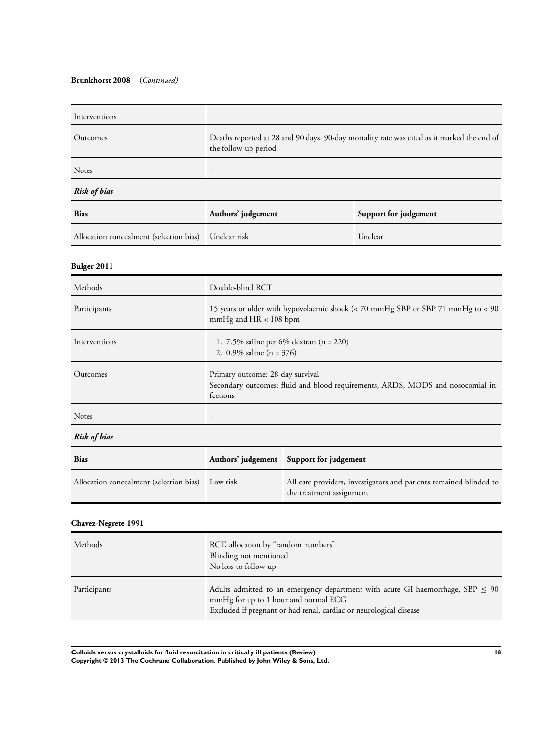#### **Brunkhorst 2008** (*Continued)*

| Interventions                           |                                                                                                                                 |  |         |
|-----------------------------------------|---------------------------------------------------------------------------------------------------------------------------------|--|---------|
| Outcomes                                | Deaths reported at 28 and 90 days. 90-day mortality rate was cited as it marked the end of<br>the follow-up period              |  |         |
| Notes                                   |                                                                                                                                 |  |         |
| Risk of bias                            |                                                                                                                                 |  |         |
| <b>Bias</b>                             | Authors' judgement<br>Support for judgement                                                                                     |  |         |
| Allocation concealment (selection bias) | Unclear risk                                                                                                                    |  | Unclear |
| <b>Bulger 2011</b>                      |                                                                                                                                 |  |         |
| Methods                                 | Double-blind RCT                                                                                                                |  |         |
| Participants                            | 15 years or older with hypovolaemic shock (< 70 mmHg SBP or SBP 71 mmHg to < 90<br>mmHg and HR < 108 bpm                        |  |         |
| Interventions                           | 1. 7.5% saline per $6\%$ dextran (n = 220)<br>2. 0.9% saline $(n = 376)$                                                        |  |         |
| Outcomes                                | Primary outcome: 28-day survival<br>Secondary outcomes: fluid and blood requirements, ARDS, MODS and nosocomial in-<br>fections |  |         |
| Notes                                   |                                                                                                                                 |  |         |
| <b>Risk of bias</b>                     |                                                                                                                                 |  |         |
| <b>Bias</b>                             | Authors' judgement<br>Support for judgement                                                                                     |  |         |
| Allocation concealment (selection bias) | All care providers, investigators and patients remained blinded to<br>Low risk<br>the treatment assignment                      |  |         |
| Chavez-Negrete 1991                     |                                                                                                                                 |  |         |
| Methods                                 | RCT, allocation by "random numbers"<br>Blinding not mentioned<br>No loss to follow-up                                           |  |         |

Participants Adults admitted to an emergency department with acute GI haemorrhage, SBP ≤ 90 mmHg for up to 1 hour and normal ECG Excluded if pregnant or had renal, cardiac or neurological disease

**Colloids versus crystalloids for fluid resuscitation in critically ill patients (Review) 18 Copyright © 2013 The Cochrane Collaboration. Published by John Wiley & Sons, Ltd.**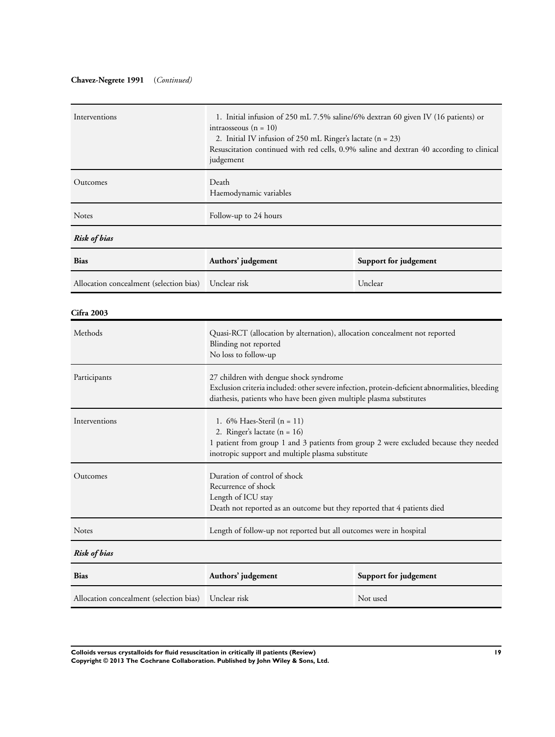## **Chavez-Negrete 1991** (*Continued)*

| Interventions                           | 1. Initial infusion of 250 mL 7.5% saline/6% dextran 60 given IV (16 patients) or<br>intraosseous $(n = 10)$<br>2. Initial IV infusion of 250 mL Ringer's lactate $(n = 23)$<br>Resuscitation continued with red cells, 0.9% saline and dextran 40 according to clinical<br>judgement |          |  |
|-----------------------------------------|---------------------------------------------------------------------------------------------------------------------------------------------------------------------------------------------------------------------------------------------------------------------------------------|----------|--|
| Outcomes                                | Death<br>Haemodynamic variables                                                                                                                                                                                                                                                       |          |  |
| Notes                                   | Follow-up to 24 hours                                                                                                                                                                                                                                                                 |          |  |
| <b>Risk of bias</b>                     |                                                                                                                                                                                                                                                                                       |          |  |
| <b>Bias</b>                             | Authors' judgement<br>Support for judgement                                                                                                                                                                                                                                           |          |  |
| Allocation concealment (selection bias) | Unclear risk                                                                                                                                                                                                                                                                          | Unclear  |  |
| <b>Cifra 2003</b>                       |                                                                                                                                                                                                                                                                                       |          |  |
| Methods                                 | Quasi-RCT (allocation by alternation), allocation concealment not reported<br>Blinding not reported<br>No loss to follow-up                                                                                                                                                           |          |  |
| Participants                            | 27 children with dengue shock syndrome<br>Exclusion criteria included: other severe infection, protein-deficient abnormalities, bleeding<br>diathesis, patients who have been given multiple plasma substitutes                                                                       |          |  |
| Interventions                           | 1. 6% Haes-Steril $(n = 11)$<br>2. Ringer's lactate $(n = 16)$<br>1 patient from group 1 and 3 patients from group 2 were excluded because they needed<br>inotropic support and multiple plasma substitute                                                                            |          |  |
| Outcomes                                | Duration of control of shock<br>Recurrence of shock<br>Length of ICU stay<br>Death not reported as an outcome but they reported that 4 patients died                                                                                                                                  |          |  |
| Notes                                   | Length of follow-up not reported but all outcomes were in hospital                                                                                                                                                                                                                    |          |  |
| <b>Risk of bias</b>                     |                                                                                                                                                                                                                                                                                       |          |  |
| Bias                                    | Support for judgement<br>Authors' judgement                                                                                                                                                                                                                                           |          |  |
| Allocation concealment (selection bias) | Unclear risk                                                                                                                                                                                                                                                                          | Not used |  |

**Colloids versus crystalloids for fluid resuscitation in critically ill patients (Review) 19 Copyright © 2013 The Cochrane Collaboration. Published by John Wiley & Sons, Ltd.**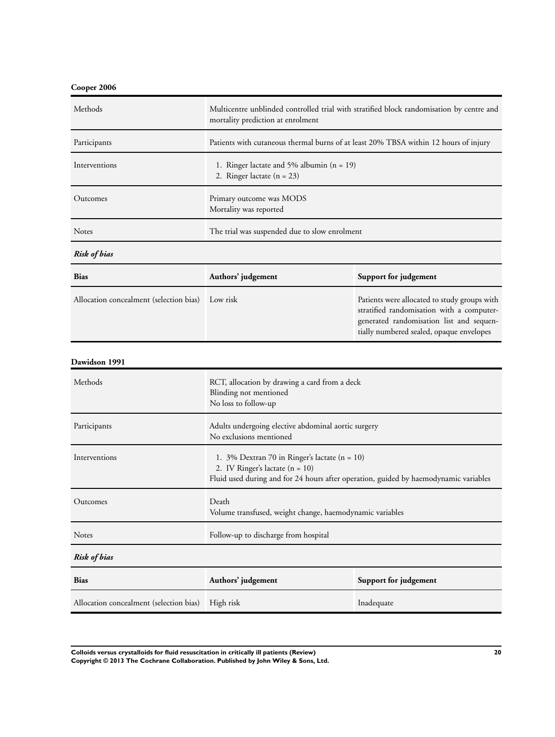## **Cooper 2006**

| Methods                                 | Multicentre unblinded controlled trial with stratified block randomisation by centre and<br>mortality prediction at enrolment                                              |                                                                                                                                                                                   |
|-----------------------------------------|----------------------------------------------------------------------------------------------------------------------------------------------------------------------------|-----------------------------------------------------------------------------------------------------------------------------------------------------------------------------------|
| Participants                            | Patients with cutaneous thermal burns of at least 20% TBSA within 12 hours of injury                                                                                       |                                                                                                                                                                                   |
| Interventions                           | 1. Ringer lactate and 5% albumin $(n = 19)$<br>2. Ringer lactate $(n = 23)$                                                                                                |                                                                                                                                                                                   |
| Outcomes                                | Primary outcome was MODS<br>Mortality was reported                                                                                                                         |                                                                                                                                                                                   |
| Notes                                   | The trial was suspended due to slow enrolment                                                                                                                              |                                                                                                                                                                                   |
| <b>Risk of bias</b>                     |                                                                                                                                                                            |                                                                                                                                                                                   |
| Bias                                    | Authors' judgement                                                                                                                                                         | Support for judgement                                                                                                                                                             |
| Allocation concealment (selection bias) | Low risk                                                                                                                                                                   | Patients were allocated to study groups with<br>stratified randomisation with a computer-<br>generated randomisation list and sequen-<br>tially numbered sealed, opaque envelopes |
| Dawidson 1991                           |                                                                                                                                                                            |                                                                                                                                                                                   |
| Methods                                 | RCT, allocation by drawing a card from a deck<br>Blinding not mentioned<br>No loss to follow-up                                                                            |                                                                                                                                                                                   |
| Participants                            | Adults undergoing elective abdominal aortic surgery<br>No exclusions mentioned                                                                                             |                                                                                                                                                                                   |
| Interventions                           | 1. 3% Dextran 70 in Ringer's lactate (n = 10)<br>2. IV Ringer's lactate $(n = 10)$<br>Fluid used during and for 24 hours after operation, guided by haemodynamic variables |                                                                                                                                                                                   |
| Outcomes                                | Death<br>Volume transfused, weight change, haemodynamic variables                                                                                                          |                                                                                                                                                                                   |
| Notes                                   | Follow-up to discharge from hospital                                                                                                                                       |                                                                                                                                                                                   |
| <b>Risk of bias</b>                     |                                                                                                                                                                            |                                                                                                                                                                                   |
| <b>Bias</b>                             | Support for judgement<br>Authors' judgement                                                                                                                                |                                                                                                                                                                                   |
| Allocation concealment (selection bias) | High risk                                                                                                                                                                  | Inadequate                                                                                                                                                                        |

**Colloids versus crystalloids for fluid resuscitation in critically ill patients (Review) 20 Copyright © 2013 The Cochrane Collaboration. Published by John Wiley & Sons, Ltd.**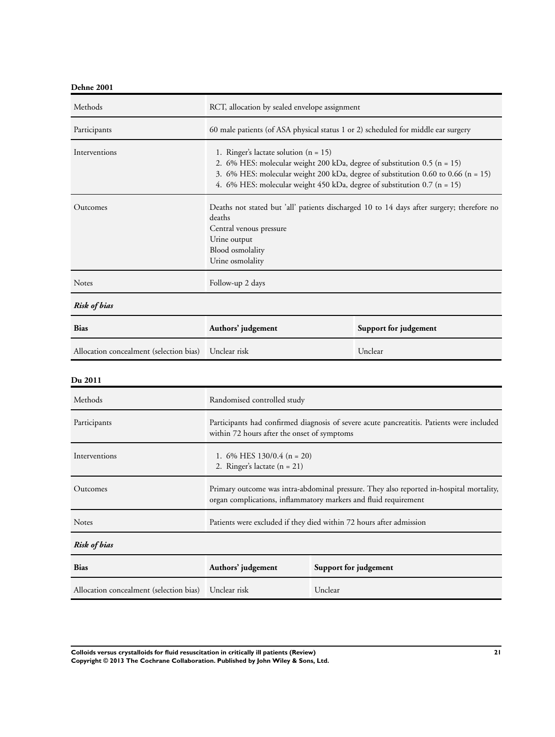| Dehne 2001 |  |
|------------|--|
|------------|--|

| Methods       | RCT, allocation by sealed envelope assignment                                                                                                                                                                                                                                          |
|---------------|----------------------------------------------------------------------------------------------------------------------------------------------------------------------------------------------------------------------------------------------------------------------------------------|
| Participants  | 60 male patients (of ASA physical status 1 or 2) scheduled for middle ear surgery                                                                                                                                                                                                      |
| Interventions | 1. Ringer's lactate solution $(n = 15)$<br>2. 6% HES: molecular weight 200 kDa, degree of substitution 0.5 (n = 15)<br>3. 6% HES: molecular weight 200 kDa, degree of substitution 0.60 to 0.66 (n = 15)<br>4. 6% HES: molecular weight 450 kDa, degree of substitution $0.7$ (n = 15) |
| Outcomes      | Deaths not stated but 'all' patients discharged 10 to 14 days after surgery; therefore no<br>deaths<br>Central venous pressure<br>Urine output<br>Blood osmolality<br>Urine osmolality                                                                                                 |
| <b>Notes</b>  | Follow-up 2 days                                                                                                                                                                                                                                                                       |
| Risk of bias  |                                                                                                                                                                                                                                                                                        |

| <b>Bias</b>                                          | Authors' judgement | Support for judgement |
|------------------------------------------------------|--------------------|-----------------------|
| Allocation concealment (selection bias) Unclear risk |                    | Unclear               |

| Methods                                 | Randomised controlled study                                                                                                                                |                                                                                           |
|-----------------------------------------|------------------------------------------------------------------------------------------------------------------------------------------------------------|-------------------------------------------------------------------------------------------|
| Participants                            | within 72 hours after the onset of symptoms                                                                                                                | Participants had confirmed diagnosis of severe acute pancreatitis. Patients were included |
| Interventions                           | 1. 6% HES $130/0.4$ (n = 20)<br>2. Ringer's lactate $(n = 21)$                                                                                             |                                                                                           |
| Outcomes                                | Primary outcome was intra-abdominal pressure. They also reported in-hospital mortality,<br>organ complications, inflammatory markers and fluid requirement |                                                                                           |
| <b>Notes</b>                            | Patients were excluded if they died within 72 hours after admission                                                                                        |                                                                                           |
| <b>Risk of bias</b>                     |                                                                                                                                                            |                                                                                           |
| <b>Bias</b>                             | Authors' judgement<br>Support for judgement                                                                                                                |                                                                                           |
| Allocation concealment (selection bias) | Unclear risk<br>Unclear                                                                                                                                    |                                                                                           |

**Colloids versus crystalloids for fluid resuscitation in critically ill patients (Review) 21 Copyright © 2013 The Cochrane Collaboration. Published by John Wiley & Sons, Ltd.**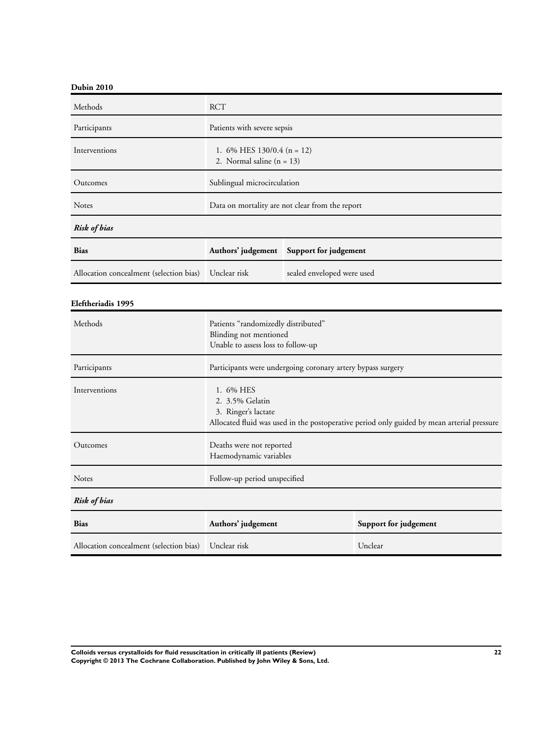## **Dubin 2010**

| Methods                                 | <b>RCT</b>                                                  |                                                 |
|-----------------------------------------|-------------------------------------------------------------|-------------------------------------------------|
| Participants                            | Patients with severe sepsis                                 |                                                 |
| Interventions                           | 1. 6% HES $130/0.4$ (n = 12)<br>2. Normal saline $(n = 13)$ |                                                 |
| Outcomes                                | Sublingual microcirculation                                 |                                                 |
| Notes                                   |                                                             | Data on mortality are not clear from the report |
| Risk of bias                            |                                                             |                                                 |
| <b>Bias</b>                             | Authors' judgement Support for judgement                    |                                                 |
| Allocation concealment (selection bias) | Unclear risk                                                | sealed enveloped were used                      |

## **Eleftheriadis 1995**

| Methods                                               | Patients "randomizedly distributed"<br>Blinding not mentioned<br>Unable to assess loss to follow-up                                               |                       |
|-------------------------------------------------------|---------------------------------------------------------------------------------------------------------------------------------------------------|-----------------------|
| Participants                                          | Participants were undergoing coronary artery bypass surgery                                                                                       |                       |
| Interventions                                         | 1. 6% HES<br>2. 3.5% Gelatin<br>3. Ringer's lactate<br>Allocated fluid was used in the postoperative period only guided by mean arterial pressure |                       |
| Outcomes                                              | Deaths were not reported<br>Haemodynamic variables                                                                                                |                       |
| <b>Notes</b>                                          | Follow-up period unspecified                                                                                                                      |                       |
| <b>Risk of bias</b>                                   |                                                                                                                                                   |                       |
| <b>Bias</b>                                           | Authors' judgement                                                                                                                                | Support for judgement |
| Allocation concealment (selection bias)  Unclear risk |                                                                                                                                                   | Unclear               |

**Colloids versus crystalloids for fluid resuscitation in critically ill patients (Review) 22 Copyright © 2013 The Cochrane Collaboration. Published by John Wiley & Sons, Ltd.**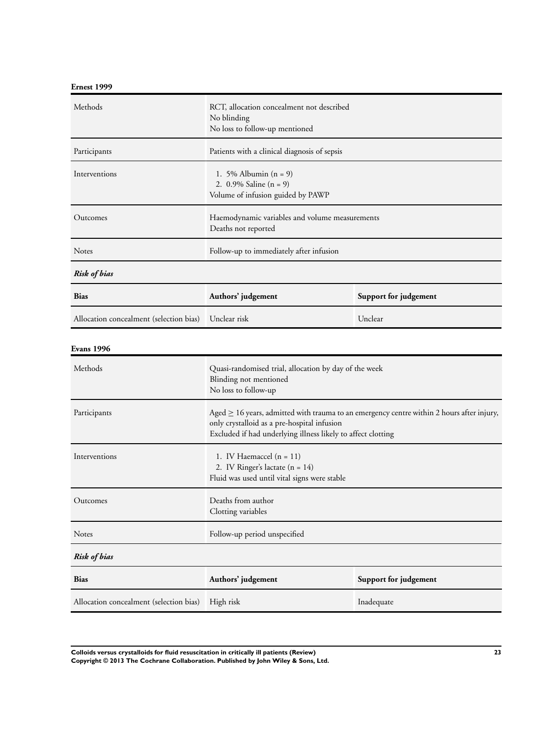## **Ernest 1999**

| Allocation concealment (selection bias) | High risk                                                                                                                                                                                                     | Inadequate            |
|-----------------------------------------|---------------------------------------------------------------------------------------------------------------------------------------------------------------------------------------------------------------|-----------------------|
| <b>Bias</b>                             | Authors' judgement                                                                                                                                                                                            | Support for judgement |
| <b>Risk of bias</b>                     |                                                                                                                                                                                                               |                       |
| Notes                                   | Follow-up period unspecified                                                                                                                                                                                  |                       |
| Outcomes                                | Deaths from author<br>Clotting variables                                                                                                                                                                      |                       |
| Interventions                           | 1. IV Haemaccel $(n = 11)$<br>2. IV Ringer's lactate $(n = 14)$<br>Fluid was used until vital signs were stable                                                                                               |                       |
| Participants                            | Aged $\geq$ 16 years, admitted with trauma to an emergency centre within 2 hours after injury,<br>only crystalloid as a pre-hospital infusion<br>Excluded if had underlying illness likely to affect clotting |                       |
| Methods                                 | Quasi-randomised trial, allocation by day of the week<br>Blinding not mentioned<br>No loss to follow-up                                                                                                       |                       |
| <b>Evans 1996</b>                       |                                                                                                                                                                                                               |                       |
| Allocation concealment (selection bias) | Unclear risk                                                                                                                                                                                                  | Unclear               |
| <b>Bias</b>                             | Authors' judgement<br>Support for judgement                                                                                                                                                                   |                       |
| <b>Risk of bias</b>                     |                                                                                                                                                                                                               |                       |
| Notes                                   | Follow-up to immediately after infusion                                                                                                                                                                       |                       |
| Outcomes                                | Haemodynamic variables and volume measurements<br>Deaths not reported                                                                                                                                         |                       |
| Interventions                           | 1. 5% Albumin $(n = 9)$<br>2. $0.9\%$ Saline (n = 9)<br>Volume of infusion guided by PAWP                                                                                                                     |                       |
| Participants                            | Patients with a clinical diagnosis of sepsis                                                                                                                                                                  |                       |
| Methods                                 | RCT, allocation concealment not described<br>No blinding<br>No loss to follow-up mentioned                                                                                                                    |                       |

**Colloids versus crystalloids for fluid resuscitation in critically ill patients (Review) 23 Copyright © 2013 The Cochrane Collaboration. Published by John Wiley & Sons, Ltd.**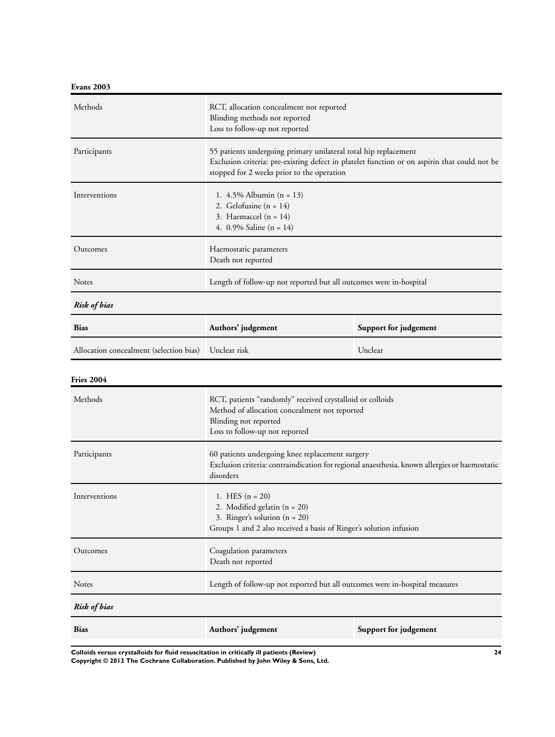**Evans 2003**

| Methods                                 | RCT, allocation concealment not reported<br>Blinding methods not reported<br>Loss to follow-up not reported                                                           |                                                                                              |
|-----------------------------------------|-----------------------------------------------------------------------------------------------------------------------------------------------------------------------|----------------------------------------------------------------------------------------------|
| Participants                            | 55 patients undergoing primary unilateral total hip replacement<br>stopped for 2 weeks prior to the operation                                                         | Exclusion criteria: pre-existing defect in platelet function or on aspirin that could not be |
| Interventions                           | 1. $4.5\%$ Albumin (n = 13)<br>2. Gelofusine $(n = 14)$<br>3. Haemaccel $(n = 14)$<br>4. $0.9\%$ Saline (n = 14)                                                      |                                                                                              |
| Outcomes                                | Haemostatic parameters<br>Death not reported                                                                                                                          |                                                                                              |
| Notes                                   | Length of follow-up not reported but all outcomes were in-hospital                                                                                                    |                                                                                              |
| <b>Risk of bias</b>                     |                                                                                                                                                                       |                                                                                              |
| <b>Bias</b>                             | Authors' judgement                                                                                                                                                    | Support for judgement                                                                        |
| Allocation concealment (selection bias) | Unclear risk                                                                                                                                                          | Unclear                                                                                      |
| <b>Fries 2004</b>                       |                                                                                                                                                                       |                                                                                              |
| Methods                                 | RCT, patients "randomly" received crystalloid or colloids<br>Method of allocation concealment not reported<br>Blinding not reported<br>Loss to follow-up not reported |                                                                                              |
| Participants                            | 60 patients undergoing knee replacement surgery<br>Exclusion criteria: contraindication for regional anaesthesia, known allergies or haemostatic<br>disorders         |                                                                                              |
| Interventions                           | 1. HES $(n = 20)$<br>2. Modified gelatin $(n = 20)$<br>3. Ringer's solution $(n = 20)$<br>Groups 1 and 2 also received a basis of Ringer's solution infusion          |                                                                                              |
| Outcomes                                | Coagulation parameters<br>Death not reported                                                                                                                          |                                                                                              |
| Notes                                   | Length of follow-up not reported but all outcomes were in-hospital measures                                                                                           |                                                                                              |
| <b>Risk of bias</b>                     |                                                                                                                                                                       |                                                                                              |
| <b>Bias</b>                             | Authors' judgement                                                                                                                                                    | Support for judgement                                                                        |

**Colloids versus crystalloids for fluid resuscitation in critically ill patients (Review) 24 Copyright © 2013 The Cochrane Collaboration. Published by John Wiley & Sons, Ltd.**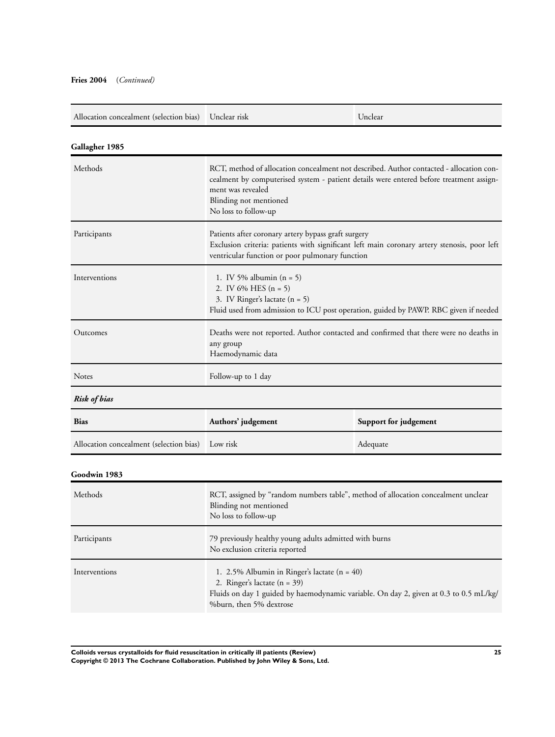| Allocation concealment (selection bias) | Unclear risk                                                                                                                                                                                          | Unclear                                                                                                                                                                            |
|-----------------------------------------|-------------------------------------------------------------------------------------------------------------------------------------------------------------------------------------------------------|------------------------------------------------------------------------------------------------------------------------------------------------------------------------------------|
| Gallagher 1985                          |                                                                                                                                                                                                       |                                                                                                                                                                                    |
| Methods                                 | ment was revealed<br>Blinding not mentioned<br>No loss to follow-up                                                                                                                                   | RCT, method of allocation concealment not described. Author contacted - allocation con-<br>cealment by computerised system - patient details were entered before treatment assign- |
| Participants                            | Patients after coronary artery bypass graft surgery<br>Exclusion criteria: patients with significant left main coronary artery stenosis, poor left<br>ventricular function or poor pulmonary function |                                                                                                                                                                                    |
| Interventions                           | 1. IV 5% albumin $(n = 5)$<br>2. IV 6% HES $(n = 5)$<br>3. IV Ringer's lactate $(n = 5)$                                                                                                              | Fluid used from admission to ICU post operation, guided by PAWP. RBC given if needed                                                                                               |
| Outcomes                                | Deaths were not reported. Author contacted and confirmed that there were no deaths in<br>any group<br>Haemodynamic data                                                                               |                                                                                                                                                                                    |
| <b>Notes</b>                            | Follow-up to 1 day                                                                                                                                                                                    |                                                                                                                                                                                    |
| Risk of bias                            |                                                                                                                                                                                                       |                                                                                                                                                                                    |
| <b>Bias</b>                             | Authors' judgement                                                                                                                                                                                    | Support for judgement                                                                                                                                                              |
| Allocation concealment (selection bias) | Low risk                                                                                                                                                                                              | Adequate                                                                                                                                                                           |
| Goodwin 1983                            |                                                                                                                                                                                                       |                                                                                                                                                                                    |
| Methods                                 | RCT, assigned by "random numbers table", method of allocation concealment unclear<br>Blinding not mentioned<br>No loss to follow-up                                                                   |                                                                                                                                                                                    |
| Participants                            | 79 previously healthy young adults admitted with burns<br>No exclusion criteria reported                                                                                                              |                                                                                                                                                                                    |
| Interventions                           | 1. 2.5% Albumin in Ringer's lactate $(n = 40)$                                                                                                                                                        |                                                                                                                                                                                    |

Fluids on day 1 guided by haemodynamic variable. On day 2, given at 0.3 to 0.5 mL/kg/ %burn, then 5% dextrose

2. Ringer's lactate (n = 39)

**Colloids versus crystalloids for fluid resuscitation in critically ill patients (Review) 25 Copyright © 2013 The Cochrane Collaboration. Published by John Wiley & Sons, Ltd.**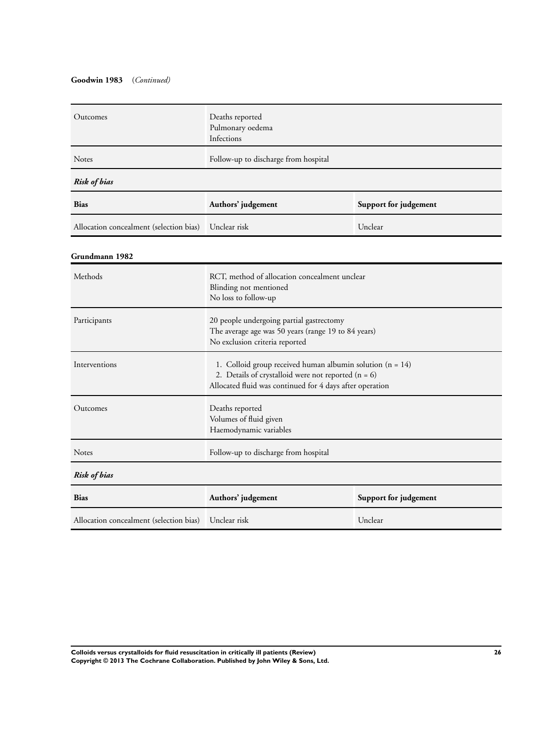## **Goodwin 1983** (*Continued)*

| Outcomes                                | Deaths reported<br>Pulmonary oedema<br>Infections                                                                                                                                |                       |
|-----------------------------------------|----------------------------------------------------------------------------------------------------------------------------------------------------------------------------------|-----------------------|
| Notes                                   | Follow-up to discharge from hospital                                                                                                                                             |                       |
| <b>Risk of bias</b>                     |                                                                                                                                                                                  |                       |
| Bias                                    | Authors' judgement                                                                                                                                                               | Support for judgement |
| Allocation concealment (selection bias) | Unclear risk                                                                                                                                                                     | Unclear               |
| Grundmann 1982                          |                                                                                                                                                                                  |                       |
| Methods                                 | RCT, method of allocation concealment unclear<br>Blinding not mentioned<br>No loss to follow-up                                                                                  |                       |
| Participants                            | 20 people undergoing partial gastrectomy<br>The average age was 50 years (range 19 to 84 years)<br>No exclusion criteria reported                                                |                       |
| Interventions                           | 1. Colloid group received human albumin solution $(n = 14)$<br>2. Details of crystalloid were not reported $(n = 6)$<br>Allocated fluid was continued for 4 days after operation |                       |
| Outcomes                                | Deaths reported<br>Volumes of fluid given<br>Haemodynamic variables                                                                                                              |                       |
| <b>Notes</b>                            | Follow-up to discharge from hospital                                                                                                                                             |                       |
| <b>Risk of bias</b>                     |                                                                                                                                                                                  |                       |
| Bias                                    | Authors' judgement<br>Support for judgement                                                                                                                                      |                       |
| Allocation concealment (selection bias) | Unclear risk                                                                                                                                                                     | Unclear               |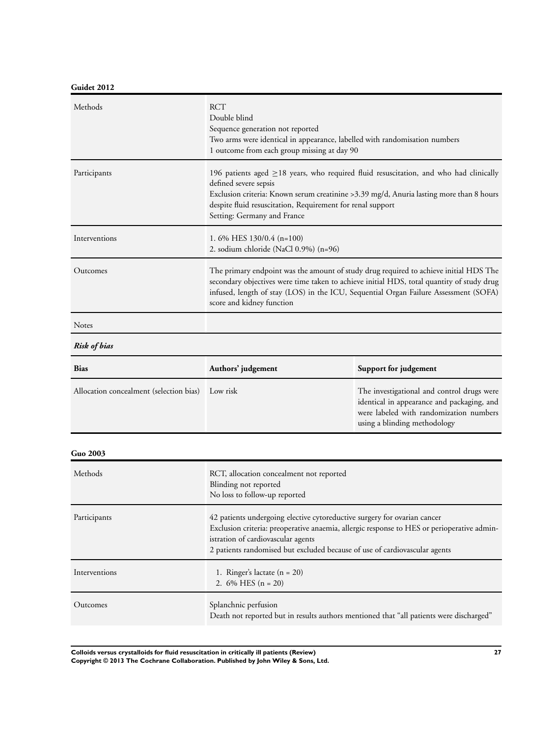## **Guidet 2012**

| Methods                                 | <b>RCT</b><br>Double blind<br>Sequence generation not reported<br>Two arms were identical in appearance, labelled with randomisation numbers<br>1 outcome from each group missing at day 90                                                                                                                   |                                                                                                                                                                     |
|-----------------------------------------|---------------------------------------------------------------------------------------------------------------------------------------------------------------------------------------------------------------------------------------------------------------------------------------------------------------|---------------------------------------------------------------------------------------------------------------------------------------------------------------------|
| Participants                            | 196 patients aged $\geq$ 18 years, who required fluid resuscitation, and who had clinically<br>defined severe sepsis<br>Exclusion criteria: Known serum creatinine > 3.39 mg/d, Anuria lasting more than 8 hours<br>despite fluid resuscitation, Requirement for renal support<br>Setting: Germany and France |                                                                                                                                                                     |
| Interventions                           | 1.6% HES 130/0.4 (n=100)<br>2. sodium chloride (NaCl 0.9%) (n=96)                                                                                                                                                                                                                                             |                                                                                                                                                                     |
| Outcomes                                | The primary endpoint was the amount of study drug required to achieve initial HDS The<br>secondary objectives were time taken to achieve initial HDS, total quantity of study drug<br>infused, length of stay (LOS) in the ICU, Sequential Organ Failure Assessment (SOFA)<br>score and kidney function       |                                                                                                                                                                     |
| Notes                                   |                                                                                                                                                                                                                                                                                                               |                                                                                                                                                                     |
| Risk of bias                            |                                                                                                                                                                                                                                                                                                               |                                                                                                                                                                     |
| <b>Bias</b>                             | Authors' judgement                                                                                                                                                                                                                                                                                            | Support for judgement                                                                                                                                               |
| Allocation concealment (selection bias) | Low risk                                                                                                                                                                                                                                                                                                      | The investigational and control drugs were<br>identical in appearance and packaging, and<br>were labeled with randomization numbers<br>using a blinding methodology |
| <b>Guo 2003</b>                         |                                                                                                                                                                                                                                                                                                               |                                                                                                                                                                     |
| Methods                                 | RCT, allocation concealment not reported<br>Blinding not reported<br>No loss to follow-up reported                                                                                                                                                                                                            |                                                                                                                                                                     |
| Participants                            | 42 patients undergoing elective cytoreductive surgery for ovarian cancer<br>Exclusion criteria: preoperative anaemia, allergic response to HES or perioperative admin-<br>istration of cardiovascular agents<br>2 patients randomised but excluded because of use of cardiovascular agents                    |                                                                                                                                                                     |
| Interventions                           | 1. Ringer's lactate $(n = 20)$<br>2. $6\%$ HES $(n = 20)$                                                                                                                                                                                                                                                     |                                                                                                                                                                     |
| Outcomes                                | Splanchnic perfusion<br>Death not reported but in results authors mentioned that "all patients were discharged"                                                                                                                                                                                               |                                                                                                                                                                     |

**Colloids versus crystalloids for fluid resuscitation in critically ill patients (Review) 27 Copyright © 2013 The Cochrane Collaboration. Published by John Wiley & Sons, Ltd.**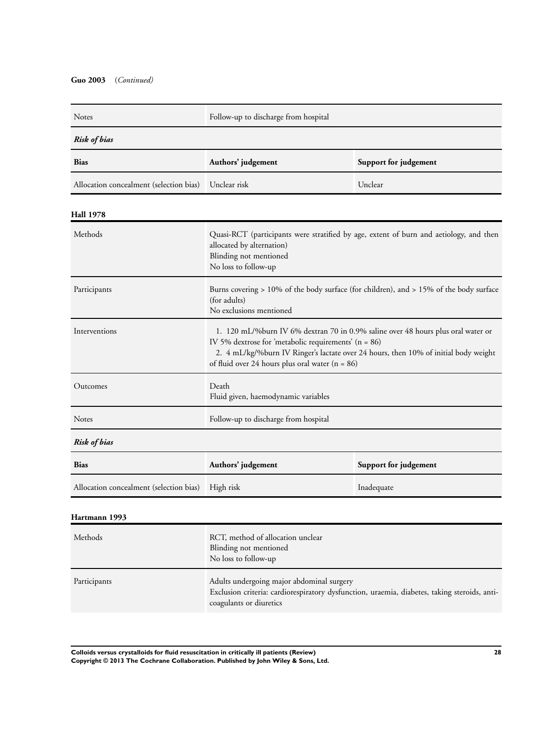## **Guo 2003** (*Continued)*

| Notes                                   | Follow-up to discharge from hospital                                                                                                                                                                                                                                                     |                                                                                              |
|-----------------------------------------|------------------------------------------------------------------------------------------------------------------------------------------------------------------------------------------------------------------------------------------------------------------------------------------|----------------------------------------------------------------------------------------------|
| <b>Risk of bias</b>                     |                                                                                                                                                                                                                                                                                          |                                                                                              |
| <b>Bias</b>                             | Authors' judgement<br>Support for judgement                                                                                                                                                                                                                                              |                                                                                              |
| Allocation concealment (selection bias) | Unclear risk<br>Unclear                                                                                                                                                                                                                                                                  |                                                                                              |
| Hall 1978                               |                                                                                                                                                                                                                                                                                          |                                                                                              |
| Methods                                 | Quasi-RCT (participants were stratified by age, extent of burn and aetiology, and then<br>allocated by alternation)<br>Blinding not mentioned<br>No loss to follow-up                                                                                                                    |                                                                                              |
| Participants                            | Burns covering $> 10\%$ of the body surface (for children), and $> 15\%$ of the body surface<br>(for adults)<br>No exclusions mentioned                                                                                                                                                  |                                                                                              |
| Interventions                           | 1. 120 mL/%burn IV 6% dextran 70 in 0.9% saline over 48 hours plus oral water or<br>IV 5% dextrose for 'metabolic requirements' ( $n = 86$ )<br>2. 4 mL/kg/%burn IV Ringer's lactate over 24 hours, then 10% of initial body weight<br>of fluid over 24 hours plus oral water $(n = 86)$ |                                                                                              |
| Outcomes                                | Death<br>Fluid given, haemodynamic variables                                                                                                                                                                                                                                             |                                                                                              |
| Notes                                   | Follow-up to discharge from hospital                                                                                                                                                                                                                                                     |                                                                                              |
| <b>Risk of bias</b>                     |                                                                                                                                                                                                                                                                                          |                                                                                              |
| Bias                                    | Authors' judgement                                                                                                                                                                                                                                                                       | Support for judgement                                                                        |
| Allocation concealment (selection bias) | High risk                                                                                                                                                                                                                                                                                | Inadequate                                                                                   |
| Hartmann 1993                           |                                                                                                                                                                                                                                                                                          |                                                                                              |
| Methods                                 | RCT, method of allocation unclear<br>Blinding not mentioned<br>No loss to follow-up                                                                                                                                                                                                      |                                                                                              |
| Participants                            | Adults undergoing major abdominal surgery<br>coagulants or diuretics                                                                                                                                                                                                                     | Exclusion criteria: cardiorespiratory dysfunction, uraemia, diabetes, taking steroids, anti- |

**Colloids versus crystalloids for fluid resuscitation in critically ill patients (Review) 28 Copyright © 2013 The Cochrane Collaboration. Published by John Wiley & Sons, Ltd.**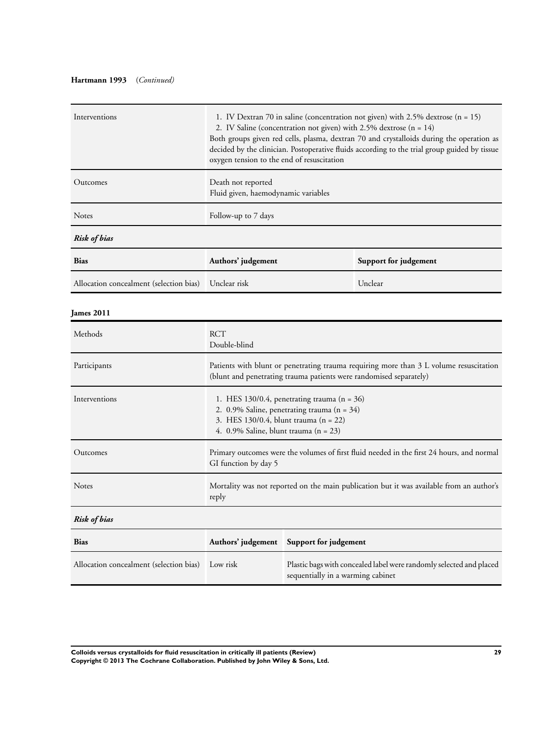## **Hartmann 1993** (*Continued)*

| Interventions                           | 1. IV Dextran 70 in saline (concentration not given) with 2.5% dextrose (n = 15)<br>2. IV Saline (concentration not given) with 2.5% dextrose (n = 14)<br>Both groups given red cells, plasma, dextran 70 and crystalloids during the operation as<br>decided by the clinician. Postoperative fluids according to the trial group guided by tissue<br>oxygen tension to the end of resuscitation |                                   |                                                                     |
|-----------------------------------------|--------------------------------------------------------------------------------------------------------------------------------------------------------------------------------------------------------------------------------------------------------------------------------------------------------------------------------------------------------------------------------------------------|-----------------------------------|---------------------------------------------------------------------|
| Outcomes                                | Death not reported<br>Fluid given, haemodynamic variables                                                                                                                                                                                                                                                                                                                                        |                                   |                                                                     |
| Notes                                   | Follow-up to 7 days                                                                                                                                                                                                                                                                                                                                                                              |                                   |                                                                     |
| <b>Risk of bias</b>                     |                                                                                                                                                                                                                                                                                                                                                                                                  |                                   |                                                                     |
| <b>Bias</b>                             | Authors' judgement                                                                                                                                                                                                                                                                                                                                                                               |                                   | Support for judgement                                               |
| Allocation concealment (selection bias) | Unclear risk                                                                                                                                                                                                                                                                                                                                                                                     |                                   | Unclear                                                             |
| <b>James 2011</b>                       |                                                                                                                                                                                                                                                                                                                                                                                                  |                                   |                                                                     |
| Methods                                 | <b>RCT</b><br>Double-blind                                                                                                                                                                                                                                                                                                                                                                       |                                   |                                                                     |
| Participants                            | Patients with blunt or penetrating trauma requiring more than 3 L volume resuscitation<br>(blunt and penetrating trauma patients were randomised separately)                                                                                                                                                                                                                                     |                                   |                                                                     |
| Interventions                           | 1. HES 130/0.4, penetrating trauma $(n = 36)$<br>2. 0.9% Saline, penetrating trauma ( $n = 34$ )<br>3. HES 130/0.4, blunt trauma (n = 22)<br>4. $0.9\%$ Saline, blunt trauma (n = 23)                                                                                                                                                                                                            |                                   |                                                                     |
| Outcomes                                | Primary outcomes were the volumes of first fluid needed in the first 24 hours, and normal<br>GI function by day 5                                                                                                                                                                                                                                                                                |                                   |                                                                     |
| Notes                                   | Mortality was not reported on the main publication but it was available from an author's<br>reply                                                                                                                                                                                                                                                                                                |                                   |                                                                     |
| <b>Risk of bias</b>                     |                                                                                                                                                                                                                                                                                                                                                                                                  |                                   |                                                                     |
| <b>Bias</b>                             | Authors' judgement                                                                                                                                                                                                                                                                                                                                                                               | Support for judgement             |                                                                     |
| Allocation concealment (selection bias) | Low risk                                                                                                                                                                                                                                                                                                                                                                                         | sequentially in a warming cabinet | Plastic bags with concealed label were randomly selected and placed |

**Colloids versus crystalloids for fluid resuscitation in critically ill patients (Review) 29 Copyright © 2013 The Cochrane Collaboration. Published by John Wiley & Sons, Ltd.**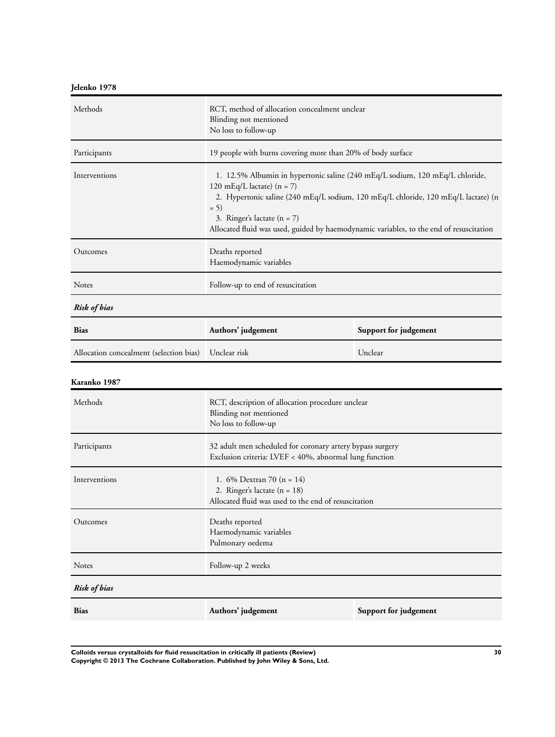## **Jelenko 1978**

| Methods                                 | RCT, method of allocation concealment unclear<br>Blinding not mentioned<br>No loss to follow-up                                                                                                                                                                                                                                         |         |
|-----------------------------------------|-----------------------------------------------------------------------------------------------------------------------------------------------------------------------------------------------------------------------------------------------------------------------------------------------------------------------------------------|---------|
| Participants                            | 19 people with burns covering more than 20% of body surface                                                                                                                                                                                                                                                                             |         |
| Interventions                           | 1. 12.5% Albumin in hypertonic saline (240 mEq/L sodium, 120 mEq/L chloride,<br>120 mEq/L lactate) $(n = 7)$<br>2. Hypertonic saline (240 mEq/L sodium, 120 mEq/L chloride, 120 mEq/L lactate) (n<br>$= 5)$<br>3. Ringer's lactate $(n = 7)$<br>Allocated fluid was used, guided by haemodynamic variables, to the end of resuscitation |         |
| Outcomes                                | Deaths reported<br>Haemodynamic variables                                                                                                                                                                                                                                                                                               |         |
| Notes                                   | Follow-up to end of resuscitation                                                                                                                                                                                                                                                                                                       |         |
| <b>Risk of bias</b>                     |                                                                                                                                                                                                                                                                                                                                         |         |
| <b>Bias</b>                             | Authors' judgement<br>Support for judgement                                                                                                                                                                                                                                                                                             |         |
| Allocation concealment (selection bias) | Unclear risk                                                                                                                                                                                                                                                                                                                            | Unclear |
| Karanko 1987                            |                                                                                                                                                                                                                                                                                                                                         |         |
|                                         |                                                                                                                                                                                                                                                                                                                                         |         |
| Methods                                 | RCT, description of allocation procedure unclear<br>Blinding not mentioned<br>No loss to follow-up                                                                                                                                                                                                                                      |         |
| Participants                            | 32 adult men scheduled for coronary artery bypass surgery<br>Exclusion criteria: LVEF < 40%, abnormal lung function                                                                                                                                                                                                                     |         |
| Interventions                           | 1. $6\%$ Dextran 70 (n = 14)<br>2. Ringer's lactate $(n = 18)$<br>Allocated fluid was used to the end of resuscitation                                                                                                                                                                                                                  |         |
| Outcomes                                | Deaths reported<br>Haemodynamic variables<br>Pulmonary oedema                                                                                                                                                                                                                                                                           |         |
| Notes                                   | Follow-up 2 weeks                                                                                                                                                                                                                                                                                                                       |         |
| <b>Risk of bias</b>                     |                                                                                                                                                                                                                                                                                                                                         |         |

**Colloids versus crystalloids for fluid resuscitation in critically ill patients (Review) 30 Copyright © 2013 The Cochrane Collaboration. Published by John Wiley & Sons, Ltd.**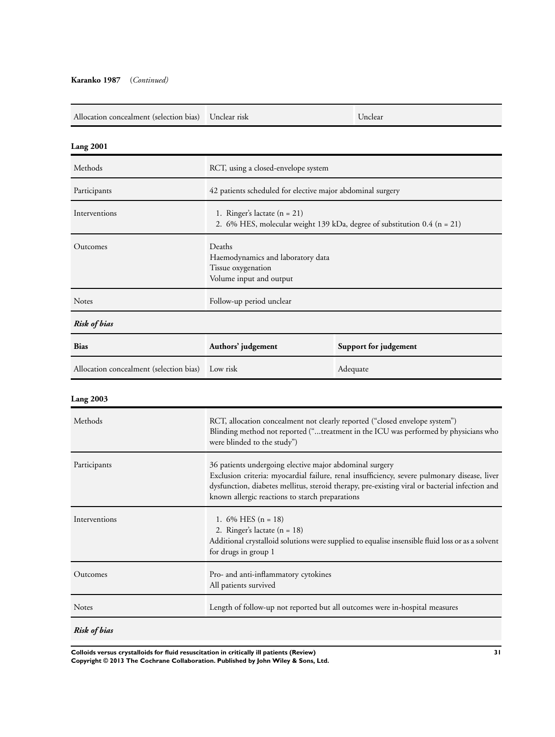#### **Karanko 1987** (*Continued)*

| Allocation concealment (selection bias) | Unclear risk                                                                                                                                                                                                                                                                                                 | Unclear               |
|-----------------------------------------|--------------------------------------------------------------------------------------------------------------------------------------------------------------------------------------------------------------------------------------------------------------------------------------------------------------|-----------------------|
| <b>Lang 2001</b>                        |                                                                                                                                                                                                                                                                                                              |                       |
| Methods                                 | RCT, using a closed-envelope system                                                                                                                                                                                                                                                                          |                       |
| Participants                            | 42 patients scheduled for elective major abdominal surgery                                                                                                                                                                                                                                                   |                       |
| Interventions                           | 1. Ringer's lactate $(n = 21)$<br>2. 6% HES, molecular weight 139 kDa, degree of substitution 0.4 (n = 21)                                                                                                                                                                                                   |                       |
| Outcomes                                | Deaths<br>Haemodynamics and laboratory data<br>Tissue oxygenation<br>Volume input and output                                                                                                                                                                                                                 |                       |
| <b>Notes</b>                            | Follow-up period unclear                                                                                                                                                                                                                                                                                     |                       |
| <b>Risk of bias</b>                     |                                                                                                                                                                                                                                                                                                              |                       |
| <b>Bias</b>                             | Authors' judgement                                                                                                                                                                                                                                                                                           | Support for judgement |
| Allocation concealment (selection bias) | Low risk                                                                                                                                                                                                                                                                                                     | Adequate              |
| <b>Lang 2003</b>                        |                                                                                                                                                                                                                                                                                                              |                       |
| Methods                                 | RCT, allocation concealment not clearly reported ("closed envelope system")<br>Blinding method not reported ("treatment in the ICU was performed by physicians who<br>were blinded to the study")                                                                                                            |                       |
| Participants                            | 36 patients undergoing elective major abdominal surgery<br>Exclusion criteria: myocardial failure, renal insufficiency, severe pulmonary disease, liver<br>dysfunction, diabetes mellitus, steroid therapy, pre-existing viral or bacterial infection and<br>known allergic reactions to starch preparations |                       |
| Interventions                           | 1. $6\%$ HES $(n = 18)$<br>2. Ringer's lactate $(n = 18)$<br>Additional crystalloid solutions were supplied to equalise insensible fluid loss or as a solvent<br>for drugs in group 1                                                                                                                        |                       |
| Outcomes                                | Pro- and anti-inflammatory cytokines                                                                                                                                                                                                                                                                         |                       |

*Risk of bias*

**Colloids versus crystalloids for fluid resuscitation in critically ill patients (Review) 31 Copyright © 2013 The Cochrane Collaboration. Published by John Wiley & Sons, Ltd.**

All patients survived

Notes Length of follow-up not reported but all outcomes were in-hospital measures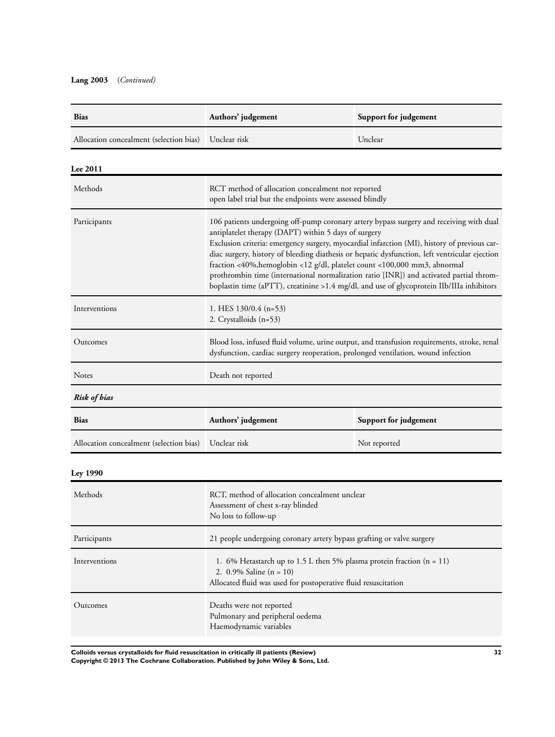## **Lang 2003** (*Continued)*

| <b>Bias</b>                                          | Authors' judgement | Support for judgement |
|------------------------------------------------------|--------------------|-----------------------|
| Allocation concealment (selection bias) Unclear risk |                    | Unclear               |

| Lee 2011            |                                                                                                                                                                                                                                                                                                                                                                                                                                                                                                                                                                                                                      |
|---------------------|----------------------------------------------------------------------------------------------------------------------------------------------------------------------------------------------------------------------------------------------------------------------------------------------------------------------------------------------------------------------------------------------------------------------------------------------------------------------------------------------------------------------------------------------------------------------------------------------------------------------|
| Methods             | RCT method of allocation concealment not reported<br>open label trial but the endpoints were assessed blindly                                                                                                                                                                                                                                                                                                                                                                                                                                                                                                        |
| Participants        | 106 patients undergoing off-pump coronary artery bypass surgery and receiving with dual<br>antiplatelet therapy (DAPT) within 5 days of surgery<br>Exclusion criteria: emergency surgery, myocardial infarction (MI), history of previous car-<br>diac surgery, history of bleeding diathesis or hepatic dysfunction, left ventricular ejection<br>fraction <40%, hemoglobin <12 g/dl, platelet count <100,000 mm3, abnormal<br>prothrombin time (international normalization ratio [INR]) and activated partial throm-<br>boplastin time (aPTT), creatinine >1.4 mg/dl, and use of glycoprotein IIb/IIIa inhibitors |
| Interventions       | 1. HES $130/0.4$ (n=53)<br>2. Crystalloids (n=53)                                                                                                                                                                                                                                                                                                                                                                                                                                                                                                                                                                    |
| Outcomes            | Blood loss, infused fluid volume, urine output, and transfusion requirements, stroke, renal<br>dysfunction, cardiac surgery reoperation, prolonged ventilation, wound infection                                                                                                                                                                                                                                                                                                                                                                                                                                      |
| Notes               | Death not reported                                                                                                                                                                                                                                                                                                                                                                                                                                                                                                                                                                                                   |
| <b>Risk of bias</b> |                                                                                                                                                                                                                                                                                                                                                                                                                                                                                                                                                                                                                      |

| <b>Bias</b>                                          | Authors' judgement | Support for judgement |
|------------------------------------------------------|--------------------|-----------------------|
| Allocation concealment (selection bias) Unclear risk |                    | Not reported          |

## **Ley 1990**

| Methods       | RCT, method of allocation concealment unclear<br>Assessment of chest x-ray blinded<br>No loss to follow-up                                                              |
|---------------|-------------------------------------------------------------------------------------------------------------------------------------------------------------------------|
| Participants  | 21 people undergoing coronary artery bypass grafting or valve surgery                                                                                                   |
| Interventions | 1. 6% Hetastarch up to 1.5 L then 5% plasma protein fraction $(n = 11)$<br>2. $0.9\%$ Saline (n = 10)<br>Allocated fluid was used for postoperative fluid resuscitation |
| Outcomes      | Deaths were not reported<br>Pulmonary and peripheral oedema<br>Haemodynamic variables                                                                                   |

**Colloids versus crystalloids for fluid resuscitation in critically ill patients (Review) 32**

**Copyright © 2013 The Cochrane Collaboration. Published by John Wiley & Sons, Ltd.**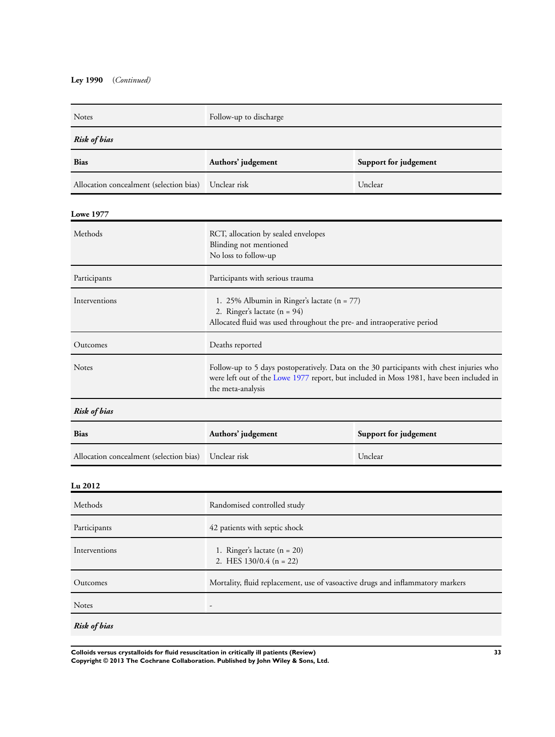## **Ley 1990** (*Continued)*

| Follow-up to discharge                                                                                                                                                                                   |                       |  |
|----------------------------------------------------------------------------------------------------------------------------------------------------------------------------------------------------------|-----------------------|--|
| <b>Risk of bias</b>                                                                                                                                                                                      |                       |  |
| Authors' judgement                                                                                                                                                                                       | Support for judgement |  |
| Unclear risk                                                                                                                                                                                             | Unclear               |  |
|                                                                                                                                                                                                          |                       |  |
| RCT, allocation by sealed envelopes<br>Blinding not mentioned<br>No loss to follow-up                                                                                                                    |                       |  |
| Participants with serious trauma                                                                                                                                                                         |                       |  |
| 1. 25% Albumin in Ringer's lactate $(n = 77)$<br>2. Ringer's lactate $(n = 94)$<br>Allocated fluid was used throughout the pre- and intraoperative period                                                |                       |  |
| Deaths reported                                                                                                                                                                                          |                       |  |
| Follow-up to 5 days postoperatively. Data on the 30 participants with chest injuries who<br>were left out of the Lowe 1977 report, but included in Moss 1981, have been included in<br>the meta-analysis |                       |  |
| <b>Risk of bias</b>                                                                                                                                                                                      |                       |  |
| Authors' judgement                                                                                                                                                                                       | Support for judgement |  |
| Unclear risk                                                                                                                                                                                             | Unclear               |  |
| <b>Lu 2012</b>                                                                                                                                                                                           |                       |  |
| Randomised controlled study                                                                                                                                                                              |                       |  |
|                                                                                                                                                                                                          |                       |  |

| Participants        | 42 patients with septic shock                                                  |
|---------------------|--------------------------------------------------------------------------------|
| Interventions       | 1. Ringer's lactate $(n = 20)$<br>2. HES $130/0.4$ (n = 22)                    |
| Outcomes            | Mortality, fluid replacement, use of vasoactive drugs and inflammatory markers |
| <b>Notes</b>        | $\overline{\phantom{a}}$                                                       |
| <b>Risk of bias</b> |                                                                                |

**Colloids versus crystalloids for fluid resuscitation in critically ill patients (Review) 33 Copyright © 2013 The Cochrane Collaboration. Published by John Wiley & Sons, Ltd.**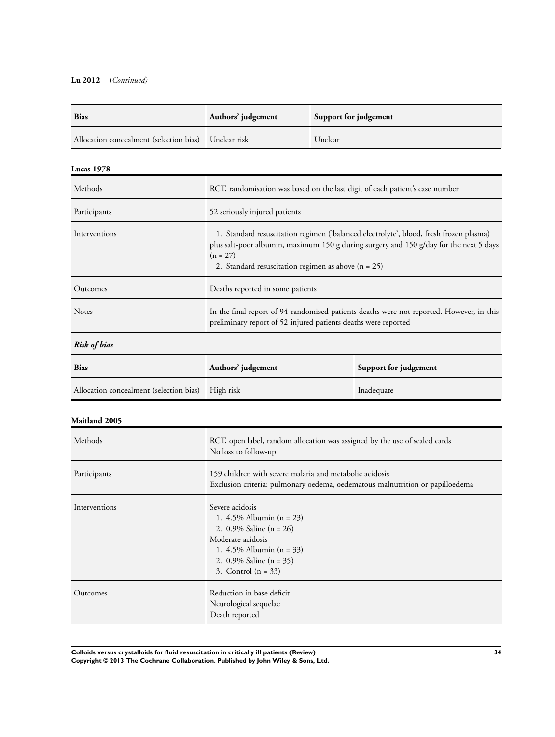## **Lu 2012** (*Continued)*

| <b>Bias</b>                                          | Authors' judgement | Support for judgement |
|------------------------------------------------------|--------------------|-----------------------|
| Allocation concealment (selection bias) Unclear risk |                    | Unclear               |

## **Lucas 1978**

| Methods         | RCT, randomisation was based on the last digit of each patient's case number                                                                                                                                                                            |
|-----------------|---------------------------------------------------------------------------------------------------------------------------------------------------------------------------------------------------------------------------------------------------------|
| Participants    | 52 seriously injured patients                                                                                                                                                                                                                           |
| Interventions   | 1. Standard resuscitation regimen ('balanced electrolyte', blood, fresh frozen plasma)<br>plus salt-poor albumin, maximum 150 g during surgery and 150 g/day for the next 5 days<br>$(n = 27)$<br>2. Standard resuscitation regimen as above $(n = 25)$ |
| <b>Outcomes</b> | Deaths reported in some patients                                                                                                                                                                                                                        |
| <b>Notes</b>    | In the final report of 94 randomised patients deaths were not reported. However, in this<br>preliminary report of 52 injured patients deaths were reported                                                                                              |

## *Risk of bias*

| <b>Bias</b>                                       | Authors' judgement | Support for judgement |
|---------------------------------------------------|--------------------|-----------------------|
| Allocation concealment (selection bias) High risk |                    | Inadequate            |

## **Maitland 2005**

| Methods       | RCT, open label, random allocation was assigned by the use of sealed cards<br>No loss to follow-up                                                                                    |
|---------------|---------------------------------------------------------------------------------------------------------------------------------------------------------------------------------------|
| Participants  | 159 children with severe malaria and metabolic acidosis<br>Exclusion criteria: pulmonary oedema, oedematous malnutrition or papilloedema                                              |
| Interventions | Severe acidosis<br>1. $4.5\%$ Albumin (n = 23)<br>2. 0.9% Saline $(n = 26)$<br>Moderate acidosis<br>1. $4.5\%$ Albumin (n = 33)<br>2. 0.9% Saline $(n = 35)$<br>3. Control $(n = 33)$ |
| Outcomes      | Reduction in base deficit<br>Neurological sequelae<br>Death reported                                                                                                                  |

**Colloids versus crystalloids for fluid resuscitation in critically ill patients (Review) 34 Copyright © 2013 The Cochrane Collaboration. Published by John Wiley & Sons, Ltd.**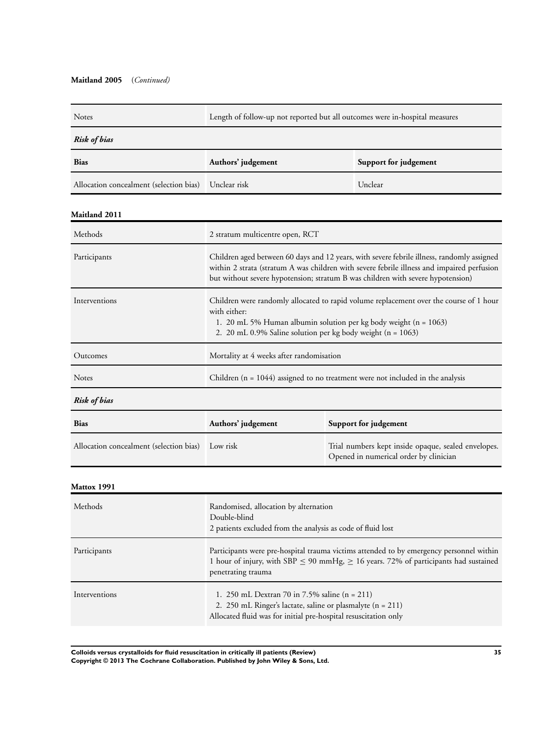### **Maitland 2005** (*Continued)*

| <b>Notes</b>                            | Length of follow-up not reported but all outcomes were in-hospital measures                                                                                                                                                                                                 |                                                                                               |
|-----------------------------------------|-----------------------------------------------------------------------------------------------------------------------------------------------------------------------------------------------------------------------------------------------------------------------------|-----------------------------------------------------------------------------------------------|
| <b>Risk of bias</b>                     |                                                                                                                                                                                                                                                                             |                                                                                               |
| <b>Bias</b>                             | Authors' judgement                                                                                                                                                                                                                                                          | Support for judgement                                                                         |
| Allocation concealment (selection bias) | Unclear risk                                                                                                                                                                                                                                                                | Unclear                                                                                       |
| <b>Maitland 2011</b>                    |                                                                                                                                                                                                                                                                             |                                                                                               |
| Methods                                 | 2 stratum multicentre open, RCT                                                                                                                                                                                                                                             |                                                                                               |
| Participants                            | Children aged between 60 days and 12 years, with severe febrile illness, randomly assigned<br>within 2 strata (stratum A was children with severe febrile illness and impaired perfusion<br>but without severe hypotension; stratum B was children with severe hypotension) |                                                                                               |
| Interventions                           | Children were randomly allocated to rapid volume replacement over the course of 1 hour<br>with either:<br>1. 20 mL 5% Human albumin solution per kg body weight (n = 1063)<br>2. 20 mL 0.9% Saline solution per kg body weight (n = 1063)                                   |                                                                                               |
| Outcomes                                | Mortality at 4 weeks after randomisation                                                                                                                                                                                                                                    |                                                                                               |
| Notes                                   | Children ( $n = 1044$ ) assigned to no treatment were not included in the analysis                                                                                                                                                                                          |                                                                                               |
| Risk of bias                            |                                                                                                                                                                                                                                                                             |                                                                                               |
| <b>Bias</b>                             | Authors' judgement<br>Support for judgement                                                                                                                                                                                                                                 |                                                                                               |
| Allocation concealment (selection bias) | Low risk                                                                                                                                                                                                                                                                    | Trial numbers kept inside opaque, sealed envelopes.<br>Opened in numerical order by clinician |
| Mattox 1991                             |                                                                                                                                                                                                                                                                             |                                                                                               |
| Methods                                 | Randomised, allocation by alternation<br>Double-blind<br>2 patients excluded from the analysis as code of fluid lost                                                                                                                                                        |                                                                                               |
| Participants                            | Participants were pre-hospital trauma victims attended to by emergency personnel within<br>1 hour of injury, with SBP $\leq$ 90 mmHg, $\geq$ 16 years. 72% of participants had sustained<br>penetrating trauma                                                              |                                                                                               |
| Interventions                           | 1. 250 mL Dextran 70 in 7.5% saline $(n = 211)$<br>2. 250 mL Ringer's lactate, saline or plasmalyte (n = 211)<br>Allocated fluid was for initial pre-hospital resuscitation only                                                                                            |                                                                                               |

**Colloids versus crystalloids for fluid resuscitation in critically ill patients (Review) 35 Copyright © 2013 The Cochrane Collaboration. Published by John Wiley & Sons, Ltd.**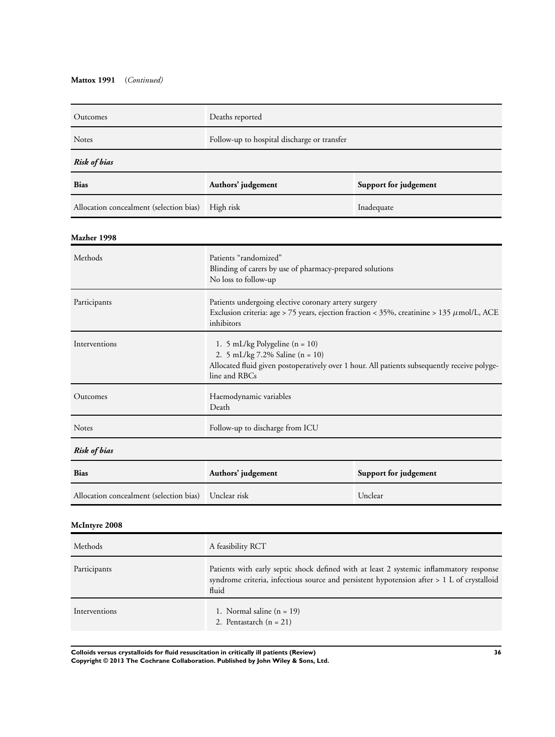### **Mattox 1991** (*Continued)*

| Outcomes                                | Deaths reported                                                                                                                                                                                |                       |  |
|-----------------------------------------|------------------------------------------------------------------------------------------------------------------------------------------------------------------------------------------------|-----------------------|--|
| Notes                                   | Follow-up to hospital discharge or transfer                                                                                                                                                    |                       |  |
| <b>Risk of bias</b>                     |                                                                                                                                                                                                |                       |  |
| <b>Bias</b>                             | Authors' judgement<br>Support for judgement                                                                                                                                                    |                       |  |
| Allocation concealment (selection bias) | High risk                                                                                                                                                                                      | Inadequate            |  |
| Mazher 1998                             |                                                                                                                                                                                                |                       |  |
| Methods                                 | Patients "randomized"<br>Blinding of carers by use of pharmacy-prepared solutions<br>No loss to follow-up                                                                                      |                       |  |
| Participants                            | Patients undergoing elective coronary artery surgery<br>Exclusion criteria: age > 75 years, ejection fraction < 35%, creatinine > 135 $\mu$ mol/L, ACE<br>inhibitors                           |                       |  |
| Interventions                           | 1. 5 mL/kg Polygeline ( $n = 10$ )<br>2. 5 mL/kg 7.2% Saline (n = 10)<br>Allocated fluid given postoperatively over 1 hour. All patients subsequently receive polyge-<br>line and RBCs         |                       |  |
| Outcomes                                | Haemodynamic variables<br>Death                                                                                                                                                                |                       |  |
| Notes                                   | Follow-up to discharge from ICU                                                                                                                                                                |                       |  |
| <b>Risk of bias</b>                     |                                                                                                                                                                                                |                       |  |
| Bias                                    | Authors' judgement                                                                                                                                                                             | Support for judgement |  |
| Allocation concealment (selection bias) | Unclear risk                                                                                                                                                                                   | Unclear               |  |
| McIntyre 2008                           |                                                                                                                                                                                                |                       |  |
| Methods                                 | A feasibility RCT                                                                                                                                                                              |                       |  |
| Participants                            | Patients with early septic shock defined with at least 2 systemic inflammatory response<br>syndrome criteria, infectious source and persistent hypotension after > 1 L of crystalloid<br>fluid |                       |  |
| Interventions                           | 1. Normal saline $(n = 19)$<br>2. Pentastarch $(n = 21)$                                                                                                                                       |                       |  |
|                                         |                                                                                                                                                                                                |                       |  |

**Colloids versus crystalloids for fluid resuscitation in critically ill patients (Review) 36 Copyright © 2013 The Cochrane Collaboration. Published by John Wiley & Sons, Ltd.**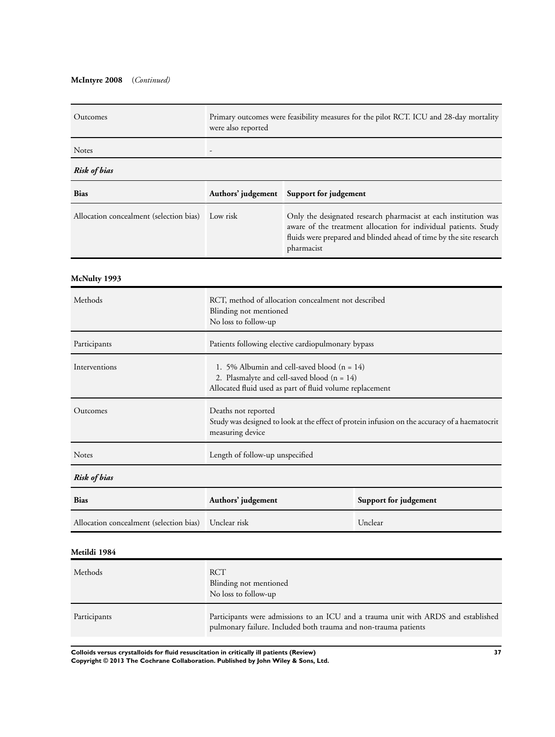### **McIntyre 2008** (*Continued)*

| Outcomes                                             | Primary outcomes were feasibility measures for the pilot RCT. ICU and 28-day mortality<br>were also reported                                                                                                                         |                       |         |
|------------------------------------------------------|--------------------------------------------------------------------------------------------------------------------------------------------------------------------------------------------------------------------------------------|-----------------------|---------|
| Notes                                                |                                                                                                                                                                                                                                      |                       |         |
| <b>Risk of bias</b>                                  |                                                                                                                                                                                                                                      |                       |         |
| <b>Bias</b>                                          | Authors' judgement                                                                                                                                                                                                                   | Support for judgement |         |
| Allocation concealment (selection bias)              | Only the designated research pharmacist at each institution was<br>Low risk<br>aware of the treatment allocation for individual patients. Study<br>fluids were prepared and blinded ahead of time by the site research<br>pharmacist |                       |         |
| McNulty 1993                                         |                                                                                                                                                                                                                                      |                       |         |
| Methods                                              | RCT, method of allocation concealment not described<br>Blinding not mentioned<br>No loss to follow-up                                                                                                                                |                       |         |
| Participants                                         | Patients following elective cardiopulmonary bypass                                                                                                                                                                                   |                       |         |
| Interventions                                        | 1. 5% Albumin and cell-saved blood $(n = 14)$<br>2. Plasmalyte and cell-saved blood $(n = 14)$<br>Allocated fluid used as part of fluid volume replacement                                                                           |                       |         |
| Outcomes                                             | Deaths not reported<br>Study was designed to look at the effect of protein infusion on the accuracy of a haematocrit<br>measuring device                                                                                             |                       |         |
| Notes                                                | Length of follow-up unspecified                                                                                                                                                                                                      |                       |         |
| <b>Risk of bias</b>                                  |                                                                                                                                                                                                                                      |                       |         |
| <b>Bias</b>                                          | Authors' judgement<br>Support for judgement                                                                                                                                                                                          |                       |         |
| Allocation concealment (selection bias) Unclear risk |                                                                                                                                                                                                                                      |                       | Unclear |
| Metildi 1984                                         |                                                                                                                                                                                                                                      |                       |         |
| Methods                                              | <b>RCT</b><br>Blinding not mentioned<br>No loss to follow-up                                                                                                                                                                         |                       |         |
| Participants                                         | Participants were admissions to an ICU and a trauma unit with ARDS and established                                                                                                                                                   |                       |         |

pulmonary failure. Included both trauma and non-trauma patients

**Colloids versus crystalloids for fluid resuscitation in critically ill patients (Review) 37**

**Copyright © 2013 The Cochrane Collaboration. Published by John Wiley & Sons, Ltd.**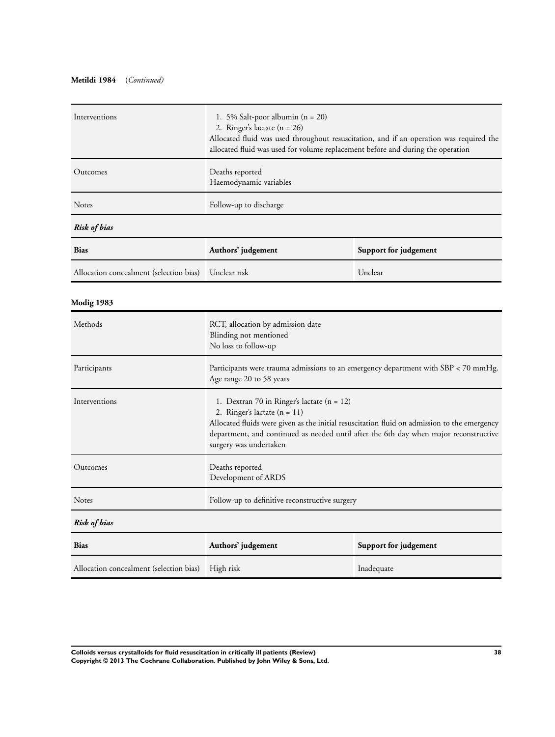## **Metildi 1984** (*Continued)*

| Interventions                           | 1. 5% Salt-poor albumin $(n = 20)$<br>2. Ringer's lactate $(n = 26)$<br>Allocated fluid was used throughout resuscitation, and if an operation was required the<br>allocated fluid was used for volume replacement before and during the operation                                              |                       |
|-----------------------------------------|-------------------------------------------------------------------------------------------------------------------------------------------------------------------------------------------------------------------------------------------------------------------------------------------------|-----------------------|
| Outcomes                                | Deaths reported<br>Haemodynamic variables                                                                                                                                                                                                                                                       |                       |
| Notes                                   | Follow-up to discharge                                                                                                                                                                                                                                                                          |                       |
| Risk of bias                            |                                                                                                                                                                                                                                                                                                 |                       |
| <b>Bias</b>                             | Authors' judgement                                                                                                                                                                                                                                                                              | Support for judgement |
| Allocation concealment (selection bias) | Unclear risk                                                                                                                                                                                                                                                                                    | Unclear               |
| Modig 1983                              |                                                                                                                                                                                                                                                                                                 |                       |
| Methods                                 | RCT, allocation by admission date<br>Blinding not mentioned<br>No loss to follow-up                                                                                                                                                                                                             |                       |
| Participants                            | Participants were trauma admissions to an emergency department with SBP < 70 mmHg.<br>Age range 20 to 58 years                                                                                                                                                                                  |                       |
| Interventions                           | 1. Dextran 70 in Ringer's lactate (n = 12)<br>2. Ringer's lactate $(n = 11)$<br>Allocated fluids were given as the initial resuscitation fluid on admission to the emergency<br>department, and continued as needed until after the 6th day when major reconstructive<br>surgery was undertaken |                       |
| Outcomes                                | Deaths reported<br>Development of ARDS                                                                                                                                                                                                                                                          |                       |
| Notes                                   | Follow-up to definitive reconstructive surgery                                                                                                                                                                                                                                                  |                       |
| <b>Risk of bias</b>                     |                                                                                                                                                                                                                                                                                                 |                       |
| <b>Bias</b>                             | Authors' judgement                                                                                                                                                                                                                                                                              | Support for judgement |
| Allocation concealment (selection bias) | High risk                                                                                                                                                                                                                                                                                       | Inadequate            |

**Colloids versus crystalloids for fluid resuscitation in critically ill patients (Review) 38 Copyright © 2013 The Cochrane Collaboration. Published by John Wiley & Sons, Ltd.**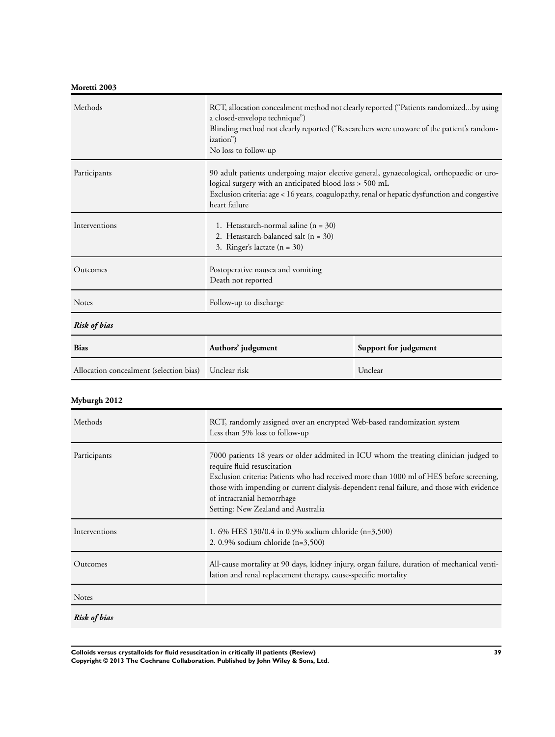# **Moretti 2003**

| Methods                                 | RCT, allocation concealment method not clearly reported ("Patients randomizedby using<br>a closed-envelope technique")<br>Blinding method not clearly reported ("Researchers were unaware of the patient's random-<br>ization")<br>No loss to follow-up               |                       |
|-----------------------------------------|-----------------------------------------------------------------------------------------------------------------------------------------------------------------------------------------------------------------------------------------------------------------------|-----------------------|
| Participants                            | 90 adult patients undergoing major elective general, gynaecological, orthopaedic or uro-<br>logical surgery with an anticipated blood loss > 500 mL<br>Exclusion criteria: age < 16 years, coagulopathy, renal or hepatic dysfunction and congestive<br>heart failure |                       |
| Interventions                           | 1. Hetastarch-normal saline $(n = 30)$<br>2. Hetastarch-balanced salt $(n = 30)$<br>3. Ringer's lactate $(n = 30)$                                                                                                                                                    |                       |
| Outcomes                                | Postoperative nausea and vomiting<br>Death not reported                                                                                                                                                                                                               |                       |
| <b>Notes</b>                            | Follow-up to discharge                                                                                                                                                                                                                                                |                       |
| <b>Risk of bias</b>                     |                                                                                                                                                                                                                                                                       |                       |
| <b>Bias</b>                             | Authors' judgement                                                                                                                                                                                                                                                    | Support for judgement |
| Allocation concealment (selection bias) | Unclear risk                                                                                                                                                                                                                                                          | Unclear               |

# **Myburgh 2012**

| Methods       | RCT, randomly assigned over an encrypted Web-based randomization system<br>Less than 5% loss to follow-up                                                                                                                                                                                                                                                                         |
|---------------|-----------------------------------------------------------------------------------------------------------------------------------------------------------------------------------------------------------------------------------------------------------------------------------------------------------------------------------------------------------------------------------|
| Participants  | 7000 patients 18 years or older addmited in ICU whom the treating clinician judged to<br>require fluid resuscitation<br>Exclusion criteria: Patients who had received more than 1000 ml of HES before screening,<br>those with impending or current dialysis-dependent renal failure, and those with evidence<br>of intracranial hemorrhage<br>Setting: New Zealand and Australia |
| Interventions | 1.6% HES 130/0.4 in 0.9% sodium chloride $(n=3,500)$<br>2. 0.9% sodium chloride $(n=3,500)$                                                                                                                                                                                                                                                                                       |
| Outcomes      | All-cause mortality at 90 days, kidney injury, organ failure, duration of mechanical venti-<br>lation and renal replacement therapy, cause-specific mortality                                                                                                                                                                                                                     |
| <b>Notes</b>  |                                                                                                                                                                                                                                                                                                                                                                                   |

*Risk of bias*

**Colloids versus crystalloids for fluid resuscitation in critically ill patients (Review) 39 Copyright © 2013 The Cochrane Collaboration. Published by John Wiley & Sons, Ltd.**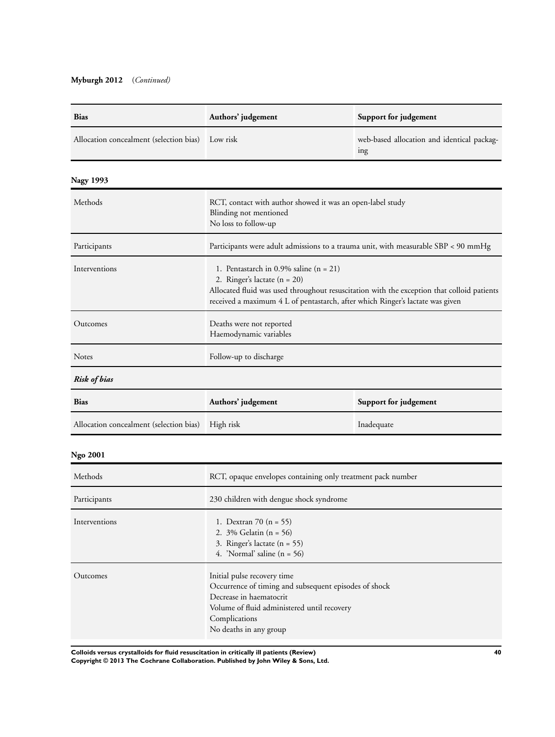# **Myburgh 2012** (*Continued)*

| <b>Bias</b>                             | Authors' judgement                                                                                                                                                                                                                                        | Support for judgement                                         |
|-----------------------------------------|-----------------------------------------------------------------------------------------------------------------------------------------------------------------------------------------------------------------------------------------------------------|---------------------------------------------------------------|
| Allocation concealment (selection bias) | Low risk                                                                                                                                                                                                                                                  | web-based allocation and identical packag-<br><sub>1</sub> ng |
| <b>Nagy 1993</b>                        |                                                                                                                                                                                                                                                           |                                                               |
| Methods                                 | RCT, contact with author showed it was an open-label study<br>Blinding not mentioned<br>No loss to follow-up                                                                                                                                              |                                                               |
| Participants                            | Participants were adult admissions to a trauma unit, with measurable SBP < 90 mmHg                                                                                                                                                                        |                                                               |
| Interventions                           | 1. Pentastarch in 0.9% saline $(n = 21)$<br>2. Ringer's lactate $(n = 20)$<br>Allocated fluid was used throughout resuscitation with the exception that colloid patients<br>received a maximum 4 L of pentastarch, after which Ringer's lactate was given |                                                               |
| Outcomes                                | Deaths were not reported<br>Haemodynamic variables                                                                                                                                                                                                        |                                                               |
| Notes                                   | Follow-up to discharge                                                                                                                                                                                                                                    |                                                               |
| <b>Risk of bias</b>                     |                                                                                                                                                                                                                                                           |                                                               |
| <b>Bias</b>                             | Authors' judgement                                                                                                                                                                                                                                        | Support for judgement                                         |
| Allocation concealment (selection bias) | High risk                                                                                                                                                                                                                                                 | Inadequate                                                    |
| <b>Ngo 2001</b>                         |                                                                                                                                                                                                                                                           |                                                               |
| Methods                                 | RCT, opaque envelopes containing only treatment pack number                                                                                                                                                                                               |                                                               |
| Participants                            | 230 children with dengue shock syndrome                                                                                                                                                                                                                   |                                                               |
| Interventions                           | 1. Dextran 70 $(n = 55)$<br>2. 3% Gelatin (n = 56)<br>3. Ringer's lactate $(n = 55)$<br>4. 'Normal' saline $(n = 56)$                                                                                                                                     |                                                               |
| Outcomes                                | Initial pulse recovery time<br>Occurrence of timing and subsequent episodes of shock<br>Decrease in haematocrit<br>Volume of fluid administered until recovery<br>Complications<br>No deaths in any group                                                 |                                                               |

**Colloids versus crystalloids for fluid resuscitation in critically ill patients (Review) 40**

**Copyright © 2013 The Cochrane Collaboration. Published by John Wiley & Sons, Ltd.**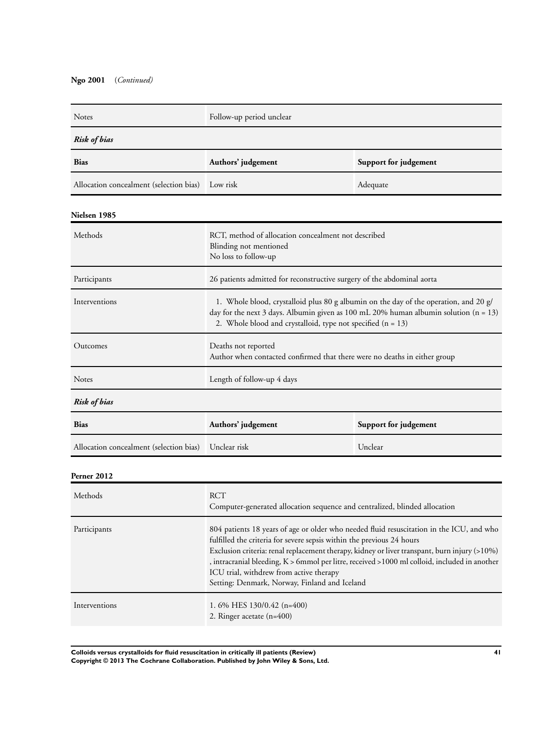# **Ngo 2001** (*Continued)*

| Notes                                   | Follow-up period unclear                                                                                                                                                                                                                      |                       |  |
|-----------------------------------------|-----------------------------------------------------------------------------------------------------------------------------------------------------------------------------------------------------------------------------------------------|-----------------------|--|
| <b>Risk of bias</b>                     |                                                                                                                                                                                                                                               |                       |  |
| <b>Bias</b>                             | Authors' judgement<br>Support for judgement                                                                                                                                                                                                   |                       |  |
| Allocation concealment (selection bias) | Low risk                                                                                                                                                                                                                                      | Adequate              |  |
| Nielsen 1985                            |                                                                                                                                                                                                                                               |                       |  |
| Methods                                 | RCT, method of allocation concealment not described<br>Blinding not mentioned<br>No loss to follow-up                                                                                                                                         |                       |  |
| Participants                            | 26 patients admitted for reconstructive surgery of the abdominal aorta                                                                                                                                                                        |                       |  |
| Interventions                           | 1. Whole blood, crystalloid plus 80 g albumin on the day of the operation, and 20 g/<br>day for the next 3 days. Albumin given as 100 mL 20% human albumin solution (n = 13)<br>2. Whole blood and crystalloid, type not specified $(n = 13)$ |                       |  |
| Outcomes                                | Deaths not reported<br>Author when contacted confirmed that there were no deaths in either group                                                                                                                                              |                       |  |
| Notes                                   | Length of follow-up 4 days                                                                                                                                                                                                                    |                       |  |
| <b>Risk of bias</b>                     |                                                                                                                                                                                                                                               |                       |  |
| <b>Bias</b>                             | Authors' judgement                                                                                                                                                                                                                            | Support for judgement |  |
| Allocation concealment (selection bias) | Unclear risk                                                                                                                                                                                                                                  | Unclear               |  |
| Perner 2012                             |                                                                                                                                                                                                                                               |                       |  |
| Methods                                 | <b>RCT</b><br>Computer-generated allocation sequence and centralized, blinded allocation                                                                                                                                                      |                       |  |
|                                         |                                                                                                                                                                                                                                               |                       |  |

| Participants  | 804 patients 18 years of age or older who needed fluid resuscitation in the ICU, and who           |
|---------------|----------------------------------------------------------------------------------------------------|
|               | fulfilled the criteria for severe sepsis within the previous 24 hours                              |
|               | Exclusion criteria: renal replacement therapy, kidney or liver transpant, burn injury (>10%)       |
|               | , intracranial bleeding, $K > 6$ mmol per litre, received $> 1000$ ml colloid, included in another |
|               | ICU trial, withdrew from active therapy                                                            |
|               | Setting: Denmark, Norway, Finland and Iceland                                                      |
| Interventions | 1.6% HES $130/0.42$ (n=400)                                                                        |
|               |                                                                                                    |
|               | 2. Ringer acetate $(n=400)$                                                                        |

**Colloids versus crystalloids for fluid resuscitation in critically ill patients (Review) 41 Copyright © 2013 The Cochrane Collaboration. Published by John Wiley & Sons, Ltd.**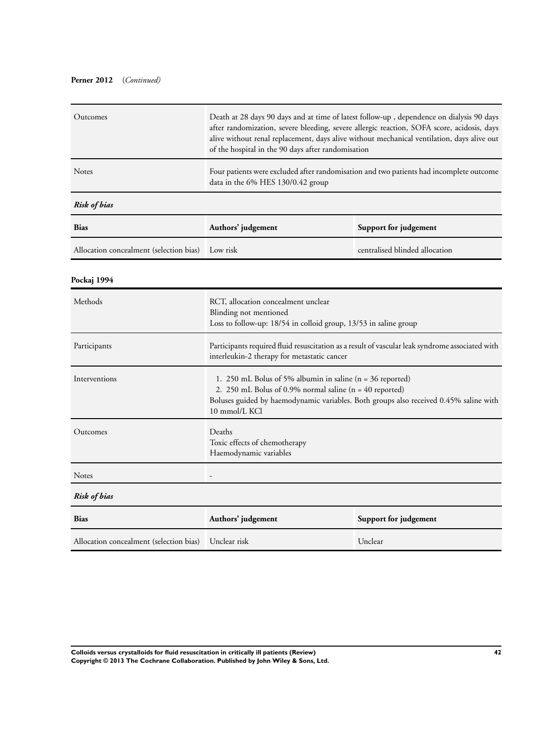### **Perner 2012** (*Continued)*

| Outcomes                                | Death at 28 days 90 days and at time of latest follow-up, dependence on dialysis 90 days<br>after randomization, severe bleeding, severe allergic reaction, SOFA score, acidosis, days<br>alive without renal replacement, days alive without mechanical ventilation, days alive out<br>of the hospital in the 90 days after randomisation |                                |
|-----------------------------------------|--------------------------------------------------------------------------------------------------------------------------------------------------------------------------------------------------------------------------------------------------------------------------------------------------------------------------------------------|--------------------------------|
| Notes                                   | Four patients were excluded after randomisation and two patients had incomplete outcome<br>data in the 6% HES 130/0.42 group                                                                                                                                                                                                               |                                |
| <b>Risk of bias</b>                     |                                                                                                                                                                                                                                                                                                                                            |                                |
| <b>Bias</b>                             | Authors' judgement                                                                                                                                                                                                                                                                                                                         | Support for judgement          |
| Allocation concealment (selection bias) | Low risk                                                                                                                                                                                                                                                                                                                                   | centralised blinded allocation |
| Pockaj 1994                             |                                                                                                                                                                                                                                                                                                                                            |                                |
| Methods                                 | RCT, allocation concealment unclear<br>Blinding not mentioned<br>Loss to follow-up: 18/54 in colloid group, 13/53 in saline group                                                                                                                                                                                                          |                                |
| Participants                            | Participants required fluid resuscitation as a result of vascular leak syndrome associated with<br>interleukin-2 therapy for metastatic cancer                                                                                                                                                                                             |                                |
| Interventions                           | 1. 250 mL Bolus of 5% albumin in saline ( $n = 36$ reported)<br>2. 250 mL Bolus of 0.9% normal saline ( $n = 40$ reported)<br>Boluses guided by haemodynamic variables. Both groups also received 0.45% saline with<br>10 mmol/L KCl                                                                                                       |                                |
| Outcomes                                | Deaths<br>Toxic effects of chemotherapy<br>Haemodynamic variables                                                                                                                                                                                                                                                                          |                                |
| Notes                                   |                                                                                                                                                                                                                                                                                                                                            |                                |
| Risk of bias                            |                                                                                                                                                                                                                                                                                                                                            |                                |
| <b>Bias</b>                             | Authors' judgement                                                                                                                                                                                                                                                                                                                         | Support for judgement          |
| Allocation concealment (selection bias) | Unclear risk                                                                                                                                                                                                                                                                                                                               | Unclear                        |

**Colloids versus crystalloids for fluid resuscitation in critically ill patients (Review) 42 Copyright © 2013 The Cochrane Collaboration. Published by John Wiley & Sons, Ltd.**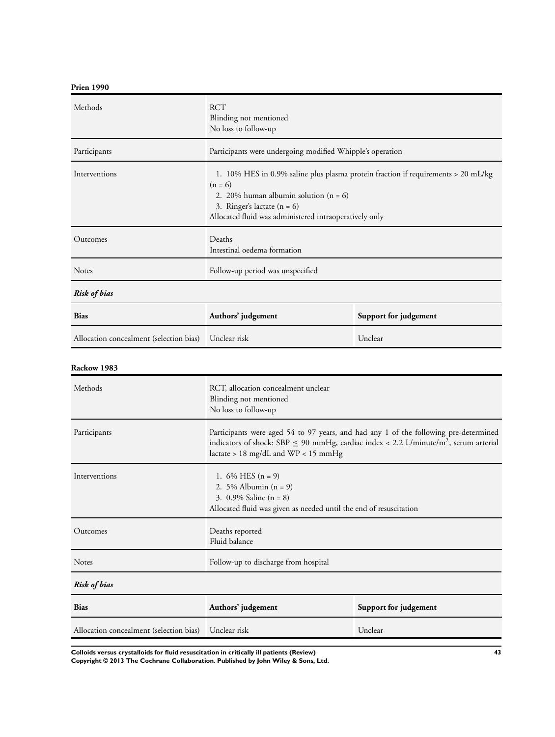# **Prien 1990**

| Methods                                 | <b>RCT</b><br>Blinding not mentioned<br>No loss to follow-up                                                                                                                                                                           |                       |
|-----------------------------------------|----------------------------------------------------------------------------------------------------------------------------------------------------------------------------------------------------------------------------------------|-----------------------|
| Participants                            | Participants were undergoing modified Whipple's operation                                                                                                                                                                              |                       |
| Interventions                           | 1. 10% HES in 0.9% saline plus plasma protein fraction if requirements $> 20$ mL/kg<br>$(n = 6)$<br>2. 20% human albumin solution $(n = 6)$<br>3. Ringer's lactate $(n = 6)$<br>Allocated fluid was administered intraoperatively only |                       |
| Outcomes                                | Deaths<br>Intestinal oedema formation                                                                                                                                                                                                  |                       |
| <b>Notes</b>                            | Follow-up period was unspecified                                                                                                                                                                                                       |                       |
| <b>Risk of bias</b>                     |                                                                                                                                                                                                                                        |                       |
| <b>Bias</b>                             | Authors' judgement                                                                                                                                                                                                                     | Support for judgement |
| Allocation concealment (selection bias) | Unclear risk                                                                                                                                                                                                                           | Unclear               |

### **Rackow 1983**

| Methods                                 | RCT, allocation concealment unclear<br>Blinding not mentioned<br>No loss to follow-up                                                                                                                                                |                       |
|-----------------------------------------|--------------------------------------------------------------------------------------------------------------------------------------------------------------------------------------------------------------------------------------|-----------------------|
| Participants                            | Participants were aged 54 to 97 years, and had any 1 of the following pre-determined<br>indicators of shock: SBP $\leq$ 90 mmHg, cardiac index < 2.2 L/minute/m <sup>2</sup> , serum arterial<br>lactate > 18 mg/dL and WP < 15 mmHg |                       |
| Interventions                           | 1. $6\%$ HES $(n = 9)$<br>2. 5% Albumin $(n = 9)$<br>3. $0.9\%$ Saline (n = 8)<br>Allocated fluid was given as needed until the end of resuscitation                                                                                 |                       |
| Outcomes                                | Deaths reported<br>Fluid balance                                                                                                                                                                                                     |                       |
| <b>Notes</b>                            | Follow-up to discharge from hospital                                                                                                                                                                                                 |                       |
| <b>Risk of bias</b>                     |                                                                                                                                                                                                                                      |                       |
| <b>Bias</b>                             | Authors' judgement                                                                                                                                                                                                                   | Support for judgement |
| Allocation concealment (selection bias) | Unclear risk                                                                                                                                                                                                                         | Unclear               |

**Colloids versus crystalloids for fluid resuscitation in critically ill patients (Review) 43**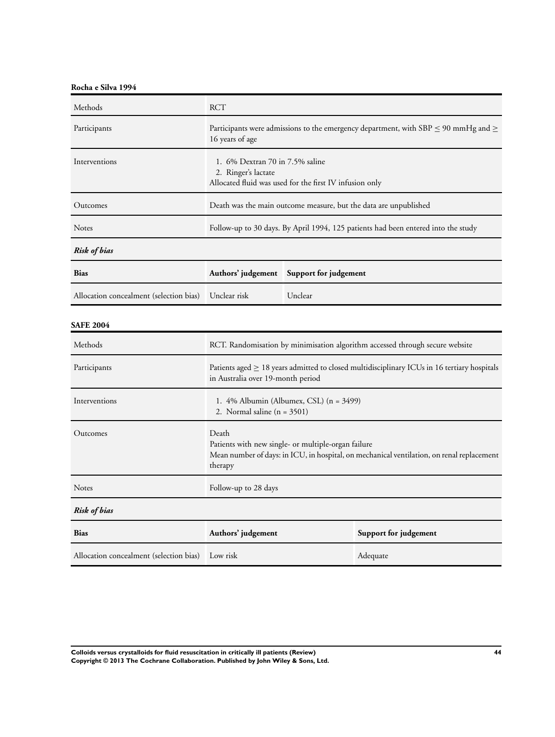**Rocha e Silva 1994**

| Methods                                 | <b>RCT</b>                                                                                                                                                           |                       |                                                                                   |
|-----------------------------------------|----------------------------------------------------------------------------------------------------------------------------------------------------------------------|-----------------------|-----------------------------------------------------------------------------------|
| Participants                            | Participants were admissions to the emergency department, with SBP $\leq$ 90 mmHg and $\geq$<br>16 years of age                                                      |                       |                                                                                   |
| Interventions                           | 1. 6% Dextran 70 in 7.5% saline<br>2. Ringer's lactate<br>Allocated fluid was used for the first IV infusion only                                                    |                       |                                                                                   |
| Outcomes                                |                                                                                                                                                                      |                       | Death was the main outcome measure, but the data are unpublished                  |
| <b>Notes</b>                            |                                                                                                                                                                      |                       | Follow-up to 30 days. By April 1994, 125 patients had been entered into the study |
| <b>Risk of bias</b>                     |                                                                                                                                                                      |                       |                                                                                   |
| <b>Bias</b>                             | Authors' judgement                                                                                                                                                   | Support for judgement |                                                                                   |
| Allocation concealment (selection bias) | Unclear risk                                                                                                                                                         | Unclear               |                                                                                   |
| <b>SAFE 2004</b>                        |                                                                                                                                                                      |                       |                                                                                   |
| Methods                                 | RCT. Randomisation by minimisation algorithm accessed through secure website                                                                                         |                       |                                                                                   |
| Participants                            | Patients aged $\geq$ 18 years admitted to closed multidisciplinary ICUs in 16 tertiary hospitals<br>in Australia over 19-month period                                |                       |                                                                                   |
| Interventions                           | 1. 4% Albumin (Albumex, CSL) (n = 3499)<br>2. Normal saline $(n = 3501)$                                                                                             |                       |                                                                                   |
| Outcomes                                | Death<br>Patients with new single- or multiple-organ failure<br>Mean number of days: in ICU, in hospital, on mechanical ventilation, on renal replacement<br>therapy |                       |                                                                                   |
| Notes                                   | Follow-up to 28 days                                                                                                                                                 |                       |                                                                                   |
| <b>Risk of bias</b>                     |                                                                                                                                                                      |                       |                                                                                   |
| <b>Bias</b>                             | Authors' judgement                                                                                                                                                   |                       | Support for judgement                                                             |
| Allocation concealment (selection bias) | Low risk                                                                                                                                                             |                       | Adequate                                                                          |

**Colloids versus crystalloids for fluid resuscitation in critically ill patients (Review) 44 Copyright © 2013 The Cochrane Collaboration. Published by John Wiley & Sons, Ltd.**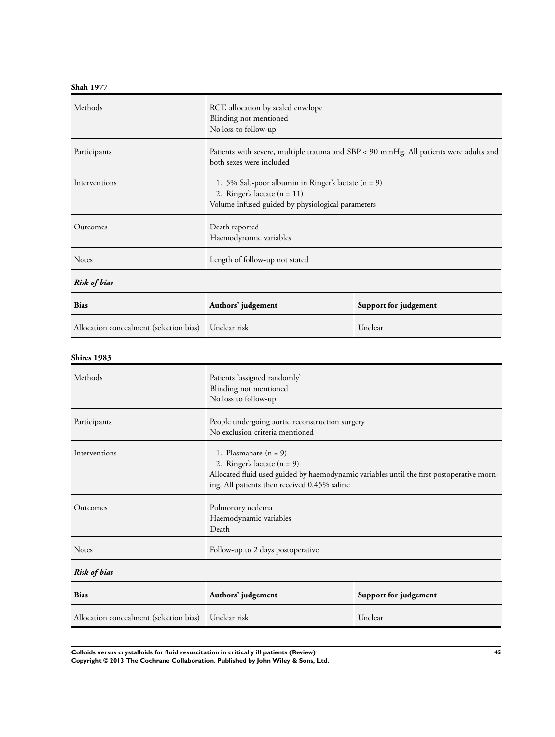**Shah 1977**

| Methods                                 | RCT, allocation by sealed envelope<br>Blinding not mentioned<br>No loss to follow-up                                                                                                                  |                       |
|-----------------------------------------|-------------------------------------------------------------------------------------------------------------------------------------------------------------------------------------------------------|-----------------------|
| Participants                            | Patients with severe, multiple trauma and SBP < 90 mmHg. All patients were adults and<br>both sexes were included                                                                                     |                       |
| Interventions                           | 1. 5% Salt-poor albumin in Ringer's lactate $(n = 9)$<br>2. Ringer's lactate $(n = 11)$<br>Volume infused guided by physiological parameters                                                          |                       |
| Outcomes                                | Death reported<br>Haemodynamic variables                                                                                                                                                              |                       |
| <b>Notes</b>                            | Length of follow-up not stated                                                                                                                                                                        |                       |
| <b>Risk of bias</b>                     |                                                                                                                                                                                                       |                       |
| <b>Bias</b>                             | Authors' judgement                                                                                                                                                                                    | Support for judgement |
| Allocation concealment (selection bias) | Unclear risk                                                                                                                                                                                          | Unclear               |
| Shires 1983                             |                                                                                                                                                                                                       |                       |
| Methods                                 | Patients 'assigned randomly'<br>Blinding not mentioned<br>No loss to follow-up                                                                                                                        |                       |
| Participants                            | People undergoing aortic reconstruction surgery<br>No exclusion criteria mentioned                                                                                                                    |                       |
| Interventions                           | 1. Plasmanate $(n = 9)$<br>2. Ringer's lactate $(n = 9)$<br>Allocated fluid used guided by haemodynamic variables until the first postoperative morn-<br>ing. All patients then received 0.45% saline |                       |
| Outcomes                                | Pulmonary oedema<br>Haemodynamic variables<br>Death                                                                                                                                                   |                       |
| Notes                                   | Follow-up to 2 days postoperative                                                                                                                                                                     |                       |
| <b>Risk of bias</b>                     |                                                                                                                                                                                                       |                       |
| <b>Bias</b>                             | Authors' judgement                                                                                                                                                                                    | Support for judgement |
| Allocation concealment (selection bias) | Unclear risk                                                                                                                                                                                          | Unclear               |

**Colloids versus crystalloids for fluid resuscitation in critically ill patients (Review) 45 Copyright © 2013 The Cochrane Collaboration. Published by John Wiley & Sons, Ltd.**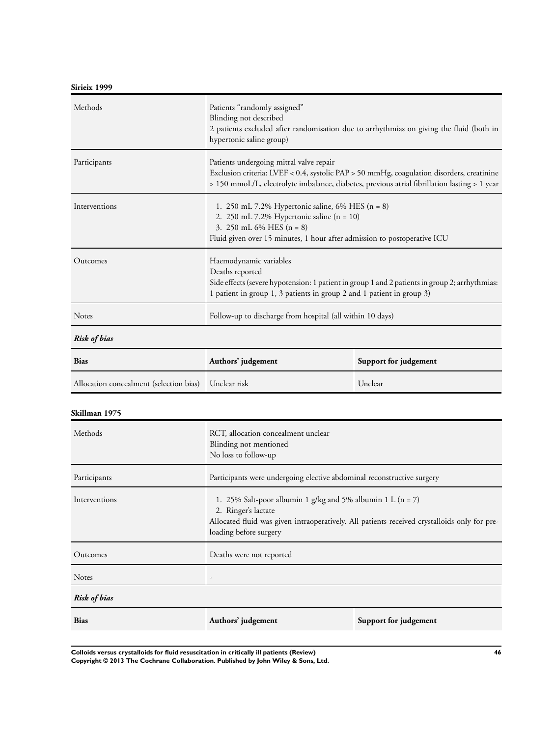**Sirieix 1999**

| Methods                                 | Patients "randomly assigned"<br>Blinding not described<br>2 patients excluded after randomisation due to arrhythmias on giving the fluid (both in<br>hypertonic saline group)                                                        |                       |  |
|-----------------------------------------|--------------------------------------------------------------------------------------------------------------------------------------------------------------------------------------------------------------------------------------|-----------------------|--|
| Participants                            | Patients undergoing mitral valve repair<br>Exclusion criteria: LVEF < 0.4, systolic PAP > 50 mmHg, coagulation disorders, creatinine<br>> 150 mmoL/L, electrolyte imbalance, diabetes, previous atrial fibrillation lasting > 1 year |                       |  |
| Interventions                           | 1. 250 mL 7.2% Hypertonic saline, 6% HES $(n = 8)$<br>2. 250 mL 7.2% Hypertonic saline $(n = 10)$<br>3. 250 mL 6% HES $(n = 8)$<br>Fluid given over 15 minutes, 1 hour after admission to postoperative ICU                          |                       |  |
| Outcomes                                | Haemodynamic variables<br>Deaths reported<br>Side effects (severe hypotension: 1 patient in group 1 and 2 patients in group 2; arrhythmias:<br>1 patient in group 1, 3 patients in group 2 and 1 patient in group 3)                 |                       |  |
| <b>Notes</b>                            | Follow-up to discharge from hospital (all within 10 days)                                                                                                                                                                            |                       |  |
| <b>Risk of bias</b>                     |                                                                                                                                                                                                                                      |                       |  |
| <b>Bias</b>                             | Authors' judgement                                                                                                                                                                                                                   | Support for judgement |  |
| Allocation concealment (selection bias) | Unclear risk                                                                                                                                                                                                                         | Unclear               |  |
| Skillman 1975                           |                                                                                                                                                                                                                                      |                       |  |
| Methods                                 | RCT, allocation concealment unclear<br>Blinding not mentioned<br>No loss to follow-up                                                                                                                                                |                       |  |
| Participants                            | Participants were undergoing elective abdominal reconstructive surgery                                                                                                                                                               |                       |  |
| Interventions                           | 1. 25% Salt-poor albumin 1 g/kg and 5% albumin 1 L (n = 7)<br>2. Ringer's lactate<br>Allocated fluid was given intraoperatively. All patients received crystalloids only for pre-<br>loading before surgery                          |                       |  |
| Outcomes                                | Deaths were not reported                                                                                                                                                                                                             |                       |  |
| Notes                                   | $\overline{a}$                                                                                                                                                                                                                       |                       |  |
| <b>Risk of bias</b>                     |                                                                                                                                                                                                                                      |                       |  |
| <b>Bias</b>                             | Authors' judgement                                                                                                                                                                                                                   | Support for judgement |  |

**Colloids versus crystalloids for fluid resuscitation in critically ill patients (Review) 46 Copyright © 2013 The Cochrane Collaboration. Published by John Wiley & Sons, Ltd.**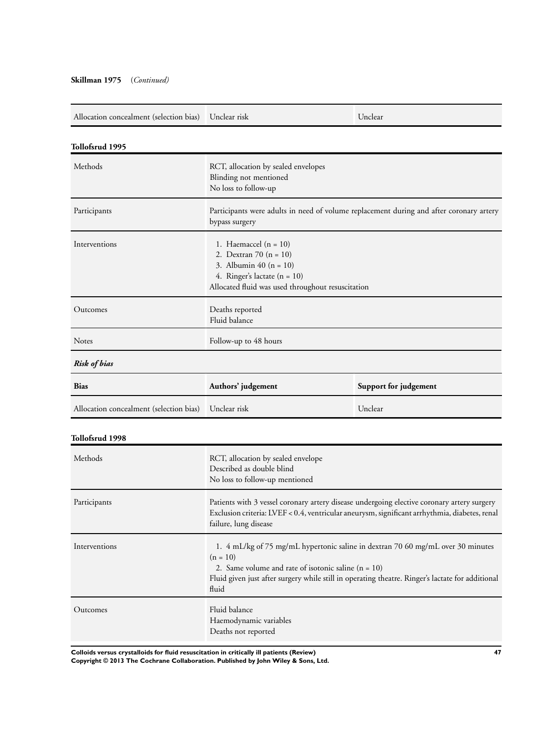### **Skillman 1975** (*Continued)*

| Allocation concealment (selection bias) | Unclear risk                                                                                                                                                                                                                                                        | Unclear               |
|-----------------------------------------|---------------------------------------------------------------------------------------------------------------------------------------------------------------------------------------------------------------------------------------------------------------------|-----------------------|
| Tollofsrud 1995                         |                                                                                                                                                                                                                                                                     |                       |
| Methods                                 | RCT, allocation by sealed envelopes<br>Blinding not mentioned<br>No loss to follow-up                                                                                                                                                                               |                       |
| Participants                            | Participants were adults in need of volume replacement during and after coronary artery<br>bypass surgery                                                                                                                                                           |                       |
| Interventions                           | 1. Haemaccel $(n = 10)$<br>2. Dextran 70 $(n = 10)$<br>3. Albumin 40 $(n = 10)$<br>4. Ringer's lactate $(n = 10)$<br>Allocated fluid was used throughout resuscitation                                                                                              |                       |
| Outcomes                                | Deaths reported<br>Fluid balance                                                                                                                                                                                                                                    |                       |
| Notes                                   | Follow-up to 48 hours                                                                                                                                                                                                                                               |                       |
| <b>Risk of bias</b>                     |                                                                                                                                                                                                                                                                     |                       |
| <b>Bias</b>                             | Authors' judgement                                                                                                                                                                                                                                                  | Support for judgement |
| Allocation concealment (selection bias) | Unclear risk                                                                                                                                                                                                                                                        | Unclear               |
| Tollofsrud 1998                         |                                                                                                                                                                                                                                                                     |                       |
| Methods                                 | RCT, allocation by sealed envelope<br>Described as double blind<br>No loss to follow-up mentioned                                                                                                                                                                   |                       |
| Participants                            | Patients with 3 vessel coronary artery disease undergoing elective coronary artery surgery<br>Exclusion criteria: LVEF < 0.4, ventricular aneurysm, significant arrhythmia, diabetes, renal<br>failure, lung disease                                                |                       |
| Interventions                           | 1. 4 mL/kg of 75 mg/mL hypertonic saline in dextran 70 60 mg/mL over 30 minutes<br>$(n = 10)$<br>2. Same volume and rate of isotonic saline $(n = 10)$<br>Fluid given just after surgery while still in operating theatre. Ringer's lactate for additional<br>fluid |                       |
| Outcomes                                | Fluid balance<br>Haemodynamic variables<br>Deaths not reported                                                                                                                                                                                                      |                       |

**Colloids versus crystalloids for fluid resuscitation in critically ill patients (Review) 47**

**Copyright © 2013 The Cochrane Collaboration. Published by John Wiley & Sons, Ltd.**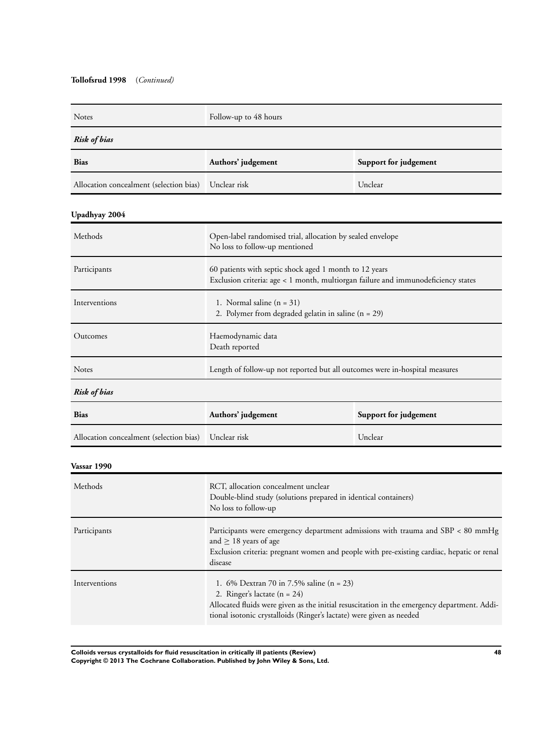### **Tollofsrud 1998** (*Continued)*

| Notes                                   | Follow-up to 48 hours                                                                                                                                                                                                                             |                       |
|-----------------------------------------|---------------------------------------------------------------------------------------------------------------------------------------------------------------------------------------------------------------------------------------------------|-----------------------|
| Risk of bias                            |                                                                                                                                                                                                                                                   |                       |
| <b>Bias</b>                             | Authors' judgement                                                                                                                                                                                                                                | Support for judgement |
| Allocation concealment (selection bias) | Unclear risk                                                                                                                                                                                                                                      | Unclear               |
| Upadhyay 2004                           |                                                                                                                                                                                                                                                   |                       |
| Methods                                 | Open-label randomised trial, allocation by sealed envelope<br>No loss to follow-up mentioned                                                                                                                                                      |                       |
| Participants                            | 60 patients with septic shock aged 1 month to 12 years<br>Exclusion criteria: age < 1 month, multiorgan failure and immunodeficiency states                                                                                                       |                       |
| Interventions                           | 1. Normal saline $(n = 31)$<br>2. Polymer from degraded gelatin in saline $(n = 29)$                                                                                                                                                              |                       |
| Outcomes                                | Haemodynamic data<br>Death reported                                                                                                                                                                                                               |                       |
| Notes                                   | Length of follow-up not reported but all outcomes were in-hospital measures                                                                                                                                                                       |                       |
| <b>Risk of bias</b>                     |                                                                                                                                                                                                                                                   |                       |
| <b>Bias</b>                             | Authors' judgement                                                                                                                                                                                                                                | Support for judgement |
| Allocation concealment (selection bias) | Unclear risk                                                                                                                                                                                                                                      | Unclear               |
| Vassar 1990                             |                                                                                                                                                                                                                                                   |                       |
| Methods                                 | RCT, allocation concealment unclear<br>Double-blind study (solutions prepared in identical containers)<br>No loss to follow-up                                                                                                                    |                       |
| Participants                            | Participants were emergency department admissions with trauma and SBP < 80 mmHg<br>and $\geq$ 18 years of age<br>Exclusion criteria: pregnant women and people with pre-existing cardiac, hepatic or renal<br>disease                             |                       |
| Interventions                           | 1. 6% Dextran 70 in 7.5% saline (n = 23)<br>2. Ringer's lactate $(n = 24)$<br>Allocated fluids were given as the initial resuscitation in the emergency department. Addi-<br>tional isotonic crystalloids (Ringer's lactate) were given as needed |                       |

**Colloids versus crystalloids for fluid resuscitation in critically ill patients (Review) 48 Copyright © 2013 The Cochrane Collaboration. Published by John Wiley & Sons, Ltd.**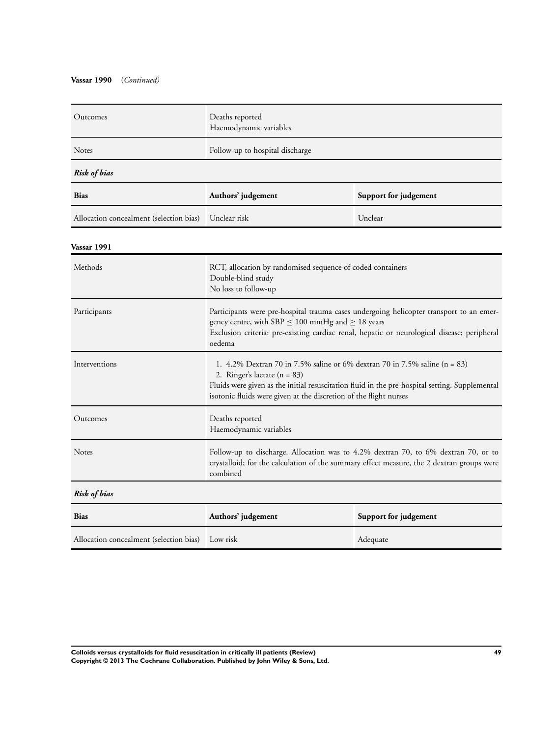### **Vassar 1990** (*Continued)*

| Outcomes                                | Deaths reported<br>Haemodynamic variables                                                                                                                                                                                                                                             |                       |
|-----------------------------------------|---------------------------------------------------------------------------------------------------------------------------------------------------------------------------------------------------------------------------------------------------------------------------------------|-----------------------|
| Notes                                   | Follow-up to hospital discharge                                                                                                                                                                                                                                                       |                       |
| <b>Risk of bias</b>                     |                                                                                                                                                                                                                                                                                       |                       |
| <b>Bias</b>                             | Authors' judgement                                                                                                                                                                                                                                                                    | Support for judgement |
| Allocation concealment (selection bias) | Unclear risk                                                                                                                                                                                                                                                                          | Unclear               |
| Vassar 1991                             |                                                                                                                                                                                                                                                                                       |                       |
| Methods                                 | RCT, allocation by randomised sequence of coded containers<br>Double-blind study<br>No loss to follow-up                                                                                                                                                                              |                       |
| Participants                            | Participants were pre-hospital trauma cases undergoing helicopter transport to an emer-<br>gency centre, with SBP $\leq$ 100 mmHg and $\geq$ 18 years<br>Exclusion criteria: pre-existing cardiac renal, hepatic or neurological disease; peripheral<br>oedema                        |                       |
| Interventions                           | 1. 4.2% Dextran 70 in 7.5% saline or 6% dextran 70 in 7.5% saline $(n = 83)$<br>2. Ringer's lactate $(n = 83)$<br>Fluids were given as the initial resuscitation fluid in the pre-hospital setting. Supplemental<br>isotonic fluids were given at the discretion of the flight nurses |                       |
| Outcomes                                | Deaths reported<br>Haemodynamic variables                                                                                                                                                                                                                                             |                       |
| <b>Notes</b>                            | Follow-up to discharge. Allocation was to 4.2% dextran 70, to 6% dextran 70, or to<br>crystalloid; for the calculation of the summary effect measure, the 2 dextran groups were<br>combined                                                                                           |                       |
| <b>Risk of bias</b>                     |                                                                                                                                                                                                                                                                                       |                       |
| Bias                                    | Authors' judgement                                                                                                                                                                                                                                                                    | Support for judgement |
| Allocation concealment (selection bias) | Low risk                                                                                                                                                                                                                                                                              | Adequate              |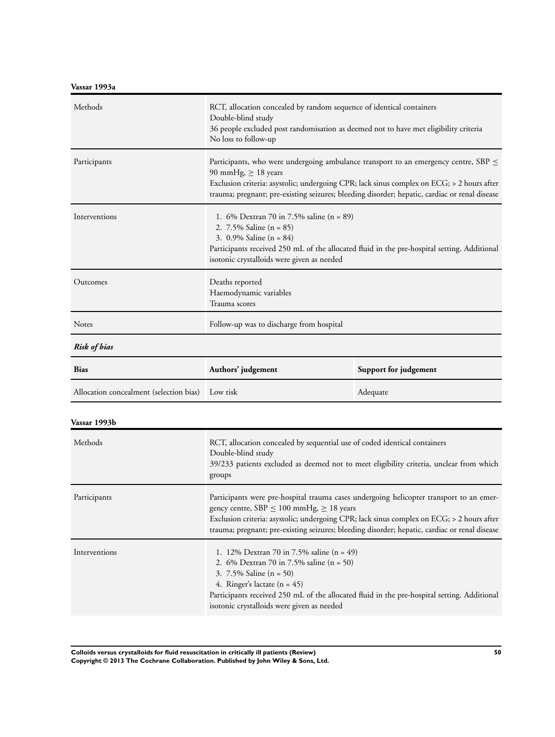**Vassar 1993a**

| Methods                                          | RCT, allocation concealed by random sequence of identical containers<br>Double-blind study<br>36 people excluded post randomisation as deemed not to have met eligibility criteria<br>No loss to follow-up                                                                                                         |                       |
|--------------------------------------------------|--------------------------------------------------------------------------------------------------------------------------------------------------------------------------------------------------------------------------------------------------------------------------------------------------------------------|-----------------------|
| Participants                                     | Participants, who were undergoing ambulance transport to an emergency centre, SBP $\leq$<br>90 mmHg, $\geq$ 18 years<br>Exclusion criteria: asystolic; undergoing CPR; lack sinus complex on ECG; > 2 hours after<br>trauma; pregnant; pre-existing seizures; bleeding disorder; hepatic, cardiac or renal disease |                       |
| Interventions                                    | 1. 6% Dextran 70 in 7.5% saline $(n = 89)$<br>2. $7.5\%$ Saline (n = 85)<br>3. 0.9% Saline $(n = 84)$<br>Participants received 250 mL of the allocated fluid in the pre-hospital setting. Additional<br>isotonic crystalloids were given as needed                                                                 |                       |
| Outcomes                                         | Deaths reported<br>Haemodynamic variables<br>Trauma scores                                                                                                                                                                                                                                                         |                       |
| <b>Notes</b>                                     | Follow-up was to discharge from hospital                                                                                                                                                                                                                                                                           |                       |
| <b>Risk of bias</b>                              |                                                                                                                                                                                                                                                                                                                    |                       |
| <b>Bias</b>                                      | Authors' judgement                                                                                                                                                                                                                                                                                                 | Support for judgement |
| Allocation concealment (selection bias) Low risk |                                                                                                                                                                                                                                                                                                                    | Adequate              |

### **Vassar 1993b**

| Methods       | RCT, allocation concealed by sequential use of coded identical containers<br>Double-blind study<br>39/233 patients excluded as deemed not to meet eligibility criteria, unclear from which<br>groups                                                                                                                                      |
|---------------|-------------------------------------------------------------------------------------------------------------------------------------------------------------------------------------------------------------------------------------------------------------------------------------------------------------------------------------------|
| Participants  | Participants were pre-hospital trauma cases undergoing helicopter transport to an emer-<br>gency centre, $SBP \le 100$ mmHg, $\ge 18$ years<br>Exclusion criteria: asystolic; undergoing CPR; lack sinus complex on ECG; > 2 hours after<br>trauma; pregnant; pre-existing seizures; bleeding disorder; hepatic, cardiac or renal disease |
| Interventions | 1. 12% Dextran 70 in 7.5% saline $(n = 49)$<br>2. 6% Dextran 70 in 7.5% saline $(n = 50)$<br>3. $7.5\%$ Saline (n = 50)<br>4. Ringer's lactate $(n = 45)$<br>Participants received 250 mL of the allocated fluid in the pre-hospital setting. Additional<br>isotonic crystalloids were given as needed                                    |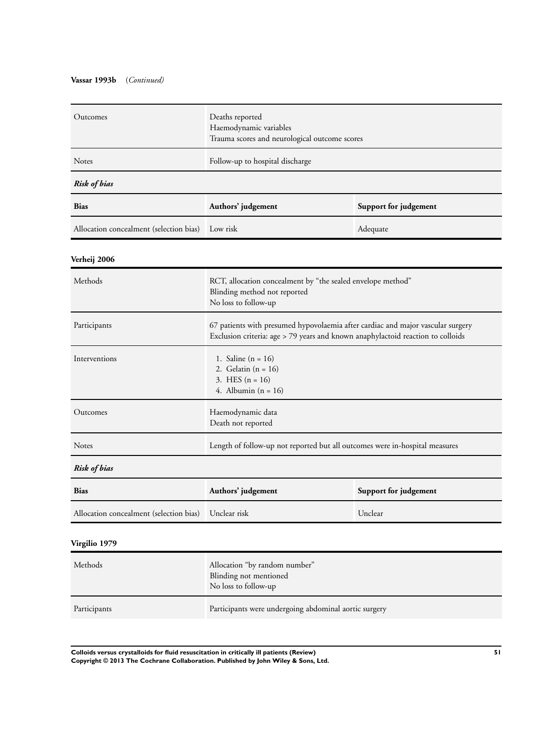### **Vassar 1993b** (*Continued)*

| Outcomes                                | Deaths reported<br>Haemodynamic variables<br>Trauma scores and neurological outcome scores                                                                         |                       |
|-----------------------------------------|--------------------------------------------------------------------------------------------------------------------------------------------------------------------|-----------------------|
| Notes                                   | Follow-up to hospital discharge                                                                                                                                    |                       |
| <b>Risk of bias</b>                     |                                                                                                                                                                    |                       |
| Bias                                    | Authors' judgement                                                                                                                                                 | Support for judgement |
| Allocation concealment (selection bias) | Low risk                                                                                                                                                           | Adequate              |
| Verheij 2006                            |                                                                                                                                                                    |                       |
| Methods                                 | RCT, allocation concealment by "the sealed envelope method"<br>Blinding method not reported<br>No loss to follow-up                                                |                       |
| Participants                            | 67 patients with presumed hypovolaemia after cardiac and major vascular surgery<br>Exclusion criteria: age > 79 years and known anaphylactoid reaction to colloids |                       |
| Interventions                           | 1. Saline $(n = 16)$<br>2. Gelatin $(n = 16)$<br>3. HES $(n = 16)$<br>4. Albumin ( $n = 16$ )                                                                      |                       |
| Outcomes                                | Haemodynamic data<br>Death not reported                                                                                                                            |                       |
| Notes                                   | Length of follow-up not reported but all outcomes were in-hospital measures                                                                                        |                       |
| <b>Risk of bias</b>                     |                                                                                                                                                                    |                       |
| <b>Bias</b>                             | Authors' judgement                                                                                                                                                 | Support for judgement |
| Allocation concealment (selection bias) | Unclear risk                                                                                                                                                       | Unclear               |
| Virgilio 1979                           |                                                                                                                                                                    |                       |
| Methods                                 | Allocation "by random number"<br>Blinding not mentioned<br>No loss to follow-up                                                                                    |                       |
| Participants                            | Participants were undergoing abdominal aortic surgery                                                                                                              |                       |

**Colloids versus crystalloids for fluid resuscitation in critically ill patients (Review) 51 Copyright © 2013 The Cochrane Collaboration. Published by John Wiley & Sons, Ltd.**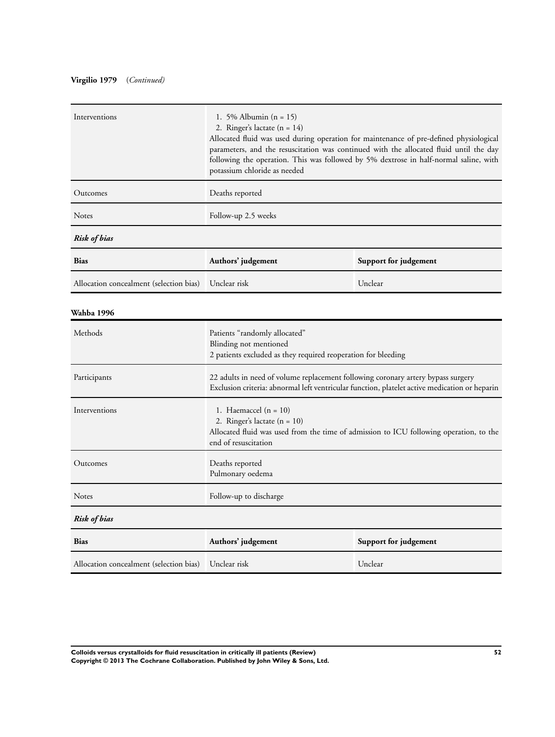# **Virgilio 1979** (*Continued)*

| Interventions                           | 1. 5% Albumin $(n = 15)$<br>2. Ringer's lactate $(n = 14)$<br>Allocated fluid was used during operation for maintenance of pre-defined physiological<br>parameters, and the resuscitation was continued with the allocated fluid until the day<br>following the operation. This was followed by 5% dextrose in half-normal saline, with<br>potassium chloride as needed |                       |
|-----------------------------------------|-------------------------------------------------------------------------------------------------------------------------------------------------------------------------------------------------------------------------------------------------------------------------------------------------------------------------------------------------------------------------|-----------------------|
| Outcomes                                | Deaths reported                                                                                                                                                                                                                                                                                                                                                         |                       |
| Notes                                   | Follow-up 2.5 weeks                                                                                                                                                                                                                                                                                                                                                     |                       |
| <b>Risk of bias</b>                     |                                                                                                                                                                                                                                                                                                                                                                         |                       |
| <b>Bias</b>                             | Authors' judgement                                                                                                                                                                                                                                                                                                                                                      | Support for judgement |
| Allocation concealment (selection bias) | Unclear risk                                                                                                                                                                                                                                                                                                                                                            | Unclear               |
| Wahba 1996                              |                                                                                                                                                                                                                                                                                                                                                                         |                       |
| Methods                                 | Patients "randomly allocated"<br>Blinding not mentioned<br>2 patients excluded as they required reoperation for bleeding                                                                                                                                                                                                                                                |                       |
| Participants                            | 22 adults in need of volume replacement following coronary artery bypass surgery<br>Exclusion criteria: abnormal left ventricular function, platelet active medication or heparin                                                                                                                                                                                       |                       |
| Interventions                           | 1. Haemaccel $(n = 10)$<br>2. Ringer's lactate $(n = 10)$<br>Allocated fluid was used from the time of admission to ICU following operation, to the<br>end of resuscitation                                                                                                                                                                                             |                       |
| Outcomes                                | Deaths reported<br>Pulmonary oedema                                                                                                                                                                                                                                                                                                                                     |                       |
| <b>Notes</b>                            | Follow-up to discharge                                                                                                                                                                                                                                                                                                                                                  |                       |
| <b>Risk of bias</b>                     |                                                                                                                                                                                                                                                                                                                                                                         |                       |
| <b>Bias</b>                             | Authors' judgement                                                                                                                                                                                                                                                                                                                                                      | Support for judgement |
| Allocation concealment (selection bias) | Unclear risk                                                                                                                                                                                                                                                                                                                                                            | Unclear               |

**Colloids versus crystalloids for fluid resuscitation in critically ill patients (Review) 52 Copyright © 2013 The Cochrane Collaboration. Published by John Wiley & Sons, Ltd.**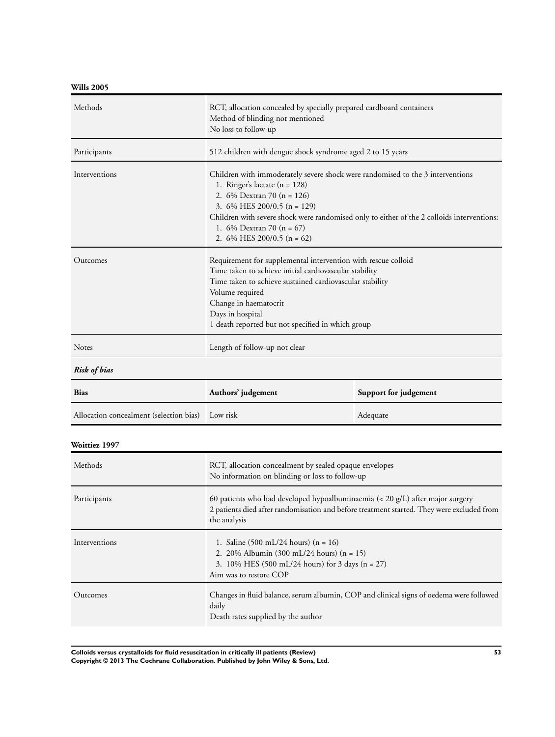**Wills 2005**

| Methods                                 | RCT, allocation concealed by specially prepared cardboard containers<br>Method of blinding not mentioned<br>No loss to follow-up                                                                                                                                                                                                                 |                       |
|-----------------------------------------|--------------------------------------------------------------------------------------------------------------------------------------------------------------------------------------------------------------------------------------------------------------------------------------------------------------------------------------------------|-----------------------|
| Participants                            | 512 children with dengue shock syndrome aged 2 to 15 years                                                                                                                                                                                                                                                                                       |                       |
| Interventions                           | Children with immoderately severe shock were randomised to the 3 interventions<br>1. Ringer's lactate $(n = 128)$<br>2. 6% Dextran 70 (n = 126)<br>3. $6\%$ HES 200/0.5 (n = 129)<br>Children with severe shock were randomised only to either of the 2 colloids interventions:<br>1. $6\%$ Dextran 70 (n = 67)<br>2. $6\%$ HES 200/0.5 (n = 62) |                       |
| Outcomes                                | Requirement for supplemental intervention with rescue colloid<br>Time taken to achieve initial cardiovascular stability<br>Time taken to achieve sustained cardiovascular stability<br>Volume required<br>Change in haematocrit<br>Days in hospital<br>1 death reported but not specified in which group                                         |                       |
| <b>Notes</b>                            | Length of follow-up not clear                                                                                                                                                                                                                                                                                                                    |                       |
| <b>Risk of bias</b>                     |                                                                                                                                                                                                                                                                                                                                                  |                       |
| <b>Bias</b>                             | Authors' judgement                                                                                                                                                                                                                                                                                                                               | Support for judgement |
| Allocation concealment (selection bias) | Low risk                                                                                                                                                                                                                                                                                                                                         | Adequate              |
| Woittiez 1997                           |                                                                                                                                                                                                                                                                                                                                                  |                       |
| Methods                                 | RCT, allocation concealment by sealed opaque envelopes<br>No information on blinding or loss to follow-up                                                                                                                                                                                                                                        |                       |
| Participants                            | 60 patients who had developed hypoalbuminaemia $(< 20 \text{ g/L})$ after major surgery<br>2 patients died after randomisation and before treatment started. They were excluded from                                                                                                                                                             |                       |

|               | the analysis                                                                                                                                                                                            |
|---------------|---------------------------------------------------------------------------------------------------------------------------------------------------------------------------------------------------------|
| Interventions | 1. Saline $(500 \text{ mL}/24 \text{ hours})$ (n = 16)<br>2. 20% Albumin (300 mL/24 hours) $(n = 15)$<br>3. 10% HES $(500 \text{ mL}/24 \text{ hours})$ for 3 days $(n = 27)$<br>Aim was to restore COP |
| Outcomes      | Changes in fluid balance, serum albumin, COP and clinical signs of oedema were followed<br>daily<br>Death rates supplied by the author                                                                  |

**Colloids versus crystalloids for fluid resuscitation in critically ill patients (Review) 53 Copyright © 2013 The Cochrane Collaboration. Published by John Wiley & Sons, Ltd.**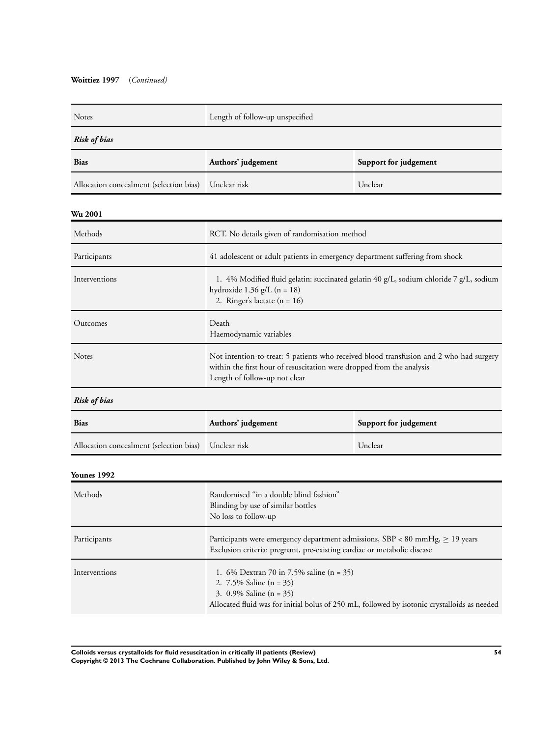| <b>Notes</b>                            | Length of follow-up unspecified                                                                                                                                                                     |                                                                                        |  |  |  |  |
|-----------------------------------------|-----------------------------------------------------------------------------------------------------------------------------------------------------------------------------------------------------|----------------------------------------------------------------------------------------|--|--|--|--|
| <b>Risk of bias</b>                     |                                                                                                                                                                                                     |                                                                                        |  |  |  |  |
| Bias                                    | Authors' judgement<br>Support for judgement                                                                                                                                                         |                                                                                        |  |  |  |  |
| Allocation concealment (selection bias) | Unclear risk<br>Unclear                                                                                                                                                                             |                                                                                        |  |  |  |  |
| <b>Wu 2001</b>                          |                                                                                                                                                                                                     |                                                                                        |  |  |  |  |
| Methods                                 | RCT. No details given of randomisation method                                                                                                                                                       |                                                                                        |  |  |  |  |
| Participants                            | 41 adolescent or adult patients in emergency department suffering from shock                                                                                                                        |                                                                                        |  |  |  |  |
| Interventions                           | hydroxide $1.36$ g/L (n = 18)<br>2. Ringer's lactate $(n = 16)$                                                                                                                                     | 1. 4% Modified fluid gelatin: succinated gelatin 40 g/L, sodium chloride 7 g/L, sodium |  |  |  |  |
| Outcomes                                | Death<br>Haemodynamic variables                                                                                                                                                                     |                                                                                        |  |  |  |  |
| <b>Notes</b>                            | Not intention-to-treat: 5 patients who received blood transfusion and 2 who had surgery<br>within the first hour of resuscitation were dropped from the analysis<br>Length of follow-up not clear   |                                                                                        |  |  |  |  |
| <b>Risk of bias</b>                     |                                                                                                                                                                                                     |                                                                                        |  |  |  |  |
| Bias                                    | Authors' judgement                                                                                                                                                                                  | Support for judgement                                                                  |  |  |  |  |
| Allocation concealment (selection bias) | Unclear risk                                                                                                                                                                                        | Unclear                                                                                |  |  |  |  |
| Younes 1992                             |                                                                                                                                                                                                     |                                                                                        |  |  |  |  |
| Methods                                 | Randomised "in a double blind fashion"<br>Blinding by use of similar bottles<br>No loss to follow-up                                                                                                |                                                                                        |  |  |  |  |
| Participants                            | Participants were emergency department admissions, SBP < 80 mmHg, $\geq$ 19 years<br>Exclusion criteria: pregnant, pre-existing cardiac or metabolic disease                                        |                                                                                        |  |  |  |  |
| Interventions                           | 1. 6% Dextran 70 in 7.5% saline $(n = 35)$<br>2. 7.5% Saline (n = 35)<br>3. $0.9\%$ Saline (n = 35)<br>Allocated fluid was for initial bolus of 250 mL, followed by isotonic crystalloids as needed |                                                                                        |  |  |  |  |

**Colloids versus crystalloids for fluid resuscitation in critically ill patients (Review) 54 Copyright © 2013 The Cochrane Collaboration. Published by John Wiley & Sons, Ltd.**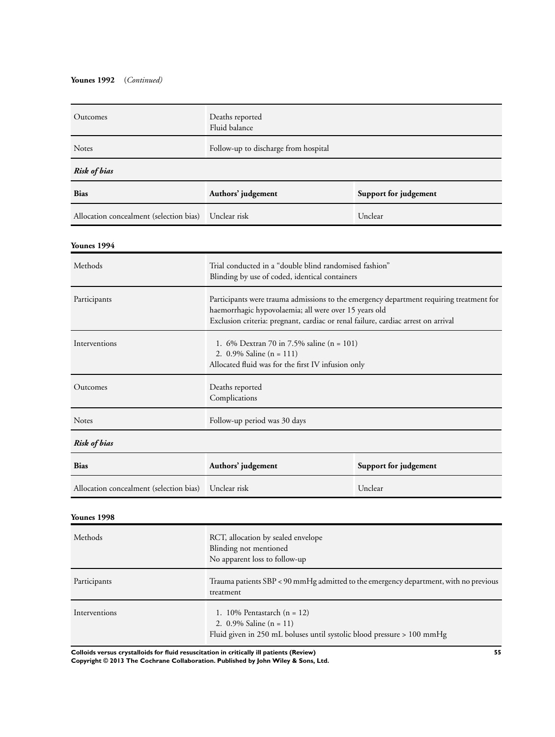### **Younes 1992** (*Continued)*

| Outcomes                                | Deaths reported<br>Fluid balance                                                                                                                                                                                                      |                       |  |  |
|-----------------------------------------|---------------------------------------------------------------------------------------------------------------------------------------------------------------------------------------------------------------------------------------|-----------------------|--|--|
| Notes                                   | Follow-up to discharge from hospital                                                                                                                                                                                                  |                       |  |  |
| <b>Risk of bias</b>                     |                                                                                                                                                                                                                                       |                       |  |  |
| <b>Bias</b>                             | Authors' judgement                                                                                                                                                                                                                    | Support for judgement |  |  |
| Allocation concealment (selection bias) | Unclear risk                                                                                                                                                                                                                          | Unclear               |  |  |
| Younes 1994                             |                                                                                                                                                                                                                                       |                       |  |  |
| Methods                                 | Trial conducted in a "double blind randomised fashion"<br>Blinding by use of coded, identical containers                                                                                                                              |                       |  |  |
| Participants                            | Participants were trauma admissions to the emergency department requiring treatment for<br>haemorrhagic hypovolaemia; all were over 15 years old<br>Exclusion criteria: pregnant, cardiac or renal failure, cardiac arrest on arrival |                       |  |  |
| Interventions                           | 1. 6% Dextran 70 in 7.5% saline (n = 101)<br>2. 0.9% Saline (n = 111)<br>Allocated fluid was for the first IV infusion only                                                                                                           |                       |  |  |
| Outcomes                                | Deaths reported<br>Complications                                                                                                                                                                                                      |                       |  |  |
| Notes                                   | Follow-up period was 30 days                                                                                                                                                                                                          |                       |  |  |
| <b>Risk of bias</b>                     |                                                                                                                                                                                                                                       |                       |  |  |
| <b>Bias</b>                             | Authors' judgement                                                                                                                                                                                                                    | Support for judgement |  |  |
| Allocation concealment (selection bias) | Unclear risk                                                                                                                                                                                                                          | Unclear               |  |  |
| <b>Younes 1998</b>                      |                                                                                                                                                                                                                                       |                       |  |  |
| Methods                                 | RCT, allocation by sealed envelope<br>Blinding not mentioned<br>No apparent loss to follow-up                                                                                                                                         |                       |  |  |
| Participants                            | Trauma patients SBP < 90 mmHg admitted to the emergency department, with no previous<br>treatment                                                                                                                                     |                       |  |  |
| Interventions                           | 1. 10% Pentastarch $(n = 12)$<br>2. $0.9\%$ Saline (n = 11)<br>Fluid given in 250 mL boluses until systolic blood pressure > 100 mmHg                                                                                                 |                       |  |  |

**Colloids versus crystalloids for fluid resuscitation in critically ill patients (Review) 55**

**Copyright © 2013 The Cochrane Collaboration. Published by John Wiley & Sons, Ltd.**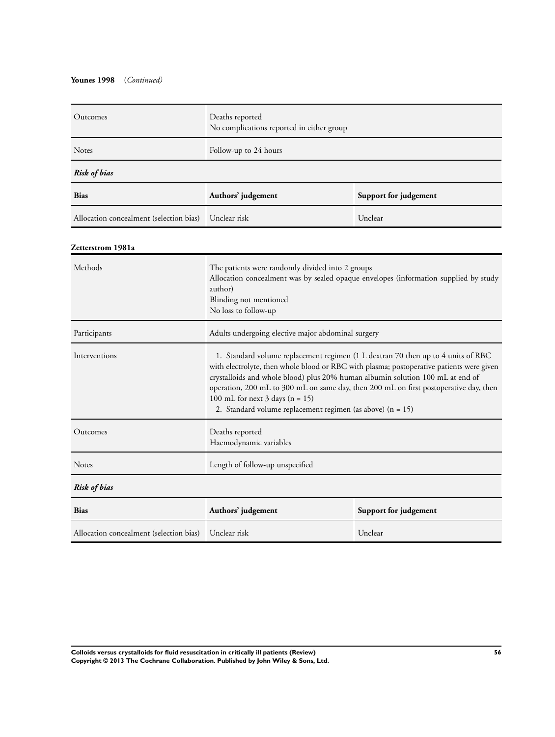### **Younes 1998** (*Continued)*

| Outcomes                                | Deaths reported<br>No complications reported in either group |                       |  |  |
|-----------------------------------------|--------------------------------------------------------------|-----------------------|--|--|
| <b>Notes</b>                            | Follow-up to 24 hours                                        |                       |  |  |
| <b>Risk of bias</b>                     |                                                              |                       |  |  |
| <b>Bias</b>                             | Authors' judgement                                           | Support for judgement |  |  |
| Allocation concealment (selection bias) | Unclear risk<br>Unclear                                      |                       |  |  |

### **Zetterstrom 1981a**

| Methods                                              | The patients were randomly divided into 2 groups<br>Allocation concealment was by sealed opaque envelopes (information supplied by study<br>author)<br>Blinding not mentioned<br>No loss to follow-up                                                                                                                                                                                                                                                                |  |  |  |
|------------------------------------------------------|----------------------------------------------------------------------------------------------------------------------------------------------------------------------------------------------------------------------------------------------------------------------------------------------------------------------------------------------------------------------------------------------------------------------------------------------------------------------|--|--|--|
| Participants                                         | Adults undergoing elective major abdominal surgery                                                                                                                                                                                                                                                                                                                                                                                                                   |  |  |  |
| Interventions                                        | 1. Standard volume replacement regimen (1 L dextran 70 then up to 4 units of RBC<br>with electrolyte, then whole blood or RBC with plasma; postoperative patients were given<br>crystalloids and whole blood) plus 20% human albumin solution 100 mL at end of<br>operation, 200 mL to 300 mL on same day, then 200 mL on first postoperative day, then<br>100 mL for next $3 \text{ days}$ (n = 15)<br>2. Standard volume replacement regimen (as above) $(n = 15)$ |  |  |  |
| Outcomes                                             | Deaths reported<br>Haemodynamic variables                                                                                                                                                                                                                                                                                                                                                                                                                            |  |  |  |
| <b>Notes</b>                                         | Length of follow-up unspecified                                                                                                                                                                                                                                                                                                                                                                                                                                      |  |  |  |
| <b>Risk of bias</b>                                  |                                                                                                                                                                                                                                                                                                                                                                                                                                                                      |  |  |  |
| <b>Bias</b>                                          | Authors' judgement<br>Support for judgement                                                                                                                                                                                                                                                                                                                                                                                                                          |  |  |  |
| Allocation concealment (selection bias) Unclear risk | Unclear                                                                                                                                                                                                                                                                                                                                                                                                                                                              |  |  |  |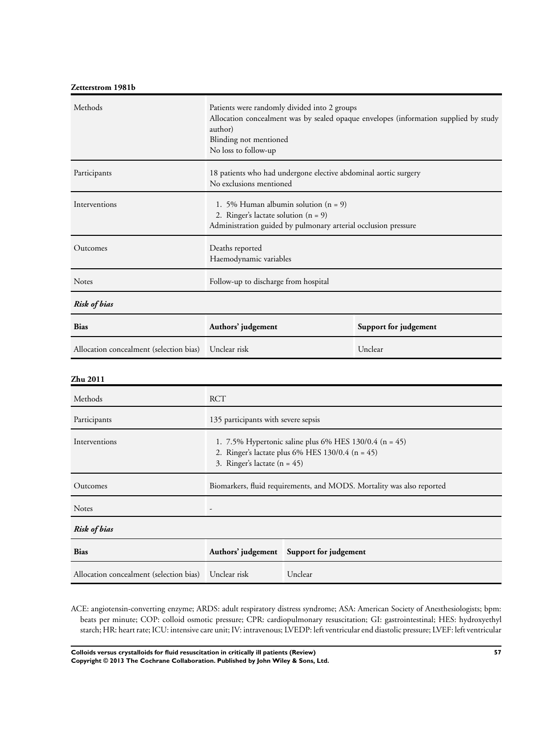## **Zetterstrom 1981b**

| Methods                                 | Patients were randomly divided into 2 groups<br>Allocation concealment was by sealed opaque envelopes (information supplied by study<br>author)<br>Blinding not mentioned<br>No loss to follow-up |  |  |
|-----------------------------------------|---------------------------------------------------------------------------------------------------------------------------------------------------------------------------------------------------|--|--|
| Participants                            | 18 patients who had undergone elective abdominal aortic surgery<br>No exclusions mentioned                                                                                                        |  |  |
| Interventions                           | 1. 5% Human albumin solution $(n = 9)$<br>2. Ringer's lactate solution $(n = 9)$<br>Administration guided by pulmonary arterial occlusion pressure                                                |  |  |
| Outcomes                                | Deaths reported<br>Haemodynamic variables                                                                                                                                                         |  |  |
| <b>Notes</b>                            | Follow-up to discharge from hospital                                                                                                                                                              |  |  |
| <b>Risk of bias</b>                     |                                                                                                                                                                                                   |  |  |
| <b>Bias</b>                             | Authors' judgement<br>Support for judgement                                                                                                                                                       |  |  |
| Allocation concealment (selection bias) | Unclear risk<br>Unclear                                                                                                                                                                           |  |  |

### **Zhu 2011**

| Methods                                              | <b>RCT</b>                                                                                                                                     |         |  |
|------------------------------------------------------|------------------------------------------------------------------------------------------------------------------------------------------------|---------|--|
| Participants                                         | 135 participants with severe sepsis                                                                                                            |         |  |
| Interventions                                        | 1. 7.5% Hypertonic saline plus 6% HES 130/0.4 (n = 45)<br>2. Ringer's lactate plus 6% HES $130/0.4$ (n = 45)<br>3. Ringer's lactate $(n = 45)$ |         |  |
| Outcomes                                             | Biomarkers, fluid requirements, and MODS. Mortality was also reported                                                                          |         |  |
| <b>Notes</b>                                         |                                                                                                                                                |         |  |
| <b>Risk of bias</b>                                  |                                                                                                                                                |         |  |
| <b>Bias</b>                                          | Authors' judgement Support for judgement                                                                                                       |         |  |
| Allocation concealment (selection bias) Unclear risk |                                                                                                                                                | Unclear |  |

ACE: angiotensin-converting enzyme; ARDS: adult respiratory distress syndrome; ASA: American Society of Anesthesiologists; bpm: beats per minute; COP: colloid osmotic pressure; CPR: cardiopulmonary resuscitation; GI: gastrointestinal; HES: hydroxyethyl starch; HR: heart rate; ICU: intensive care unit; IV: intravenous; LVEDP: left ventricular end diastolic pressure; LVEF: left ventricular

**Colloids versus crystalloids for fluid resuscitation in critically ill patients (Review) 57 Copyright © 2013 The Cochrane Collaboration. Published by John Wiley & Sons, Ltd.**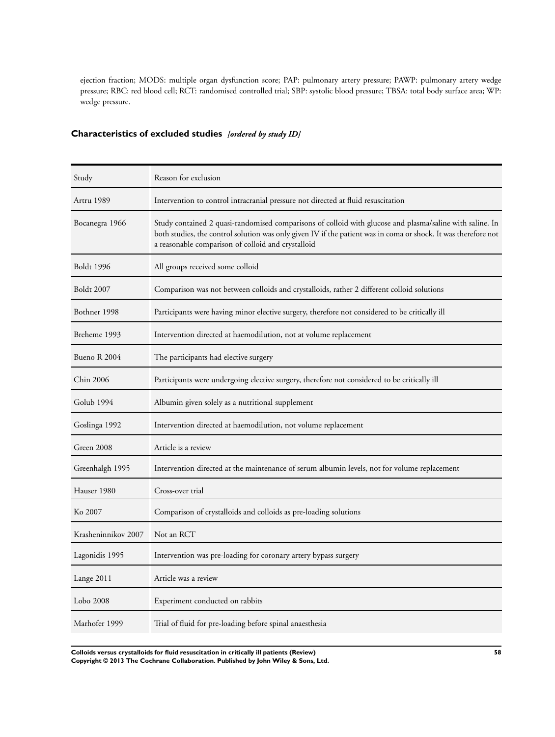ejection fraction; MODS: multiple organ dysfunction score; PAP: pulmonary artery pressure; PAWP: pulmonary artery wedge pressure; RBC: red blood cell; RCT: randomised controlled trial; SBP: systolic blood pressure; TBSA: total body surface area; WP: wedge pressure.

# **Characteristics of excluded studies** *[ordered by study ID]*

| Study               | Reason for exclusion                                                                                                                                                                                                                                                             |
|---------------------|----------------------------------------------------------------------------------------------------------------------------------------------------------------------------------------------------------------------------------------------------------------------------------|
| Artru 1989          | Intervention to control intracranial pressure not directed at fluid resuscitation                                                                                                                                                                                                |
| Bocanegra 1966      | Study contained 2 quasi-randomised comparisons of colloid with glucose and plasma/saline with saline. In<br>both studies, the control solution was only given IV if the patient was in coma or shock. It was therefore not<br>a reasonable comparison of colloid and crystalloid |
| <b>Boldt</b> 1996   | All groups received some colloid                                                                                                                                                                                                                                                 |
| <b>Boldt 2007</b>   | Comparison was not between colloids and crystalloids, rather 2 different colloid solutions                                                                                                                                                                                       |
| Bothner 1998        | Participants were having minor elective surgery, therefore not considered to be critically ill                                                                                                                                                                                   |
| Breheme 1993        | Intervention directed at haemodilution, not at volume replacement                                                                                                                                                                                                                |
| Bueno R 2004        | The participants had elective surgery                                                                                                                                                                                                                                            |
| Chin 2006           | Participants were undergoing elective surgery, therefore not considered to be critically ill                                                                                                                                                                                     |
| Golub 1994          | Albumin given solely as a nutritional supplement                                                                                                                                                                                                                                 |
| Goslinga 1992       | Intervention directed at haemodilution, not volume replacement                                                                                                                                                                                                                   |
| Green 2008          | Article is a review                                                                                                                                                                                                                                                              |
| Greenhalgh 1995     | Intervention directed at the maintenance of serum albumin levels, not for volume replacement                                                                                                                                                                                     |
| Hauser 1980         | Cross-over trial                                                                                                                                                                                                                                                                 |
| Ko 2007             | Comparison of crystalloids and colloids as pre-loading solutions                                                                                                                                                                                                                 |
| Krasheninnikov 2007 | Not an RCT                                                                                                                                                                                                                                                                       |
| Lagonidis 1995      | Intervention was pre-loading for coronary artery bypass surgery                                                                                                                                                                                                                  |
| Lange 2011          | Article was a review                                                                                                                                                                                                                                                             |
| Lobo 2008           | Experiment conducted on rabbits                                                                                                                                                                                                                                                  |
| Marhofer 1999       | Trial of fluid for pre-loading before spinal anaesthesia                                                                                                                                                                                                                         |

**Colloids versus crystalloids for fluid resuscitation in critically ill patients (Review) 58 Copyright © 2013 The Cochrane Collaboration. Published by John Wiley & Sons, Ltd.**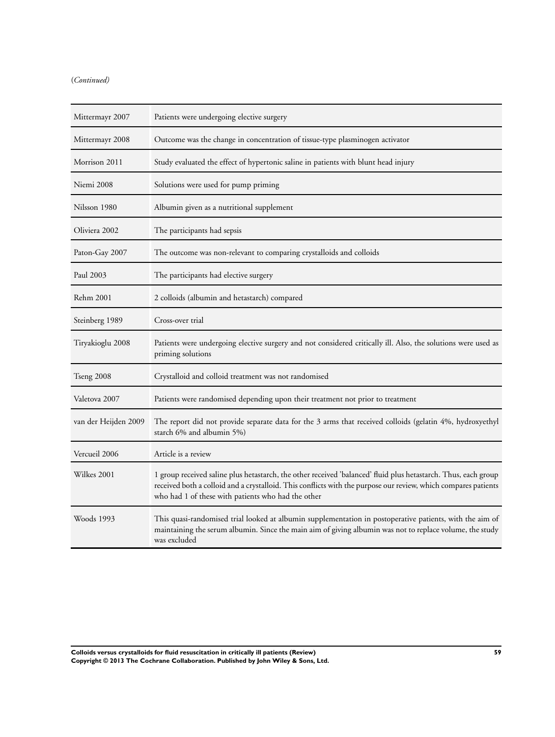### (*Continued)*

| Mittermayr 2007      | Patients were undergoing elective surgery                                                                                                                                                                                                                                              |
|----------------------|----------------------------------------------------------------------------------------------------------------------------------------------------------------------------------------------------------------------------------------------------------------------------------------|
| Mittermayr 2008      | Outcome was the change in concentration of tissue-type plasminogen activator                                                                                                                                                                                                           |
| Morrison 2011        | Study evaluated the effect of hypertonic saline in patients with blunt head injury                                                                                                                                                                                                     |
| Niemi 2008           | Solutions were used for pump priming                                                                                                                                                                                                                                                   |
| Nilsson 1980         | Albumin given as a nutritional supplement                                                                                                                                                                                                                                              |
| Oliviera 2002        | The participants had sepsis                                                                                                                                                                                                                                                            |
| Paton-Gay 2007       | The outcome was non-relevant to comparing crystalloids and colloids                                                                                                                                                                                                                    |
| Paul 2003            | The participants had elective surgery                                                                                                                                                                                                                                                  |
| <b>Rehm 2001</b>     | 2 colloids (albumin and hetastarch) compared                                                                                                                                                                                                                                           |
| Steinberg 1989       | Cross-over trial                                                                                                                                                                                                                                                                       |
| Tiryakioglu 2008     | Patients were undergoing elective surgery and not considered critically ill. Also, the solutions were used as<br>priming solutions                                                                                                                                                     |
| Tseng 2008           | Crystalloid and colloid treatment was not randomised                                                                                                                                                                                                                                   |
| Valetova 2007        | Patients were randomised depending upon their treatment not prior to treatment                                                                                                                                                                                                         |
| van der Heijden 2009 | The report did not provide separate data for the 3 arms that received colloids (gelatin 4%, hydroxyethyl<br>starch 6% and albumin 5%)                                                                                                                                                  |
| Vercueil 2006        | Article is a review                                                                                                                                                                                                                                                                    |
| Wilkes 2001          | 1 group received saline plus hetastarch, the other received 'balanced' fluid plus hetastarch. Thus, each group<br>received both a colloid and a crystalloid. This conflicts with the purpose our review, which compares patients<br>who had 1 of these with patients who had the other |
| Woods 1993           | This quasi-randomised trial looked at albumin supplementation in postoperative patients, with the aim of<br>maintaining the serum albumin. Since the main aim of giving albumin was not to replace volume, the study<br>was excluded                                                   |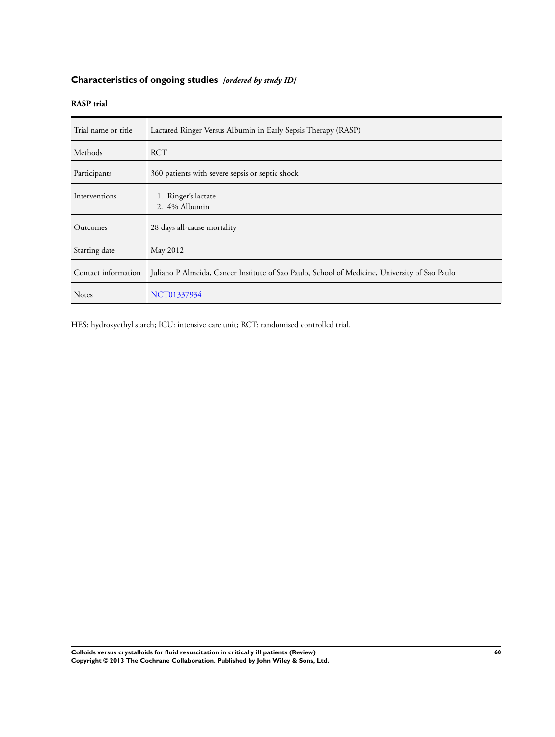# **Characteristics of ongoing studies** *[ordered by study ID]*

## **RASP trial**

| Trial name or title | Lactated Ringer Versus Albumin in Early Sepsis Therapy (RASP)                                 |
|---------------------|-----------------------------------------------------------------------------------------------|
| Methods             | RCT                                                                                           |
| Participants        | 360 patients with severe sepsis or septic shock                                               |
| Interventions       | 1. Ringer's lactate<br>2. 4% Albumin                                                          |
| Outcomes            | 28 days all-cause mortality                                                                   |
| Starting date       | May 2012                                                                                      |
| Contact information | Juliano P Almeida, Cancer Institute of Sao Paulo, School of Medicine, University of Sao Paulo |
| <b>Notes</b>        | NCT01337934                                                                                   |

HES: hydroxyethyl starch; ICU: intensive care unit; RCT: randomised controlled trial.

**Colloids versus crystalloids for fluid resuscitation in critically ill patients (Review) 60 Copyright © 2013 The Cochrane Collaboration. Published by John Wiley & Sons, Ltd.**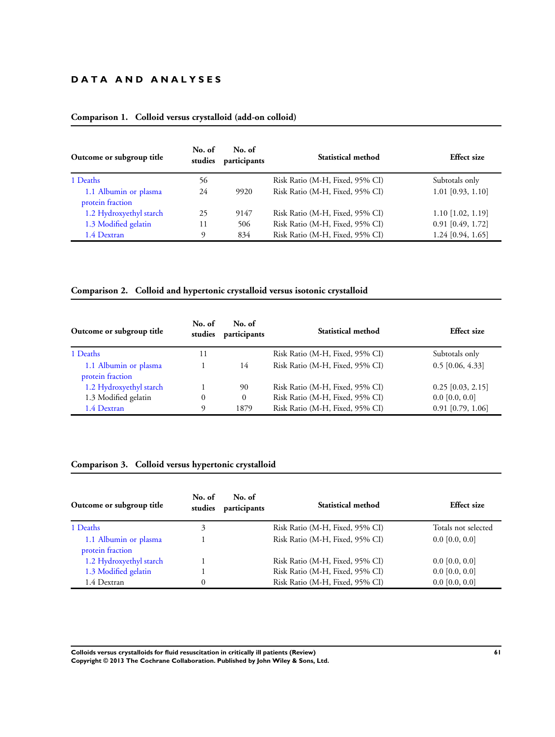# **D A T A A N D A N A L Y S E S**

| Outcome or subgroup title                 | No. of<br>studies | No. of<br>participants | Statistical method              | <b>Effect size</b>  |
|-------------------------------------------|-------------------|------------------------|---------------------------------|---------------------|
| 1 Deaths                                  | 56                |                        | Risk Ratio (M-H, Fixed, 95% CI) | Subtotals only      |
| 1.1 Albumin or plasma<br>protein fraction | 24                | 9920                   | Risk Ratio (M-H, Fixed, 95% CI) | $1.01$ [0.93, 1.10] |
| 1.2 Hydroxyethyl starch                   | 25                | 9147                   | Risk Ratio (M-H, Fixed, 95% CI) | $1.10$ [1.02, 1.19] |
| 1.3 Modified gelatin                      | 11                | 506                    | Risk Ratio (M-H, Fixed, 95% CI) | $0.91$ [0.49, 1.72] |
| 1.4 Dextran                               |                   | 834                    | Risk Ratio (M-H, Fixed, 95% CI) | 1.24 [0.94, 1.65]   |

### **Comparison 1. Colloid versus crystalloid (add-on colloid)**

### **Comparison 2. Colloid and hypertonic crystalloid versus isotonic crystalloid**

| Outcome or subgroup title                 | No. of<br>studies | No. of<br>participants | Statistical method              | <b>Effect size</b>  |
|-------------------------------------------|-------------------|------------------------|---------------------------------|---------------------|
| 1 Deaths                                  | 11                |                        | Risk Ratio (M-H, Fixed, 95% CI) | Subtotals only      |
| 1.1 Albumin or plasma<br>protein fraction |                   | 14                     | Risk Ratio (M-H, Fixed, 95% CI) | $0.5$ [0.06, 4.33]  |
| 1.2 Hydroxyethyl starch                   |                   | 90                     | Risk Ratio (M-H, Fixed, 95% CI) | $0.25$ [0.03, 2.15] |
| 1.3 Modified gelatin                      | $\theta$          | 0                      | Risk Ratio (M-H, Fixed, 95% CI) | $0.0$ [0.0, 0.0]    |
| 1.4 Dextran                               | Q                 | 1879                   | Risk Ratio (M-H, Fixed, 95% CI) | $0.91$ [0.79, 1.06] |

# **Comparison 3. Colloid versus hypertonic crystalloid**

| Outcome or subgroup title                 | No. of<br>studies | No. of<br>participants | Statistical method              | <b>Effect size</b>  |
|-------------------------------------------|-------------------|------------------------|---------------------------------|---------------------|
| 1 Deaths                                  | 3                 |                        | Risk Ratio (M-H, Fixed, 95% CI) | Totals not selected |
| 1.1 Albumin or plasma<br>protein fraction |                   |                        | Risk Ratio (M-H, Fixed, 95% CI) | $0.0$ [0.0, 0.0]    |
| 1.2 Hydroxyethyl starch                   |                   |                        | Risk Ratio (M-H, Fixed, 95% CI) | $0.0$ [0.0, 0.0]    |
| 1.3 Modified gelatin                      |                   |                        | Risk Ratio (M-H, Fixed, 95% CI) | $0.0$ [0.0, 0.0]    |
| 1.4 Dextran                               | 0                 |                        | Risk Ratio (M-H, Fixed, 95% CI) | $0.0$ [0.0, 0.0]    |

**Colloids versus crystalloids for fluid resuscitation in critically ill patients (Review) 61 Copyright © 2013 The Cochrane Collaboration. Published by John Wiley & Sons, Ltd.**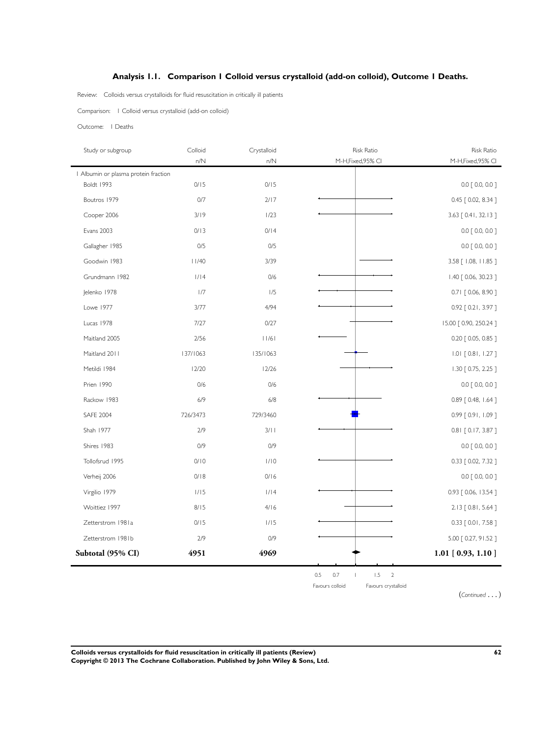### **Analysis 1.1. Comparison 1 Colloid versus crystalloid (add-on colloid), Outcome 1 Deaths.**

Review: Colloids versus crystalloids for fluid resuscitation in critically ill patients

Comparison: 1 Colloid versus crystalloid (add-on colloid)

Outcome: 1 Deaths

| Study or subgroup                    | Colloid<br>n/N | Crystalloid<br>n/N | <b>Risk Ratio</b><br>M-H,Fixed,95% CI                                         | <b>Risk Ratio</b><br>M-H,Fixed,95% CI |
|--------------------------------------|----------------|--------------------|-------------------------------------------------------------------------------|---------------------------------------|
| I Albumin or plasma protein fraction |                |                    |                                                                               |                                       |
| Boldt 1993                           | 0/15           | 0/15               |                                                                               | $0.0$ $[0.0, 0.0]$                    |
| Boutros 1979                         | 0/7            | 2/17               |                                                                               | 0.45 [0.02, 8.34]                     |
| Cooper 2006                          | 3/19           | 1/23               |                                                                               | 3.63 [ 0.41, 32.13 ]                  |
| <b>Evans 2003</b>                    | 0/13           | 0/14               |                                                                               | $0.0$ [ 0.0, 0.0 ]                    |
| Gallagher 1985                       | 0/5            | 0/5                |                                                                               | $0.0$ $[0.0, 0.0]$                    |
| Goodwin 1983                         | 11/40          | 3/39               |                                                                               | 3.58 [ 1.08, 11.85 ]                  |
| Grundmann 1982                       | 1/14           | 0/6                |                                                                               | 1.40 [ 0.06, 30.23 ]                  |
| Jelenko 1978                         | 1/7            | 1/5                |                                                                               | $0.71$ $[0.06, 8.90]$                 |
| Lowe 1977                            | 3/77           | 4/94               |                                                                               | 0.92 [0.21, 3.97]                     |
| Lucas 1978                           | 7/27           | 0/27               |                                                                               | 15.00 [ 0.90, 250.24 ]                |
| Maitland 2005                        | 2/56           | 11/61              |                                                                               | 0.20 [ 0.05, 0.85 ]                   |
| Maitland 2011                        | 137/1063       | 135/1063           |                                                                               | $1.01$ [ 0.81, 1.27 ]                 |
| Metildi 1984                         | 12/20          | 12/26              |                                                                               | $1.30$ $[0.75, 2.25]$                 |
| Prien 1990                           | 0/6            | 0/6                |                                                                               | $0.0$ $[0.0, 0.0]$                    |
| Rackow 1983                          | 6/9            | 6/8                |                                                                               | 0.89 [ 0.48, 1.64 ]                   |
| <b>SAFE 2004</b>                     | 726/3473       | 729/3460           |                                                                               | 0.99 [0.91, 1.09]                     |
| Shah 1977                            | 2/9            | 3/11               |                                                                               | $0.81$ $[0.17, 3.87]$                 |
| Shires 1983                          | O/9            | 0/9                |                                                                               | $0.0$ [ 0.0, 0.0 ]                    |
| Tollofsrud 1995                      | 0/10           | 1/10               |                                                                               | 0.33 [ 0.02, 7.32 ]                   |
| Verheij 2006                         | 0/18           | 0/16               |                                                                               | $0.0$ [ 0.0, 0.0 ]                    |
| Virgilio 1979                        | 1/15           | 1/14               |                                                                               | 0.93 [ 0.06, 13.54 ]                  |
| Woittiez 1997                        | 8/15           | 4/16               |                                                                               | 2.13 [ 0.81, 5.64 ]                   |
| Zetterstrom 1981a                    | 0/15           | 1/15               |                                                                               | $0.33$ $[0.01, 7.58]$                 |
| Zetterstrom 1981b                    | 2/9            | 0/9                |                                                                               | 5.00 [ 0.27, 91.52 ]                  |
| Subtotal (95% CI)                    | 4951           | 4969               |                                                                               | $1.01$ [ 0.93, 1.10 ]                 |
|                                      |                |                    | 0.5<br>0.7<br>1.5<br>$\overline{2}$<br>Favours colloid<br>Favours crystalloid |                                       |

(*Continued* . . . )

**Colloids versus crystalloids for fluid resuscitation in critically ill patients (Review) 62 Copyright © 2013 The Cochrane Collaboration. Published by John Wiley & Sons, Ltd.**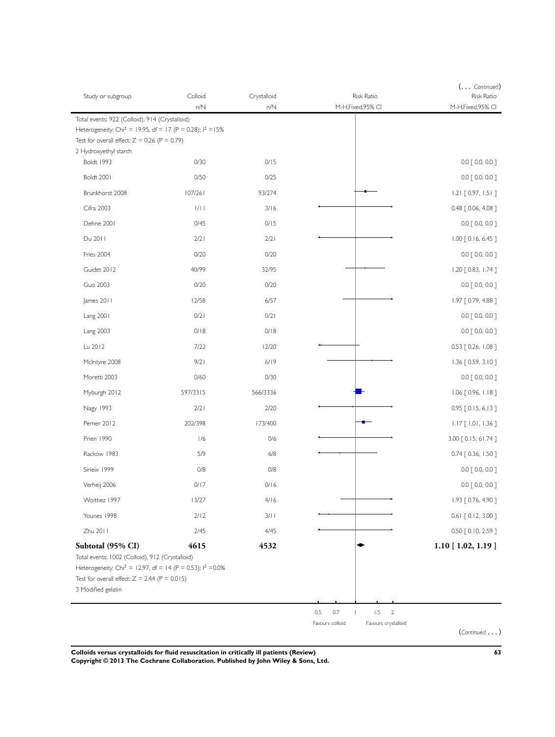| Study or subgroup                                                                                                                                                                                    | Colloid<br>n/N | Crystalloid<br>n/N | Risk Ratio<br>M-H,Fixed,95% CI         | $( \ldots$ Continued)<br><b>Risk Ratio</b><br>M-H,Fixed,95% CI |
|------------------------------------------------------------------------------------------------------------------------------------------------------------------------------------------------------|----------------|--------------------|----------------------------------------|----------------------------------------------------------------|
| Total events: 922 (Colloid), 914 (Crystalloid)                                                                                                                                                       |                |                    |                                        |                                                                |
| Heterogeneity: Chi <sup>2</sup> = 19.95, df = 17 (P = 0.28); $1^2 = 15\%$                                                                                                                            |                |                    |                                        |                                                                |
| Test for overall effect: $Z = 0.26$ (P = 0.79)<br>2 Hydroxyethyl starch                                                                                                                              |                |                    |                                        |                                                                |
| <b>Boldt 1993</b>                                                                                                                                                                                    | 0/30           | 0/15               |                                        | $0.0$ $[0.0, 0.0]$                                             |
| Boldt 2001                                                                                                                                                                                           | 0/50           | 0/25               |                                        | $0.0$ $[0.0, 0.0]$                                             |
| Brunkhorst 2008                                                                                                                                                                                      | 107/261        | 93/274             |                                        | $1.21$ [ 0.97, 1.51 ]                                          |
| Cifra 2003                                                                                                                                                                                           | 1/11           | 3/16               |                                        | 0.48 [ 0.06, 4.08 ]                                            |
| Dehne 2001                                                                                                                                                                                           | 0/45           | 0/15               |                                        | $0.0$ [ 0.0, 0.0 ]                                             |
| Du 2011                                                                                                                                                                                              | 2/2            | 2/2                |                                        | $1.00$ $[0.16, 6.45]$                                          |
| Fries 2004                                                                                                                                                                                           | 0/20           | 0/20               |                                        | $0.0$ $[0.0, 0.0]$                                             |
| Guidet 2012                                                                                                                                                                                          | 40/99          | 32/95              |                                        | 1.20 [ 0.83, 1.74 ]                                            |
| <b>Guo 2003</b>                                                                                                                                                                                      | 0/20           | 0/20               |                                        | $0.0$ [ 0.0, 0.0 ]                                             |
| James 2011                                                                                                                                                                                           | 12/58          | 6/57               |                                        | 1.97 [ 0.79, 4.88 ]                                            |
| Lang 2001                                                                                                                                                                                            | 0/2            | 0/21               |                                        | $0.0$ $[0.0, 0.0]$                                             |
| <b>Lang 2003</b>                                                                                                                                                                                     | 0/18           | 0/18               |                                        | $0.0$ [ 0.0, 0.0 ]                                             |
| Lu 2012                                                                                                                                                                                              | 7/22           | 12/20              |                                        | 0.53 [ 0.26, 1.08 ]                                            |
| McIntyre 2008                                                                                                                                                                                        | 9/2            | 6/19               |                                        | $1.36$ [ 0.59, 3.10 ]                                          |
| Moretti 2003                                                                                                                                                                                         | 0/60           | 0/30               |                                        | $0.0$ $[0.0, 0.0]$                                             |
| Myburgh 2012                                                                                                                                                                                         | 597/3315       | 566/3336           |                                        | 1.06 [ 0.96, 1.18 ]                                            |
| Nagy 1993                                                                                                                                                                                            | 2/2            | 2/20               |                                        | 0.95 [0.15, 6.13]                                              |
| Perner 2012                                                                                                                                                                                          | 202/398        | 173/400            |                                        | $1.17$ [ $1.01$ , $1.36$ ]                                     |
| Prien 1990                                                                                                                                                                                           | 1/6            | 0/6                |                                        | 3.00 [ 0.15, 61.74 ]                                           |
| Rackow 1983                                                                                                                                                                                          | 5/9            | $6/8$              |                                        | 0.74 [ 0.36, 1.50 ]                                            |
| Sirieix 1999                                                                                                                                                                                         | 0/8            | 0/8                |                                        | $0.0$ [ 0.0, 0.0 ]                                             |
| Verheij 2006                                                                                                                                                                                         | 0/17           | 0/16               |                                        | $0.0$ $[0.0, 0.0]$                                             |
| Woittiez 1997                                                                                                                                                                                        | 13/27          | 4/16               |                                        | 1.93 [ 0.76, 4.90 ]                                            |
| Younes 1998                                                                                                                                                                                          | 2/12           | 3/11               |                                        | $0.61$ $[0.12, 3.00]$                                          |
| Zhu 2011                                                                                                                                                                                             | 2/45           | 4/45               |                                        | $0.50$ $[0.10, 2.59]$                                          |
| Subtotal (95% CI)                                                                                                                                                                                    | 4615           | 4532               |                                        | $1.10$ [ 1.02, 1.19 ]                                          |
| Total events: 1002 (Colloid), 912 (Crystalloid)<br>Heterogeneity: Chi <sup>2</sup> = 12.97, df = 14 (P = 0.53); $1^2$ =0.0%<br>Test for overall effect: $Z = 2.44$ (P = 0.015)<br>3 Modified gelatin |                |                    |                                        |                                                                |
|                                                                                                                                                                                                      |                |                    | 0.5<br>0.7<br>1.5<br>$\overline{2}$    |                                                                |
|                                                                                                                                                                                                      |                |                    | Favours crystalloid<br>Favours colloid | (Continued)                                                    |

**Colloids versus crystalloids for fluid resuscitation in critically ill patients (Review) 63 Copyright © 2013 The Cochrane Collaboration. Published by John Wiley & Sons, Ltd.**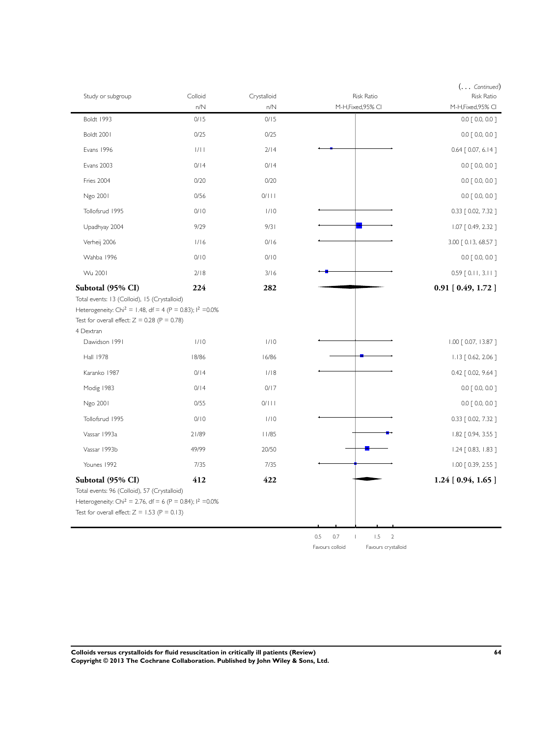| Study or subgroup                                                                                                                                                                                                    | Colloid | Crystalloid | Risk Ratio       | $(\ldots$ Continued)<br><b>Risk Ratio</b> |
|----------------------------------------------------------------------------------------------------------------------------------------------------------------------------------------------------------------------|---------|-------------|------------------|-------------------------------------------|
|                                                                                                                                                                                                                      | n/N     | n/N         | M-H,Fixed,95% CI | M-H,Fixed,95% CI                          |
| <b>Boldt 1993</b>                                                                                                                                                                                                    | 0/15    | 0/15        |                  | $0.0$ [ 0.0, 0.0 ]                        |
| Boldt 2001                                                                                                                                                                                                           | 0/25    | 0/25        |                  | $0.0$ [ 0.0, 0.0 ]                        |
| Evans 1996                                                                                                                                                                                                           | 1/11    | 2/14        |                  | $0.64$ $[0.07, 6.14]$                     |
| <b>Evans 2003</b>                                                                                                                                                                                                    | 0/14    | 0/14        |                  | $0.0$ $[0.0, 0.0]$                        |
| Fries 2004                                                                                                                                                                                                           | 0/20    | 0/20        |                  | $0.0$ $[0.0, 0.0]$                        |
| Ngo 2001                                                                                                                                                                                                             | 0/56    | 0/111       |                  | $0.0$ $[0.0, 0.0]$                        |
| Tollofsrud 1995                                                                                                                                                                                                      | 0/10    | 1/10        |                  | 0.33 [ 0.02, 7.32 ]                       |
| Upadhyay 2004                                                                                                                                                                                                        | 9/29    | 9/31        |                  | $1.07$ $[0.49, 2.32]$                     |
| Verheij 2006                                                                                                                                                                                                         | 1/16    | 0/16        |                  | 3.00 [ 0.13, 68.57 ]                      |
| Wahba 1996                                                                                                                                                                                                           | 0/10    | 0/10        |                  | $0.0$ $[0.0, 0.0]$                        |
| Wu 2001                                                                                                                                                                                                              | 2/18    | 3/16        |                  | $0.59$ [ $0.11$ , $3.11$ ]                |
| Subtotal (95% CI)<br>Total events: 13 (Colloid), 15 (Crystalloid)<br>Heterogeneity: Chi <sup>2</sup> = 1.48, df = 4 (P = 0.83); l <sup>2</sup> = 0.0%<br>Test for overall effect: $Z = 0.28$ (P = 0.78)<br>4 Dextran | 224     | 282         |                  | $0.91$ [ $0.49$ , $1.72$ ]                |
| Dawidson 1991                                                                                                                                                                                                        | 1/10    | 1/10        |                  | $1.00$ $[0.07, 13.87]$                    |
| <b>Hall 1978</b>                                                                                                                                                                                                     | 18/86   | 16/86       |                  | $1.13$ $[0.62, 2.06]$                     |
| Karanko 1987                                                                                                                                                                                                         | 0/14    | 1/18        |                  | 0.42 [ 0.02, 9.64 ]                       |
| Modig 1983                                                                                                                                                                                                           | 0/14    | 0/17        |                  | $0.0$ $[0.0, 0.0]$                        |
| Ngo 2001                                                                                                                                                                                                             | 0/55    | 0/111       |                  | $0.0$ $[0.0, 0.0]$                        |
| Tollofsrud 1995                                                                                                                                                                                                      | 0/10    | 1/10        |                  | 0.33 [ 0.02, 7.32 ]                       |
| Vassar 1993a                                                                                                                                                                                                         | 21/89   | 11/85       |                  | 1.82 [ 0.94, 3.55 ]                       |
|                                                                                                                                                                                                                      |         |             |                  |                                           |
| Vassar 1993b                                                                                                                                                                                                         | 49/99   | 20/50       |                  | 1.24 [ 0.83, 1.83 ]                       |
| Younes 1992                                                                                                                                                                                                          | 7/35    | 7/35        |                  | $1.00$ $[0.39, 2.55]$                     |
| Subtotal (95% CI)<br>Total events: 96 (Colloid), 57 (Crystalloid)<br>Heterogeneity: Chi <sup>2</sup> = 2.76, df = 6 (P = 0.84); l <sup>2</sup> = 0.0%<br>Test for overall effect: $Z = 1.53$ (P = 0.13)              | 412     | 422         |                  | $1.24$ [ 0.94, 1.65 ]                     |
|                                                                                                                                                                                                                      |         |             | 0.7<br>0.5       | 1.5<br>$\overline{2}$                     |

**Colloids versus crystalloids for fluid resuscitation in critically ill patients (Review) 64 Copyright © 2013 The Cochrane Collaboration. Published by John Wiley & Sons, Ltd.**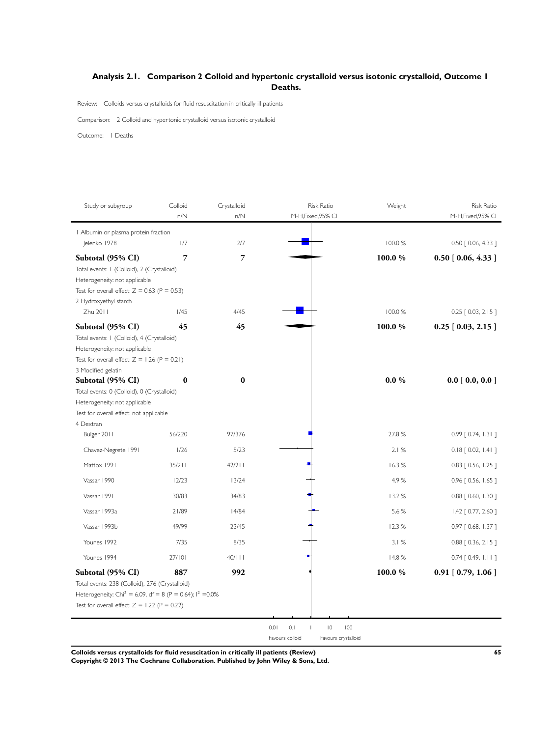## <span id="page-66-0"></span>**Analysis 2.1. Comparison 2 Colloid and hypertonic crystalloid versus isotonic crystalloid, Outcome 1 Deaths.**

Review: Colloids versus crystalloids for fluid resuscitation in critically ill patients

Comparison: 2 Colloid and hypertonic crystalloid versus isotonic crystalloid

Outcome: 1 Deaths

| Study or subgroup                                                                                                                                                                               | Colloid<br>n/N | Crystalloid<br>n/N | Risk Ratio<br>M-H,Fixed,95% CI | Weight   | <b>Risk Ratio</b><br>M-H,Fixed,95% CI |
|-------------------------------------------------------------------------------------------------------------------------------------------------------------------------------------------------|----------------|--------------------|--------------------------------|----------|---------------------------------------|
| I Albumin or plasma protein fraction                                                                                                                                                            |                |                    |                                |          |                                       |
| Jelenko 1978                                                                                                                                                                                    | 1/7            | 2/7                |                                | 100.0 %  | 0.50 [ 0.06, 4.33 ]                   |
| Subtotal (95% CI)<br>Total events: I (Colloid), 2 (Crystalloid)<br>Heterogeneity: not applicable<br>Test for overall effect: $Z = 0.63$ (P = 0.53)                                              | 7              | 7                  |                                | 100.0%   | $0.50$ [ $0.06, 4.33$ ]               |
| 2 Hydroxyethyl starch<br>Zhu 2011                                                                                                                                                               | 1/45           | 4/45               |                                | 100.0 %  | $0.25$ $[0.03, 2.15]$                 |
| Subtotal (95% CI)<br>Total events: I (Colloid), 4 (Crystalloid)<br>Heterogeneity: not applicable<br>Test for overall effect: $Z = 1.26$ (P = 0.21)                                              | 45             | 45                 |                                | 100.0%   | $0.25$ [ $0.03$ , 2.15 ]              |
| 3 Modified gelatin<br>Subtotal (95% CI)<br>Total events: 0 (Colloid), 0 (Crystalloid)<br>Heterogeneity: not applicable<br>Test for overall effect: not applicable<br>4 Dextran                  | $\bf{0}$       | $\bf{0}$           |                                | $0.0 \%$ | 0.0 [0.0, 0.0]                        |
| Bulger 2011                                                                                                                                                                                     | 56/220         | 97/376             |                                | 27.8%    | $0.99$ $[0.74, 1.31]$                 |
| Chavez-Negrete 1991                                                                                                                                                                             | 1/26           | 5/23               |                                | 2.1%     | $0.18$ $[0.02, 1.41]$                 |
| Mattox 1991                                                                                                                                                                                     | 35/211         | $42/2$             |                                | 16.3%    | $0.83$ $[0.56, 1.25]$                 |
| Vassar 1990                                                                                                                                                                                     | 12/23          | 13/24              |                                | 4.9%     | $0.96$ $[0.56, 1.65]$                 |
| Vassar 1991                                                                                                                                                                                     | 30/83          | 34/83              |                                | 13.2 %   | $0.88$ $[ 0.60, 1.30 ]$               |
| Vassar 1993a                                                                                                                                                                                    | 21/89          | 14/84              |                                | 5.6 %    | 1.42 [ 0.77, 2.60 ]                   |
| Vassar 1993h                                                                                                                                                                                    | 49/99          | 23/45              |                                | 12.3%    | $0.97$ [ 0.68, 1.37 ]                 |
| Younes 1992                                                                                                                                                                                     | 7/35           | 8/35               |                                | 3.1%     | $0.88$ $[0.36, 2.15]$                 |
| Younes 1994                                                                                                                                                                                     | 27/101         | 40/111             |                                | 14.8 %   | $0.74$ $[0.49, 1.11]$                 |
| Subtotal (95% CI)<br>Total events: 238 (Colloid), 276 (Crystalloid)<br>Heterogeneity: Chi <sup>2</sup> = 6.09, df = 8 (P = 0.64); $1^2$ =0.0%<br>Test for overall effect: $Z = 1.22$ (P = 0.22) | 887            | 992                |                                | 100.0%   | $0.91$ [ $0.79$ , $1.06$ ]            |

**Colloids versus crystalloids for fluid resuscitation in critically ill patients (Review) 65**

**Copyright © 2013 The Cochrane Collaboration. Published by John Wiley & Sons, Ltd.**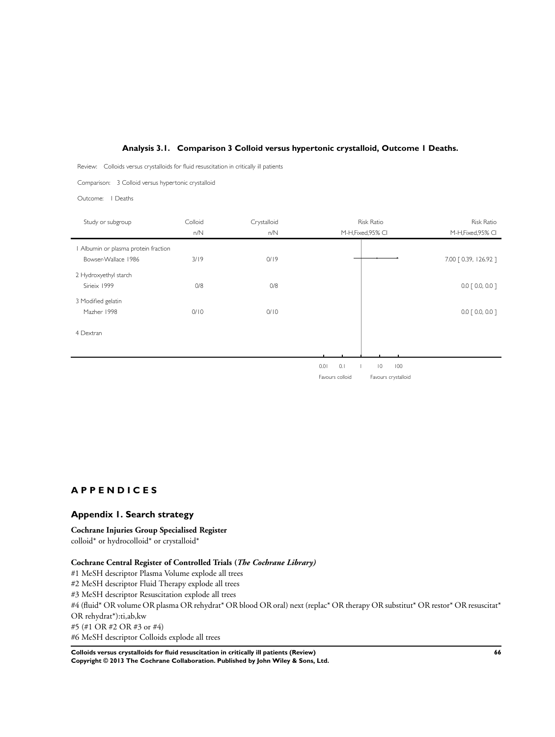### **Analysis 3.1. Comparison 3 Colloid versus hypertonic crystalloid, Outcome 1 Deaths.**

<span id="page-67-0"></span>Review: Colloids versus crystalloids for fluid resuscitation in critically ill patients

Comparison: 3 Colloid versus hypertonic crystalloid

Outcome: 1 Deaths

| Study or subgroup                  | Colloid | Crystalloid |                 | Risk Ratio            | <b>Risk Ratio</b>     |
|------------------------------------|---------|-------------|-----------------|-----------------------|-----------------------|
|                                    | n/N     | n/N         |                 | M-H, Fixed, 95% CI    | M-H, Fixed, 95% CI    |
| Albumin or plasma protein fraction |         |             |                 |                       |                       |
| Bowser-Wallace 1986                | 3/19    | 0/19        |                 |                       | 7.00 [ 0.39, 126.92 ] |
| 2 Hydroxyethyl starch              |         |             |                 |                       |                       |
| Sirieix 1999                       | O/8     | O/8         |                 |                       | $0.0$ $[0.0, 0.0]$    |
| 3 Modified gelatin                 |         |             |                 |                       |                       |
| Mazher 1998                        | 0/10    | 0/10        |                 |                       | $0.0$ $[0.0, 0.0]$    |
| 4 Dextran                          |         |             |                 |                       |                       |
|                                    |         |             |                 |                       |                       |
|                                    |         |             |                 |                       |                       |
|                                    |         |             | 0.01<br>0.1     | $\overline{0}$<br>100 |                       |
|                                    |         |             | Favours colloid | Favours crystalloid   |                       |
|                                    |         |             |                 |                       |                       |
|                                    |         |             |                 |                       |                       |
|                                    |         |             |                 |                       |                       |

## **A P P E N D I C E S**

### **Appendix 1. Search strategy**

#### **Cochrane Injuries Group Specialised Register**

colloid\* or hydrocolloid\* or crystalloid\*

#### **Cochrane Central Register of Controlled Trials (***The Cochrane Library)*

#1 MeSH descriptor Plasma Volume explode all trees

#2 MeSH descriptor Fluid Therapy explode all trees

#3 MeSH descriptor Resuscitation explode all trees

#4 (fluid\* OR volume OR plasma OR rehydrat\* OR blood OR oral) next (replac\* OR therapy OR substitut\* OR restor\* OR resuscitat\* OR rehydrat\*):ti,ab,kw

#5 (#1 OR #2 OR #3 or #4)

#6 MeSH descriptor Colloids explode all trees

**Colloids versus crystalloids for fluid resuscitation in critically ill patients (Review) 66 Copyright © 2013 The Cochrane Collaboration. Published by John Wiley & Sons, Ltd.**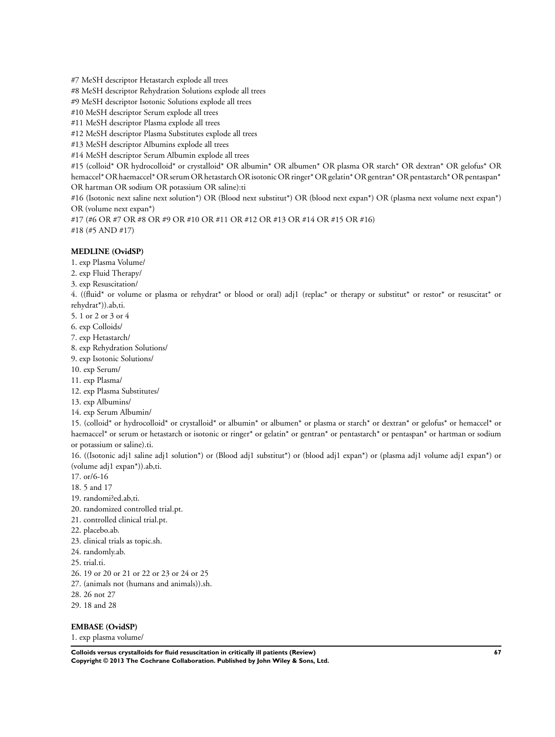#7 MeSH descriptor Hetastarch explode all trees

#8 MeSH descriptor Rehydration Solutions explode all trees

#9 MeSH descriptor Isotonic Solutions explode all trees

#10 MeSH descriptor Serum explode all trees

#11 MeSH descriptor Plasma explode all trees

#12 MeSH descriptor Plasma Substitutes explode all trees

#13 MeSH descriptor Albumins explode all trees

#14 MeSH descriptor Serum Albumin explode all trees

#15 (colloid\* OR hydrocolloid\* or crystalloid\* OR albumin\* OR albumen\* OR plasma OR starch\* OR dextran\* OR gelofus\* OR hemaccel\* OR haemaccel\* OR serum OR hetastarch OR isotonic OR ringer\* OR gelatin\* OR gentran\* OR pentastarch\* OR pentaspan\* OR hartman OR sodium OR potassium OR saline):ti

#16 (Isotonic next saline next solution\*) OR (Blood next substitut\*) OR (blood next expan\*) OR (plasma next volume next expan\*) OR (volume next expan\*)

#17 (#6 OR #7 OR #8 OR #9 OR #10 OR #11 OR #12 OR #13 OR #14 OR #15 OR #16) #18 (#5 AND #17)

### **MEDLINE (OvidSP)**

1. exp Plasma Volume/

2. exp Fluid Therapy/

3. exp Resuscitation/

4. ((fluid\* or volume or plasma or rehydrat\* or blood or oral) adj1 (replac\* or therapy or substitut\* or restor\* or resuscitat\* or rehydrat\*)).ab,ti.

5. 1 or 2 or 3 or 4

- 6. exp Colloids/
- 7. exp Hetastarch/

8. exp Rehydration Solutions/

9. exp Isotonic Solutions/

10. exp Serum/

11. exp Plasma/

12. exp Plasma Substitutes/

13. exp Albumins/

14. exp Serum Albumin/

15. (colloid\* or hydrocolloid\* or crystalloid\* or albumin\* or albumen\* or plasma or starch\* or dextran\* or gelofus\* or hemaccel\* or haemaccel\* or serum or hetastarch or isotonic or ringer\* or gelatin\* or gentran\* or pentastarch\* or pentaspan\* or hartman or sodium or potassium or saline).ti.

16. ((Isotonic adj1 saline adj1 solution\*) or (Blood adj1 substitut\*) or (blood adj1 expan\*) or (plasma adj1 volume adj1 expan\*) or (volume adj1 expan\*)).ab,ti.

17. or/6-16

18. 5 and 17

- 19. randomi?ed.ab,ti.
- 20. randomized controlled trial.pt.
- 21. controlled clinical trial.pt.
- 22. placebo.ab.

23. clinical trials as topic.sh.

24. randomly.ab.

25. trial.ti.

26. 19 or 20 or 21 or 22 or 23 or 24 or 25

27. (animals not (humans and animals)).sh.

28. 26 not 27

29. 18 and 28

### **EMBASE (OvidSP)**

1. exp plasma volume/

**Colloids versus crystalloids for fluid resuscitation in critically ill patients (Review) 67 Copyright © 2013 The Cochrane Collaboration. Published by John Wiley & Sons, Ltd.**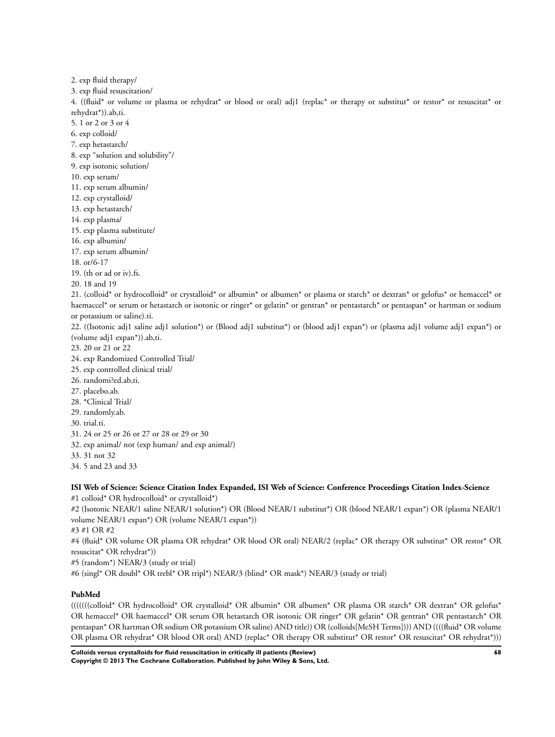2. exp fluid therapy/ 3. exp fluid resuscitation/ 4. ((fluid\* or volume or plasma or rehydrat\* or blood or oral) adj1 (replac\* or therapy or substitut\* or restor\* or resuscitat\* or rehydrat\*)).ab,ti. 5. 1 or 2 or 3 or 4 6. exp colloid/ 7. exp hetastarch/ 8. exp "solution and solubility"/ 9. exp isotonic solution/ 10. exp serum/ 11. exp serum albumin/ 12. exp crystalloid/ 13. exp hetastarch/ 14. exp plasma/ 15. exp plasma substitute/ 16. exp albumin/ 17. exp serum albumin/ 18. or/6-17 19. (th or ad or iv).fs. 20. 18 and 19 21. (colloid\* or hydrocolloid\* or crystalloid\* or albumin\* or albumen\* or plasma or starch\* or dextran\* or gelofus\* or hemaccel\* or haemaccel\* or serum or hetastarch or isotonic or ringer\* or gelatin\* or gentran\* or pentastarch\* or pentaspan\* or hartman or sodium or potassium or saline).ti. 22. ((Isotonic adj1 saline adj1 solution\*) or (Blood adj1 substitut\*) or (blood adj1 expan\*) or (plasma adj1 volume adj1 expan\*) or (volume adj1 expan\*)).ab,ti. 23. 20 or 21 or 22 24. exp Randomized Controlled Trial/ 25. exp controlled clinical trial/ 26. randomi?ed.ab,ti.

- 27. placebo.ab.
- 
- 28. \*Clinical Trial/ 29. randomly.ab.
- 
- 30. trial.ti.
- 31. 24 or 25 or 26 or 27 or 28 or 29 or 30
- 32. exp animal/ not (exp human/ and exp animal/)
- 33. 31 not 32
- 34. 5 and 23 and 33

## **ISI Web of Science: Science Citation Index Expanded, ISI Web of Science: Conference Proceedings Citation Index-Science**

#1 colloid\* OR hydrocolloid\* or crystalloid\*)

#2 (Isotonic NEAR/1 saline NEAR/1 solution\*) OR (Blood NEAR/1 substitut\*) OR (blood NEAR/1 expan\*) OR (plasma NEAR/1 volume NEAR/1 expan\*) OR (volume NEAR/1 expan\*))

#3 #1 OR #2

#4 (fluid\* OR volume OR plasma OR rehydrat\* OR blood OR oral) NEAR/2 (replac\* OR therapy OR substitut\* OR restor\* OR resuscitat\* OR rehydrat\*))

#5 (random\*) NEAR/3 (study or trial)

#6 (singl\* OR doubl\* OR trebl\* OR tripl\*) NEAR/3 (blind\* OR mask\*) NEAR/3 (study or trial)

### **PubMed**

(((((((colloid\* OR hydrocolloid\* OR crystalloid\* OR albumin\* OR albumen\* OR plasma OR starch\* OR dextran\* OR gelofus\* OR hemaccel\* OR haemaccel\* OR serum OR hetastarch OR isotonic OR ringer\* OR gelatin\* OR gentran\* OR pentastarch\* OR pentaspan\* OR hartman OR sodium OR potassium OR saline) AND title)) OR (colloids[MeSH Terms]))) AND ((((fluid\* OR volume OR plasma OR rehydrat\* OR blood OR oral) AND (replac\* OR therapy OR substitut\* OR restor\* OR resuscitat\* OR rehydrat\*)))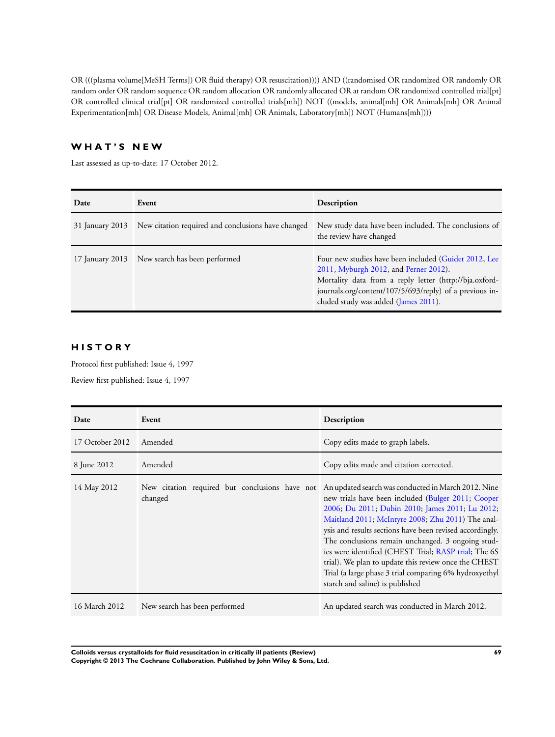OR (((plasma volume[MeSH Terms]) OR fluid therapy) OR resuscitation)))) AND ((randomised OR randomized OR randomly OR random order OR random sequence OR random allocation OR randomly allocated OR at random OR randomized controlled trial[pt] OR controlled clinical trial[pt] OR randomized controlled trials[mh]) NOT ((models, animal[mh] OR Animals[mh] OR Animal Experimentation[mh] OR Disease Models, Animal[mh] OR Animals, Laboratory[mh]) NOT (Humans[mh])))

# **W H A T ' S N E W**

Last assessed as up-to-date: 17 October 2012.

| Date            | Event                                              | Description                                                                                                                                                                                                                                                 |
|-----------------|----------------------------------------------------|-------------------------------------------------------------------------------------------------------------------------------------------------------------------------------------------------------------------------------------------------------------|
| 31 January 2013 | New citation required and conclusions have changed | New study data have been included. The conclusions of<br>the review have changed                                                                                                                                                                            |
|                 | 17 January 2013 New search has been performed      | Four new studies have been included (Guidet 2012, Lee<br>2011, Myburgh 2012, and Perner 2012).<br>Mortality data from a reply letter (http://bja.oxford-<br>journals.org/content/107/5/693/reply) of a previous in-<br>cluded study was added (James 2011). |

# **H I S T O R Y**

Protocol first published: Issue 4, 1997

Review first published: Issue 4, 1997

| Date            | Event                                                     | Description                                                                                                                                                                                                                                                                                                                                                                                                                                                                                                                                     |
|-----------------|-----------------------------------------------------------|-------------------------------------------------------------------------------------------------------------------------------------------------------------------------------------------------------------------------------------------------------------------------------------------------------------------------------------------------------------------------------------------------------------------------------------------------------------------------------------------------------------------------------------------------|
| 17 October 2012 | Amended                                                   | Copy edits made to graph labels.                                                                                                                                                                                                                                                                                                                                                                                                                                                                                                                |
| 8 June 2012     | Amended                                                   | Copy edits made and citation corrected.                                                                                                                                                                                                                                                                                                                                                                                                                                                                                                         |
| 14 May 2012     | New citation required but conclusions have not<br>changed | An updated search was conducted in March 2012. Nine<br>new trials have been included (Bulger 2011; Cooper<br>2006; Du 2011; Dubin 2010; James 2011; Lu 2012;<br>Maitland 2011; McIntyre 2008; Zhu 2011) The anal-<br>ysis and results sections have been revised accordingly.<br>The conclusions remain unchanged. 3 ongoing stud-<br>ies were identified (CHEST Trial; RASP trial; The 6S<br>trial). We plan to update this review once the CHEST<br>Trial (a large phase 3 trial comparing 6% hydroxyethyl<br>starch and saline) is published |
| 16 March 2012   | New search has been performed                             | An updated search was conducted in March 2012.                                                                                                                                                                                                                                                                                                                                                                                                                                                                                                  |

**Colloids versus crystalloids for fluid resuscitation in critically ill patients (Review) 69 Copyright © 2013 The Cochrane Collaboration. Published by John Wiley & Sons, Ltd.**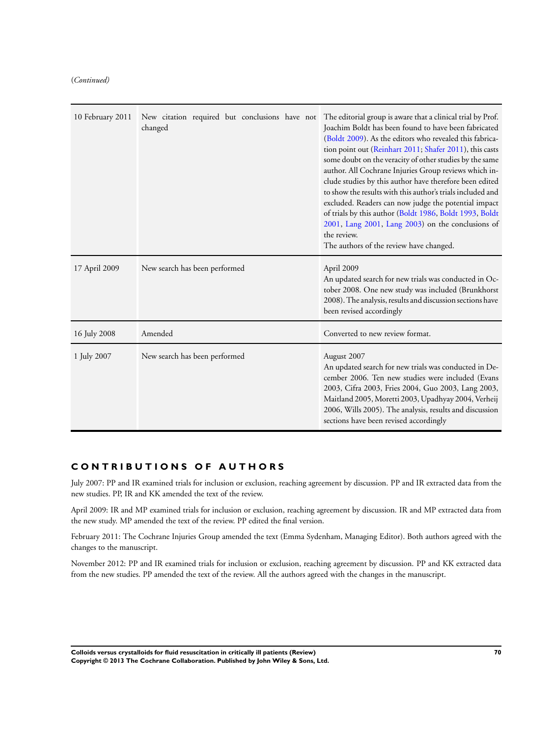(*Continued)*

| 10 February 2011 | New citation required but conclusions have not<br>changed | The editorial group is aware that a clinical trial by Prof.<br>Joachim Boldt has been found to have been fabricated<br>(Boldt 2009). As the editors who revealed this fabrica-<br>tion point out (Reinhart 2011; Shafer 2011), this casts<br>some doubt on the veracity of other studies by the same<br>author. All Cochrane Injuries Group reviews which in-<br>clude studies by this author have therefore been edited<br>to show the results with this author's trials included and<br>excluded. Readers can now judge the potential impact<br>of trials by this author (Boldt 1986, Boldt 1993, Boldt<br>$2001$ , Lang $2001$ , Lang $2003$ ) on the conclusions of<br>the review.<br>The authors of the review have changed. |
|------------------|-----------------------------------------------------------|-----------------------------------------------------------------------------------------------------------------------------------------------------------------------------------------------------------------------------------------------------------------------------------------------------------------------------------------------------------------------------------------------------------------------------------------------------------------------------------------------------------------------------------------------------------------------------------------------------------------------------------------------------------------------------------------------------------------------------------|
| 17 April 2009    | New search has been performed                             | April 2009<br>An updated search for new trials was conducted in Oc-<br>tober 2008. One new study was included (Brunkhorst<br>2008). The analysis, results and discussion sections have<br>been revised accordingly                                                                                                                                                                                                                                                                                                                                                                                                                                                                                                                |
| 16 July 2008     | Amended                                                   | Converted to new review format.                                                                                                                                                                                                                                                                                                                                                                                                                                                                                                                                                                                                                                                                                                   |
| 1 July 2007      | New search has been performed                             | August 2007<br>An updated search for new trials was conducted in De-<br>cember 2006. Ten new studies were included (Evans<br>2003, Cifra 2003, Fries 2004, Guo 2003, Lang 2003,<br>Maitland 2005, Moretti 2003, Upadhyay 2004, Verheij<br>2006, Wills 2005). The analysis, results and discussion<br>sections have been revised accordingly                                                                                                                                                                                                                                                                                                                                                                                       |

## **C O N T R I B U T I O N S O F A U T H O R S**

July 2007: PP and IR examined trials for inclusion or exclusion, reaching agreement by discussion. PP and IR extracted data from the new studies. PP, IR and KK amended the text of the review.

April 2009: IR and MP examined trials for inclusion or exclusion, reaching agreement by discussion. IR and MP extracted data from the new study. MP amended the text of the review. PP edited the final version.

February 2011: The Cochrane Injuries Group amended the text (Emma Sydenham, Managing Editor). Both authors agreed with the changes to the manuscript.

November 2012: PP and IR examined trials for inclusion or exclusion, reaching agreement by discussion. PP and KK extracted data from the new studies. PP amended the text of the review. All the authors agreed with the changes in the manuscript.